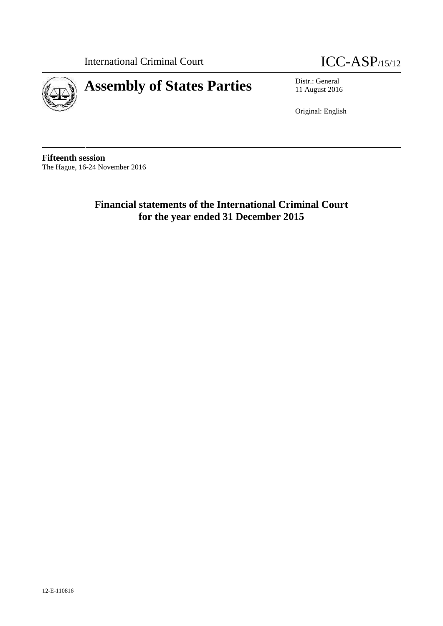International Criminal Court **ICC-ASP**/15/12





11 August 2016

Original: English

**Fifteenth session** The Hague, 16-24 November 2016

> **Financial statements of the International Criminal Court for the year ended 31 December 2015**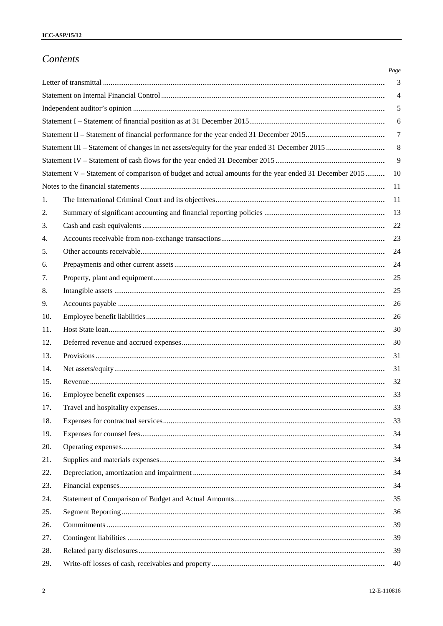# Contents

|     |                                                                                                        | Page           |
|-----|--------------------------------------------------------------------------------------------------------|----------------|
|     |                                                                                                        | 3              |
|     |                                                                                                        | $\overline{4}$ |
|     |                                                                                                        | 5              |
|     |                                                                                                        | 6              |
|     |                                                                                                        | $\overline{7}$ |
|     |                                                                                                        | $\,8\,$        |
|     |                                                                                                        | 9              |
|     | Statement V – Statement of comparison of budget and actual amounts for the year ended 31 December 2015 | 10             |
|     |                                                                                                        | -11            |
| 1.  |                                                                                                        |                |
| 2.  |                                                                                                        | 13             |
| 3.  |                                                                                                        | 22             |
| 4.  |                                                                                                        | 23             |
| 5.  |                                                                                                        | 24             |
| 6.  |                                                                                                        | 24             |
| 7.  |                                                                                                        | 25             |
| 8.  |                                                                                                        | 25             |
| 9.  |                                                                                                        |                |
| 10. |                                                                                                        | 26             |
| 11. |                                                                                                        | 30             |
| 12. |                                                                                                        | 30             |
| 13. |                                                                                                        | 31             |
| 14. |                                                                                                        | 31             |
| 15. |                                                                                                        | 32             |
| 16. |                                                                                                        | 33             |
| 17. |                                                                                                        | 33             |
| 18. |                                                                                                        | 33             |
| 19. |                                                                                                        | 34             |
| 20. |                                                                                                        | 34             |
| 21. |                                                                                                        | 34             |
| 22. |                                                                                                        | 34             |
| 23. |                                                                                                        | 34             |
| 24. |                                                                                                        | 35             |
| 25. |                                                                                                        | 36             |
| 26. |                                                                                                        | 39             |
| 27. |                                                                                                        | 39             |
| 28. |                                                                                                        | 39             |
| 29. |                                                                                                        | 40             |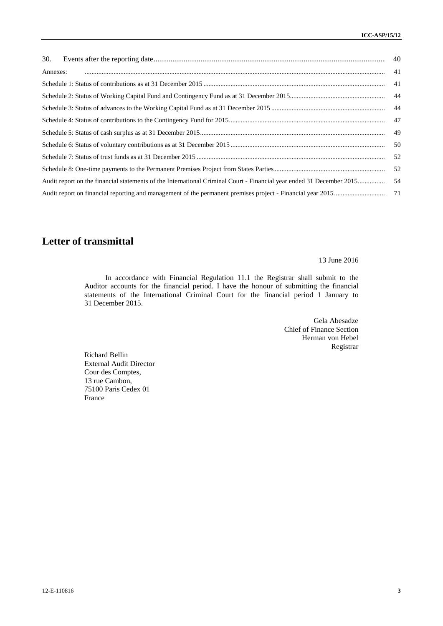| 30.                                                                                                                  |    |
|----------------------------------------------------------------------------------------------------------------------|----|
| Annexes:                                                                                                             | 41 |
|                                                                                                                      | 41 |
|                                                                                                                      | 44 |
|                                                                                                                      | 44 |
|                                                                                                                      | 47 |
|                                                                                                                      | 49 |
|                                                                                                                      | 50 |
|                                                                                                                      | 52 |
|                                                                                                                      | 52 |
| Audit report on the financial statements of the International Criminal Court - Financial year ended 31 December 2015 | 54 |
|                                                                                                                      | 71 |

# **Letter of transmittal**

13 June 2016

In accordance with Financial Regulation 11.1 the Registrar shall submit to the Auditor accounts for the financial period. I have the honour of submitting the financial statements of the International Criminal Court for the financial period 1 January to 31 December 2015.

> Gela Abesadze Chief of Finance Section Herman von Hebel Registrar

Richard Bellin External Audit Director Cour des Comptes, 13 rue Cambon, 75100 Paris Cedex 01 France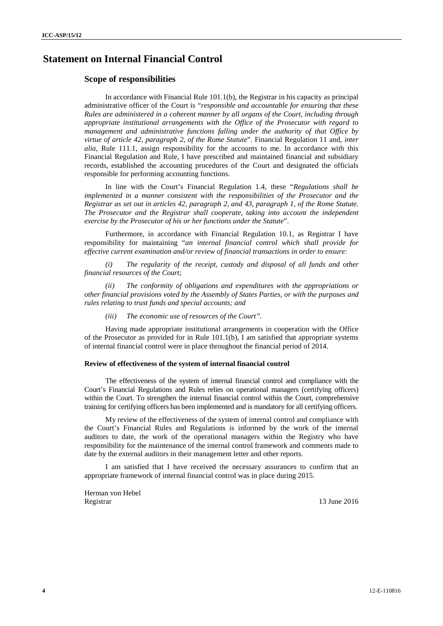# **Statement on Internal Financial Control**

### **Scope of responsibilities**

In accordance with Financial Rule  $101.1(b)$ , the Registrar in his capacity as principal administrative officer of the Court is "*responsible and accountable for ensuring that these Rules are administered in a coherent manner by all organs of the Court, including through appropriate institutional arrangements with the Office of the Prosecutor with regard to management and administrative functions falling under the authority of that Office by virtue of article 42, paragraph 2, of the Rome Statute*". Financial Regulation 11 and, *inter alia*, Rule 111.1, assign responsibility for the accounts to me. In accordance with this Financial Regulation and Rule, I have prescribed and maintained financial and subsidiary records, established the accounting procedures of the Court and designated the officials responsible for performing accounting functions.

In line with the Court's Financial Regulation 1.4, these "*Regulations shall be implemented in a manner consistent with the responsibilities of the Prosecutor and the Registrar as set out in articles 42, paragraph 2, and 43, paragraph 1, of the Rome Statute. The Prosecutor and the Registrar shall cooperate, taking into account the independent exercise by the Prosecutor of his or her functions under the Statute*".

Furthermore, in accordance with Financial Regulation 10.1, as Registrar I have responsibility for maintaining "*an internal financial control which shall provide for effective current examination and/or review of financial transactions in order to ensure:*

*(i) The regularity of the receipt, custody and disposal of all funds and other financial resources of the Court;*

*(ii) The conformity of obligations and expenditures with the appropriations or other financial provisions voted by the Assembly of States Parties, or with the purposes and rules relating to trust funds and special accounts; and*

#### *(iii) The economic use of resources of the Court".*

Having made appropriate institutional arrangements in cooperation with the Office of the Prosecutor as provided for in Rule 101.1(b), I am satisfied that appropriate systems of internal financial control were in place throughout the financial period of 2014.

#### **Review of effectiveness of the system of internal financial control**

The effectiveness of the system of internal financial control and compliance with the Court's Financial Regulations and Rules relies on operational managers (certifying officers) within the Court. To strengthen the internal financial control within the Court, comprehensive training for certifying officers has been implemented and is mandatory for all certifying officers.

My review of the effectiveness of the system of internal control and compliance with the Court's Financial Rules and Regulations is informed by the work of the internal auditors to date, the work of the operational managers within the Registry who have responsibility for the maintenance of the internal control framework and comments made to date by the external auditors in their management letter and other reports.

I am satisfied that I have received the necessary assurances to confirm that an appropriate framework of internal financial control was in place during 2015.

Herman von Hebel Registrar 13 June 2016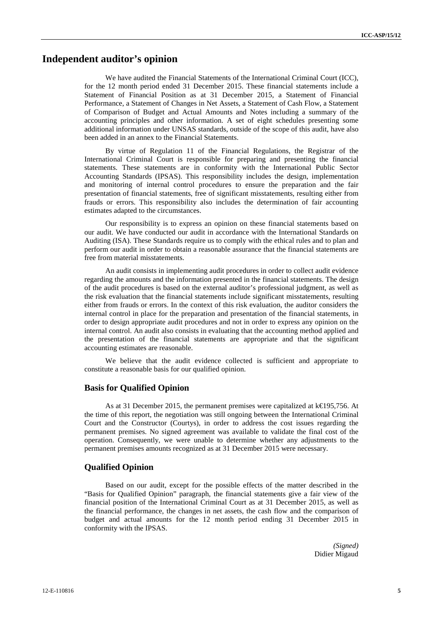## **Independent auditor's opinion**

We have audited the Financial Statements of the International Criminal Court (ICC), for the 12 month period ended 31 December 2015. These financial statements include a Statement of Financial Position as at 31 December 2015, a Statement of Financial Performance, a Statement of Changes in Net Assets, a Statement of Cash Flow, a Statement of Comparison of Budget and Actual Amounts and Notes including a summary of the accounting principles and other information. A set of eight schedules presenting some additional information under UNSAS standards, outside of the scope of this audit, have also been added in an annex to the Financial Statements.

By virtue of Regulation 11 of the Financial Regulations, the Registrar of the International Criminal Court is responsible for preparing and presenting the financial statements. These statements are in conformity with the International Public Sector Accounting Standards (IPSAS). This responsibility includes the design, implementation and monitoring of internal control procedures to ensure the preparation and the fair presentation of financial statements, free of significant misstatements, resulting either from frauds or errors. This responsibility also includes the determination of fair accounting estimates adapted to the circumstances.

Our responsibility is to express an opinion on these financial statements based on our audit. We have conducted our audit in accordance with the International Standards on Auditing (ISA). These Standards require us to comply with the ethical rules and to plan and perform our audit in order to obtain a reasonable assurance that the financial statements are free from material misstatements.

An audit consists in implementing audit procedures in order to collect audit evidence regarding the amounts and the information presented in the financial statements. The design of the audit procedures is based on the external auditor's professional judgment, as well as the risk evaluation that the financial statements include significant misstatements, resulting either from frauds or errors. In the context of this risk evaluation, the auditor considers the internal control in place for the preparation and presentation of the financial statements, in order to design appropriate audit procedures and not in order to express any opinion on the internal control. An audit also consists in evaluating that the accounting method applied and the presentation of the financial statements are appropriate and that the significant accounting estimates are reasonable.

We believe that the audit evidence collected is sufficient and appropriate to constitute a reasonable basis for our qualified opinion.

### **Basis for Qualified Opinion**

As at 31 December 2015, the permanent premises were capitalized at k€195,756. At the time of this report, the negotiation was still ongoing between the International Criminal Court and the Constructor (Courtys), in order to address the cost issues regarding the permanent premises. No signed agreement was available to validate the final cost of the operation. Consequently, we were unable to determine whether any adjustments to the permanent premises amounts recognized as at 31 December 2015 were necessary.

### **Qualified Opinion**

Based on our audit, except for the possible effects of the matter described in the "Basis for Qualified Opinion" paragraph, the financial statements give a fair view of the financial position of the International Criminal Court as at 31 December 2015, as well as the financial performance, the changes in net assets, the cash flow and the comparison of budget and actual amounts for the 12 month period ending 31 December 2015 in conformity with the IPSAS.

> *(Signed)* Didier Migaud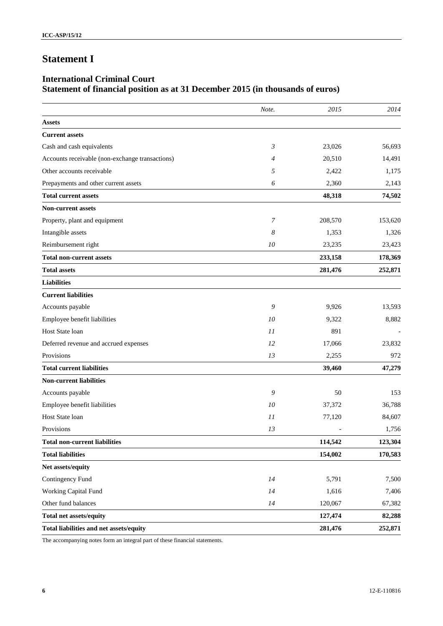# **Statement I**

# **International Criminal Court Statement of financial position as at 31 December 2015 (in thousands of euros)**

|                                                 | Note.          | 2015    | 2014    |
|-------------------------------------------------|----------------|---------|---------|
| <b>Assets</b>                                   |                |         |         |
| <b>Current assets</b>                           |                |         |         |
| Cash and cash equivalents                       | $\mathfrak{Z}$ | 23,026  | 56,693  |
| Accounts receivable (non-exchange transactions) | $\overline{4}$ | 20,510  | 14,491  |
| Other accounts receivable                       | 5              | 2,422   | 1,175   |
| Prepayments and other current assets            | 6              | 2,360   | 2,143   |
| <b>Total current assets</b>                     |                | 48,318  | 74,502  |
| <b>Non-current assets</b>                       |                |         |         |
| Property, plant and equipment                   | 7              | 208,570 | 153,620 |
| Intangible assets                               | 8              | 1,353   | 1,326   |
| Reimbursement right                             | 10             | 23,235  | 23,423  |
| <b>Total non-current assets</b>                 |                | 233,158 | 178,369 |
| <b>Total assets</b>                             |                | 281,476 | 252,871 |
| <b>Liabilities</b>                              |                |         |         |
| <b>Current liabilities</b>                      |                |         |         |
| Accounts payable                                | 9              | 9,926   | 13,593  |
| Employee benefit liabilities                    | 10             | 9,322   | 8,882   |
| Host State loan                                 | 11             | 891     |         |
| Deferred revenue and accrued expenses           | 12             | 17,066  | 23,832  |
| Provisions                                      | 13             | 2,255   | 972     |
| <b>Total current liabilities</b>                |                | 39,460  | 47,279  |
| <b>Non-current liabilities</b>                  |                |         |         |
| Accounts payable                                | 9              | 50      | 153     |
| Employee benefit liabilities                    | 10             | 37,372  | 36,788  |
| Host State loan                                 | 11             | 77,120  | 84,607  |
| Provisions                                      | 13             |         | 1,756   |
| <b>Total non-current liabilities</b>            |                | 114,542 | 123,304 |
| <b>Total liabilities</b>                        |                | 154,002 | 170,583 |
| Net assets/equity                               |                |         |         |
| Contingency Fund                                | 14             | 5,791   | 7,500   |
| Working Capital Fund                            | 14             | 1,616   | 7,406   |
| Other fund balances                             | 14             | 120,067 | 67,382  |
| <b>Total net assets/equity</b>                  |                | 127,474 | 82,288  |
| Total liabilities and net assets/equity         |                | 281,476 | 252,871 |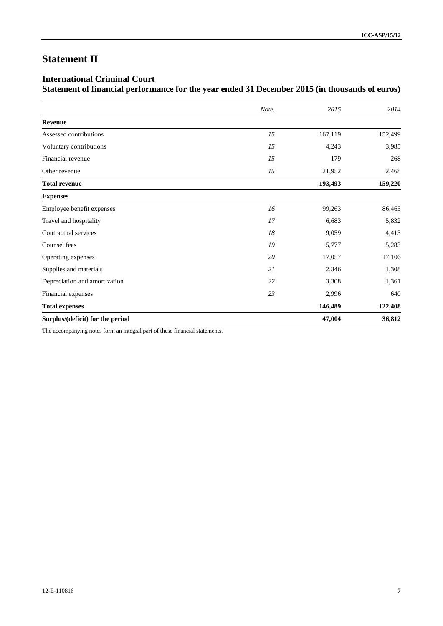# **Statement II**

# **International Criminal Court Statement of financial performance for the year ended 31 December 2015 (in thousands of euros)**

|                                  | Note. | 2015    | 2014    |
|----------------------------------|-------|---------|---------|
| Revenue                          |       |         |         |
| Assessed contributions           | 15    | 167,119 | 152,499 |
| Voluntary contributions          | 15    | 4,243   | 3,985   |
| Financial revenue                | 15    | 179     | 268     |
| Other revenue                    | 15    | 21,952  | 2,468   |
| <b>Total revenue</b>             |       | 193,493 | 159,220 |
| <b>Expenses</b>                  |       |         |         |
| Employee benefit expenses        | 16    | 99,263  | 86,465  |
| Travel and hospitality           | 17    | 6,683   | 5,832   |
| Contractual services             | 18    | 9,059   | 4,413   |
| Counsel fees                     | 19    | 5,777   | 5,283   |
| Operating expenses               | 20    | 17,057  | 17,106  |
| Supplies and materials           | 21    | 2,346   | 1,308   |
| Depreciation and amortization    | 22    | 3,308   | 1,361   |
| Financial expenses               | 23    | 2,996   | 640     |
| <b>Total expenses</b>            |       | 146,489 | 122,408 |
| Surplus/(deficit) for the period |       | 47,004  | 36,812  |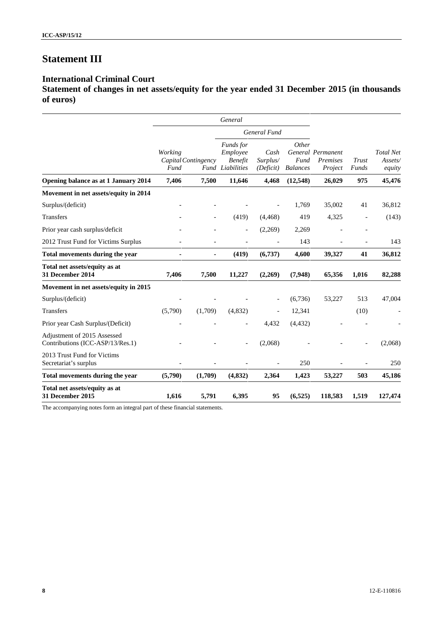# **Statement III**

# **International Criminal Court**

**Statement of changes in net assets/equity for the year ended 31 December 2015 (in thousands of euros)**

|                                                                 |                                        |         | General                                                     |                               |                                  |                                          |                          |                                       |
|-----------------------------------------------------------------|----------------------------------------|---------|-------------------------------------------------------------|-------------------------------|----------------------------------|------------------------------------------|--------------------------|---------------------------------------|
|                                                                 |                                        |         | General Fund                                                |                               |                                  |                                          |                          |                                       |
|                                                                 | Working<br>Capital Contingency<br>Fund |         | Funds for<br>Employee<br><b>Benefit</b><br>Fund Liabilities | Cash<br>Surplus/<br>(Deficit) | Other<br>Fund<br><b>Balances</b> | General Permanent<br>Premises<br>Project | Trust<br>Funds           | <b>Total Net</b><br>Assets/<br>equity |
| Opening balance as at 1 January 2014                            | 7,406                                  | 7,500   | 11,646                                                      | 4,468                         | (12,548)                         | 26,029                                   | 975                      | 45,476                                |
| Movement in net assets/equity in 2014                           |                                        |         |                                                             |                               |                                  |                                          |                          |                                       |
| Surplus/(deficit)                                               |                                        |         |                                                             |                               | 1,769                            | 35,002                                   | 41                       | 36,812                                |
| <b>Transfers</b>                                                |                                        |         | (419)                                                       | (4, 468)                      | 419                              | 4,325                                    | $\overline{\phantom{a}}$ | (143)                                 |
| Prior year cash surplus/deficit                                 |                                        |         | $\overline{\phantom{a}}$                                    | (2,269)                       | 2,269                            |                                          | $\overline{a}$           |                                       |
| 2012 Trust Fund for Victims Surplus                             |                                        |         |                                                             |                               | 143                              |                                          |                          | 143                                   |
| Total movements during the year                                 | ٠                                      | ٠       | (419)                                                       | (6,737)                       | 4,600                            | 39,327                                   | 41                       | 36,812                                |
| Total net assets/equity as at<br>31 December 2014               | 7,406                                  | 7,500   | 11,227                                                      | (2,269)                       | (7,948)                          | 65,356                                   | 1,016                    | 82,288                                |
| Movement in net assets/equity in 2015                           |                                        |         |                                                             |                               |                                  |                                          |                          |                                       |
| Surplus/(deficit)                                               |                                        |         |                                                             |                               | (6,736)                          | 53,227                                   | 513                      | 47,004                                |
| <b>Transfers</b>                                                | (5,790)                                | (1,709) | (4,832)                                                     | $\overline{a}$                | 12,341                           |                                          | (10)                     |                                       |
| Prior year Cash Surplus/(Deficit)                               |                                        |         | $\overline{\phantom{a}}$                                    | 4,432                         | (4, 432)                         |                                          |                          |                                       |
| Adjustment of 2015 Assessed<br>Contributions (ICC-ASP/13/Res.1) |                                        |         |                                                             | (2,068)                       |                                  |                                          |                          | (2,068)                               |
| 2013 Trust Fund for Victims<br>Secretariat's surplus            |                                        |         |                                                             |                               | 250                              |                                          |                          | 250                                   |
| Total movements during the year                                 | (5,790)                                | (1,709) | (4, 832)                                                    | 2,364                         | 1,423                            | 53,227                                   | 503                      | 45,186                                |
| Total net assets/equity as at<br>31 December 2015               | 1,616                                  | 5,791   | 6,395                                                       | 95                            | (6,525)                          | 118,583                                  | 1,519                    | 127,474                               |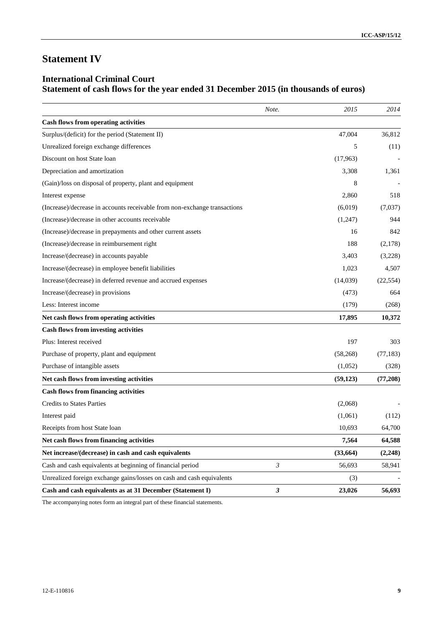# **Statement IV**

# **International Criminal Court Statement of cash flows for the year ended 31 December 2015 (in thousands of euros)**

|                                                                           | Note.          | 2015      | 2014      |
|---------------------------------------------------------------------------|----------------|-----------|-----------|
| <b>Cash flows from operating activities</b>                               |                |           |           |
| Surplus/(deficit) for the period (Statement II)                           |                | 47,004    | 36,812    |
| Unrealized foreign exchange differences                                   |                | 5         | (11)      |
| Discount on host State loan                                               |                | (17,963)  |           |
| Depreciation and amortization                                             |                | 3,308     | 1,361     |
| (Gain)/loss on disposal of property, plant and equipment                  |                | 8         |           |
| Interest expense                                                          |                | 2,860     | 518       |
| (Increase)/decrease in accounts receivable from non-exchange transactions |                | (6,019)   | (7,037)   |
| (Increase)/decrease in other accounts receivable                          |                | (1,247)   | 944       |
| (Increase)/decrease in prepayments and other current assets               |                | 16        | 842       |
| (Increase)/decrease in reimbursement right                                |                | 188       | (2,178)   |
| Increase/(decrease) in accounts payable                                   |                | 3,403     | (3,228)   |
| Increase/(decrease) in employee benefit liabilities                       |                | 1,023     | 4,507     |
| Increase/(decrease) in deferred revenue and accrued expenses              |                | (14,039)  | (22, 554) |
| Increase/(decrease) in provisions                                         |                | (473)     | 664       |
| Less: Interest income                                                     |                | (179)     | (268)     |
| Net cash flows from operating activities                                  |                | 17,895    | 10,372    |
| <b>Cash flows from investing activities</b>                               |                |           |           |
| Plus: Interest received                                                   |                | 197       | 303       |
| Purchase of property, plant and equipment                                 |                | (58, 268) | (77, 183) |
| Purchase of intangible assets                                             |                | (1,052)   | (328)     |
| Net cash flows from investing activities                                  |                | (59, 123) | (77,208)  |
| <b>Cash flows from financing activities</b>                               |                |           |           |
| <b>Credits to States Parties</b>                                          |                | (2,068)   |           |
| Interest paid                                                             |                | (1,061)   | (112)     |
| Receipts from host State loan                                             |                | 10,693    | 64,700    |
| Net cash flows from financing activities                                  |                | 7,564     | 64,588    |
| Net increase/(decrease) in cash and cash equivalents                      |                | (33, 664) | (2, 248)  |
| Cash and cash equivalents at beginning of financial period                | $\mathfrak{Z}$ | 56,693    | 58,941    |
| Unrealized foreign exchange gains/losses on cash and cash equivalents     |                | (3)       |           |
| Cash and cash equivalents as at 31 December (Statement I)                 | 3              | 23,026    | 56,693    |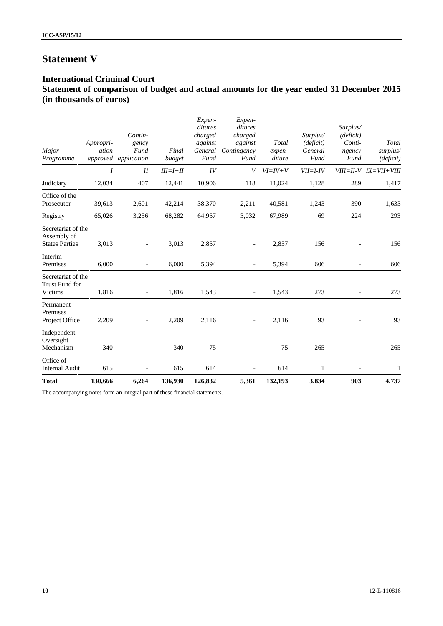# **Statement V**

# **International Criminal Court Statement of comparison of budget and actual amounts for the year ended 31 December 2015 (in thousands of euros)**

| <b>Total</b>                                               | 130,666            | 6,264                                            | 136,930         | 126,832                                                    | 5,361                                                          | 132,193                   | 3,834                                    | 903                                               | 4,737                             |
|------------------------------------------------------------|--------------------|--------------------------------------------------|-----------------|------------------------------------------------------------|----------------------------------------------------------------|---------------------------|------------------------------------------|---------------------------------------------------|-----------------------------------|
| Office of<br><b>Internal Audit</b>                         | 615                |                                                  | 615             | 614                                                        |                                                                | 614                       | 1                                        |                                                   | $\mathbf{1}$                      |
| Independent<br>Oversight<br>Mechanism                      | 340                | $\overline{\phantom{a}}$                         | 340             | 75                                                         | $\overline{\phantom{a}}$                                       | 75                        | 265                                      | $\overline{\phantom{a}}$                          | 265                               |
| Permanent<br>Premises<br>Project Office                    | 2,209              |                                                  | 2,209           | 2,116                                                      | $\overline{a}$                                                 | 2,116                     | 93                                       | $\overline{a}$                                    | 93                                |
| Secretariat of the<br>Trust Fund for<br>Victims            | 1,816              | $\overline{a}$                                   | 1,816           | 1,543                                                      | $\overline{a}$                                                 | 1,543                     | 273                                      |                                                   | 273                               |
| Interim<br>Premises                                        | 6,000              | $\overline{\phantom{a}}$                         | 6,000           | 5,394                                                      | $\blacksquare$                                                 | 5,394                     | 606                                      | $\overline{\phantom{0}}$                          | 606                               |
| Secretariat of the<br>Assembly of<br><b>States Parties</b> | 3,013              | $\overline{\phantom{a}}$                         | 3,013           | 2,857                                                      | $\overline{\phantom{a}}$                                       | 2,857                     | 156                                      | $\overline{\phantom{a}}$                          | 156                               |
| Registry                                                   | 65,026             | 3,256                                            | 68,282          | 64,957                                                     | 3,032                                                          | 67,989                    | 69                                       | 224                                               | 293                               |
| Office of the<br>Prosecutor                                | 39,613             | 2,601                                            | 42,214          | 38,370                                                     | 2,211                                                          | 40,581                    | 1,243                                    | 390                                               | 1,633                             |
| Judiciary                                                  | 12,034             | 407                                              | 12,441          | 10,906                                                     | 118                                                            | 11,024                    | 1,128                                    | 289                                               | 1,417                             |
|                                                            | $\boldsymbol{I}$   | $I\!I$                                           | $III = I + II$  | IV                                                         | V                                                              | $VI = IV + V$             | $VII = I - IV$                           |                                                   | $VIII = II - V$ $IX = VII + VIII$ |
| Major<br>Programme                                         | Appropri-<br>ation | Contin-<br>gency<br>Fund<br>approved application | Final<br>budget | Expen-<br>ditures<br>charged<br>against<br>General<br>Fund | Expen-<br>ditures<br>charged<br>against<br>Contingency<br>Fund | Total<br>expen-<br>diture | Surplus/<br>(deficit)<br>General<br>Fund | Surplus/<br>(deficit)<br>Conti-<br>ngency<br>Fund | Total<br>surplus/<br>(deficit)    |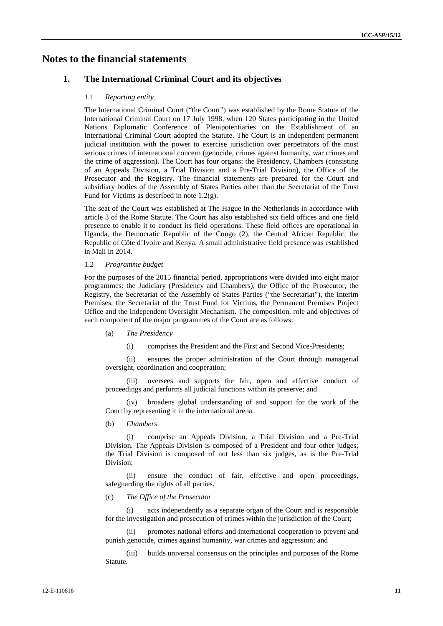# **Notes to the financial statements**

## **1. The International Criminal Court and its objectives**

#### 1.1 *Reporting entity*

The International Criminal Court ("the Court") was established by the Rome Statute of the International Criminal Court on 17 July 1998, when 120 States participating in the United Nations Diplomatic Conference of Plenipotentiaries on the Establishment of an International Criminal Court adopted the Statute. The Court is an independent permanent judicial institution with the power to exercise jurisdiction over perpetrators of the most serious crimes of international concern (genocide, crimes against humanity, war crimes and the crime of aggression). The Court has four organs: the Presidency, Chambers (consisting of an Appeals Division, a Trial Division and a Pre-Trial Division), the Office of the Prosecutor and the Registry. The financial statements are prepared for the Court and subsidiary bodies of the Assembly of States Parties other than the Secretariat of the Trust Fund for Victims as described in note 1.2(g).

The seat of the Court was established at The Hague in the Netherlands in accordance with article 3 of the Rome Statute. The Court has also established six field offices and one field presence to enable it to conduct its field operations. These field offices are operational in Uganda, the Democratic Republic of the Congo (2), the Central African Republic, the Republic of Côte d'Ivoire and Kenya. A small administrative field presence was established in Mali in 2014.

#### 1.2 *Programme budget*

For the purposes of the 2015 financial period, appropriations were divided into eight major programmes: the Judiciary (Presidency and Chambers), the Office of the Prosecutor, the Registry, the Secretariat of the Assembly of States Parties ("the Secretariat"), the Interim Premises, the Secretariat of the Trust Fund for Victims, the Permanent Premises Project Office and the Independent Oversight Mechanism. The composition, role and objectives of each component of the major programmes of the Court are as follows:

- (a) *The Presidency*
	- (i) comprises the President and the First and Second Vice-Presidents;

(ii) ensures the proper administration of the Court through managerial oversight, coordination and cooperation;

(iii) oversees and supports the fair, open and effective conduct of proceedings and performs all judicial functions within its preserve; and

(iv) broadens global understanding of and support for the work of the Court by representing it in the international arena.

(b) *Chambers*

(i) comprise an Appeals Division, a Trial Division and a Pre-Trial Division. The Appeals Division is composed of a President and four other judges; the Trial Division is composed of not less than six judges, as is the Pre-Trial Division;

(ii) ensure the conduct of fair, effective and open proceedings, safeguarding the rights of all parties.

#### (c) *The Office of the Prosecutor*

(i) acts independently as a separate organ of the Court and is responsible for the investigation and prosecution of crimes within the jurisdiction of the Court;

promotes national efforts and international cooperation to prevent and punish genocide, crimes against humanity, war crimes and aggression; and

(iii) builds universal consensus on the principles and purposes of the Rome Statute.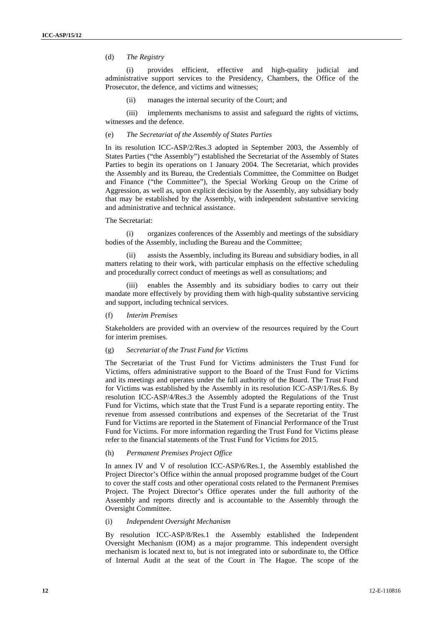## (d) *The Registry*

(i) provides efficient, effective and high-quality judicial and administrative support services to the Presidency, Chambers, the Office of the Prosecutor, the defence, and victims and witnesses;

(ii) manages the internal security of the Court; and

(iii) implements mechanisms to assist and safeguard the rights of victims, witnesses and the defence.

#### (e) *The Secretariat of the Assembly of States Parties*

In its resolution ICC-ASP/2/Res.3 adopted in September 2003, the Assembly of States Parties ("the Assembly") established the Secretariat of the Assembly of States Parties to begin its operations on 1 January 2004. The Secretariat, which provides the Assembly and its Bureau, the Credentials Committee, the Committee on Budget and Finance ("the Committee"), the Special Working Group on the Crime of Aggression, as well as, upon explicit decision by the Assembly, any subsidiary body that may be established by the Assembly, with independent substantive servicing and administrative and technical assistance.

#### The Secretariat:

(i) organizes conferences of the Assembly and meetings of the subsidiary bodies of the Assembly, including the Bureau and the Committee;

(ii) assists the Assembly, including its Bureau and subsidiary bodies, in all matters relating to their work, with particular emphasis on the effective scheduling and procedurally correct conduct of meetings as well as consultations; and

(iii) enables the Assembly and its subsidiary bodies to carry out their mandate more effectively by providing them with high-quality substantive servicing and support, including technical services.

#### (f) *Interim Premises*

Stakeholders are provided with an overview of the resources required by the Court for interim premises.

#### (g) *Secretariat of the Trust Fund for Victims*

The Secretariat of the Trust Fund for Victims administers the Trust Fund for Victims, offers administrative support to the Board of the Trust Fund for Victims and its meetings and operates under the full authority of the Board. The Trust Fund for Victims was established by the Assembly in its resolution ICC-ASP/1/Res.6. By resolution ICC-ASP/4/Res.3 the Assembly adopted the Regulations of the Trust Fund for Victims, which state that the Trust Fund is a separate reporting entity. The revenue from assessed contributions and expenses of the Secretariat of the Trust Fund for Victims are reported in the Statement of Financial Performance of the Trust Fund for Victims. For more information regarding the Trust Fund for Victims please refer to the financial statements of the Trust Fund for Victims for 2015.

#### (h) *Permanent Premises Project Office*

In annex IV and V of resolution ICC-ASP/6/Res.1, the Assembly established the Project Director's Office within the annual proposed programme budget of the Court to cover the staff costs and other operational costs related to the Permanent Premises Project. The Project Director's Office operates under the full authority of the Assembly and reports directly and is accountable to the Assembly through the Oversight Committee.

#### (i) *Independent Oversight Mechanism*

By resolution ICC-ASP/8/Res.1 the Assembly established the Independent Oversight Mechanism (IOM) as a major programme. This independent oversight mechanism is located next to, but is not integrated into or subordinate to, the Office of Internal Audit at the seat of the Court in The Hague. The scope of the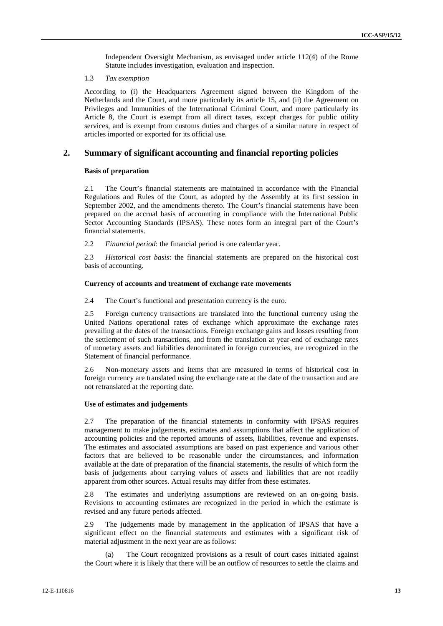Independent Oversight Mechanism, as envisaged under article 112(4) of the Rome Statute includes investigation, evaluation and inspection.

### 1.3 *Tax exemption*

According to (i) the Headquarters Agreement signed between the Kingdom of the Netherlands and the Court, and more particularly its article 15, and (ii) the Agreement on Privileges and Immunities of the International Criminal Court, and more particularly its Article 8, the Court is exempt from all direct taxes, except charges for public utility services, and is exempt from customs duties and charges of a similar nature in respect of articles imported or exported for its official use.

## **2. Summary of significant accounting and financial reporting policies**

#### **Basis of preparation**

2.1 The Court's financial statements are maintained in accordance with the Financial Regulations and Rules of the Court, as adopted by the Assembly at its first session in September 2002, and the amendments thereto. The Court's financial statements have been prepared on the accrual basis of accounting in compliance with the International Public Sector Accounting Standards (IPSAS). These notes form an integral part of the Court's financial statements.

2.2 *Financial period*: the financial period is one calendar year.

2.3 *Historical cost basis*: the financial statements are prepared on the historical cost basis of accounting.

#### **Currency of accounts and treatment of exchange rate movements**

2.4 The Court's functional and presentation currency is the euro.

2.5 Foreign currency transactions are translated into the functional currency using the United Nations operational rates of exchange which approximate the exchange rates prevailing at the dates of the transactions. Foreign exchange gains and losses resulting from the settlement of such transactions, and from the translation at year-end of exchange rates of monetary assets and liabilities denominated in foreign currencies, are recognized in the Statement of financial performance.

2.6 Non-monetary assets and items that are measured in terms of historical cost in foreign currency are translated using the exchange rate at the date of the transaction and are not retranslated at the reporting date.

#### **Use of estimates and judgements**

2.7 The preparation of the financial statements in conformity with IPSAS requires management to make judgements, estimates and assumptions that affect the application of accounting policies and the reported amounts of assets, liabilities, revenue and expenses. The estimates and associated assumptions are based on past experience and various other factors that are believed to be reasonable under the circumstances, and information available at the date of preparation of the financial statements, the results of which form the basis of judgements about carrying values of assets and liabilities that are not readily apparent from other sources. Actual results may differ from these estimates.

2.8 The estimates and underlying assumptions are reviewed on an on-going basis. Revisions to accounting estimates are recognized in the period in which the estimate is revised and any future periods affected.

2.9 The judgements made by management in the application of IPSAS that have a significant effect on the financial statements and estimates with a significant risk of material adjustment in the next year are as follows:

(a) The Court recognized provisions as a result of court cases initiated against the Court where it is likely that there will be an outflow of resources to settle the claims and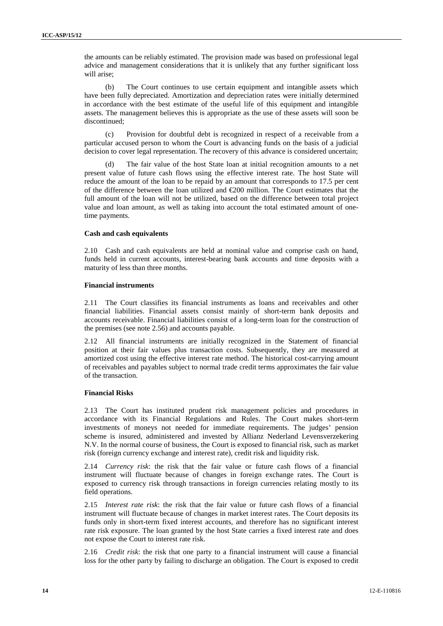the amounts can be reliably estimated. The provision made was based on professional legal advice and management considerations that it is unlikely that any further significant loss will arise;

(b) The Court continues to use certain equipment and intangible assets which have been fully depreciated. Amortization and depreciation rates were initially determined in accordance with the best estimate of the useful life of this equipment and intangible assets. The management believes this is appropriate as the use of these assets will soon be discontinued;

(c) Provision for doubtful debt is recognized in respect of a receivable from a particular accused person to whom the Court is advancing funds on the basis of a judicial decision to cover legal representation. The recovery of this advance is considered uncertain;

The fair value of the host State loan at initial recognition amounts to a net present value of future cash flows using the effective interest rate. The host State will reduce the amount of the loan to be repaid by an amount that corresponds to 17.5 per cent of the difference between the loan utilized and €200 million. The Court estimates that the full amount of the loan will not be utilized, based on the difference between total project value and loan amount, as well as taking into account the total estimated amount of onetime payments.

### **Cash and cash equivalents**

2.10 Cash and cash equivalents are held at nominal value and comprise cash on hand, funds held in current accounts, interest-bearing bank accounts and time deposits with a maturity of less than three months.

### **Financial instruments**

2.11 The Court classifies its financial instruments as loans and receivables and other financial liabilities. Financial assets consist mainly of short-term bank deposits and accounts receivable. Financial liabilities consist of a long-term loan for the construction of the premises (see note 2.56) and accounts payable.

2.12 All financial instruments are initially recognized in the Statement of financial position at their fair values plus transaction costs. Subsequently, they are measured at amortized cost using the effective interest rate method. The historical cost-carrying amount of receivables and payables subject to normal trade credit terms approximates the fair value of the transaction.

## **Financial Risks**

2.13 The Court has instituted prudent risk management policies and procedures in accordance with its Financial Regulations and Rules. The Court makes short-term investments of moneys not needed for immediate requirements. The judges' pension scheme is insured, administered and invested by Allianz Nederland Levensverzekering N.V. In the normal course of business, the Court is exposed to financial risk, such as market risk (foreign currency exchange and interest rate), credit risk and liquidity risk.

2.14 *Currency risk*: the risk that the fair value or future cash flows of a financial instrument will fluctuate because of changes in foreign exchange rates. The Court is exposed to currency risk through transactions in foreign currencies relating mostly to its field operations.

2.15 *Interest rate risk*: the risk that the fair value or future cash flows of a financial instrument will fluctuate because of changes in market interest rates. The Court deposits its funds only in short-term fixed interest accounts, and therefore has no significant interest rate risk exposure. The loan granted by the host State carries a fixed interest rate and does not expose the Court to interest rate risk.

2.16 *Credit risk*: the risk that one party to a financial instrument will cause a financial loss for the other party by failing to discharge an obligation. The Court is exposed to credit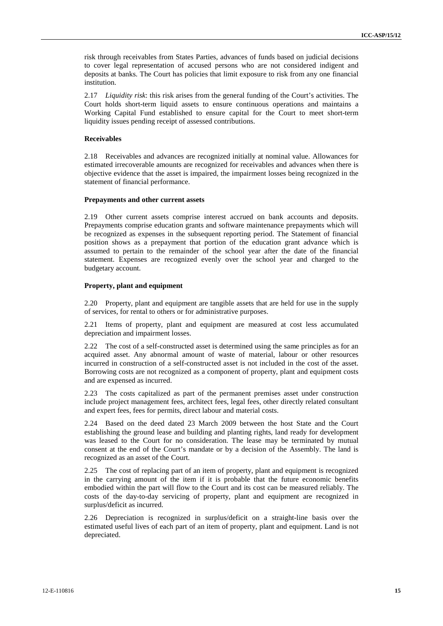risk through receivables from States Parties, advances of funds based on judicial decisions to cover legal representation of accused persons who are not considered indigent and deposits at banks. The Court has policies that limit exposure to risk from any one financial institution.

2.17 *Liquidity risk*: this risk arises from the general funding of the Court's activities. The Court holds short-term liquid assets to ensure continuous operations and maintains a Working Capital Fund established to ensure capital for the Court to meet short-term liquidity issues pending receipt of assessed contributions.

#### **Receivables**

2.18 Receivables and advances are recognized initially at nominal value. Allowances for estimated irrecoverable amounts are recognized for receivables and advances when there is objective evidence that the asset is impaired, the impairment losses being recognized in the statement of financial performance.

#### **Prepayments and other current assets**

2.19 Other current assets comprise interest accrued on bank accounts and deposits. Prepayments comprise education grants and software maintenance prepayments which will be recognized as expenses in the subsequent reporting period. The Statement of financial position shows as a prepayment that portion of the education grant advance which is assumed to pertain to the remainder of the school year after the date of the financial statement. Expenses are recognized evenly over the school year and charged to the budgetary account.

#### **Property, plant and equipment**

2.20 Property, plant and equipment are tangible assets that are held for use in the supply of services, for rental to others or for administrative purposes.

2.21 Items of property, plant and equipment are measured at cost less accumulated depreciation and impairment losses.

2.22 The cost of a self-constructed asset is determined using the same principles as for an acquired asset. Any abnormal amount of waste of material, labour or other resources incurred in construction of a self-constructed asset is not included in the cost of the asset. Borrowing costs are not recognized as a component of property, plant and equipment costs and are expensed as incurred.

2.23 The costs capitalized as part of the permanent premises asset under construction include project management fees, architect fees, legal fees, other directly related consultant and expert fees, fees for permits, direct labour and material costs.

2.24 Based on the deed dated 23 March 2009 between the host State and the Court establishing the ground lease and building and planting rights, land ready for development was leased to the Court for no consideration. The lease may be terminated by mutual consent at the end of the Court's mandate or by a decision of the Assembly. The land is recognized as an asset of the Court.

2.25 The cost of replacing part of an item of property, plant and equipment is recognized in the carrying amount of the item if it is probable that the future economic benefits embodied within the part will flow to the Court and its cost can be measured reliably. The costs of the day-to-day servicing of property, plant and equipment are recognized in surplus/deficit as incurred.

2.26 Depreciation is recognized in surplus/deficit on a straight-line basis over the estimated useful lives of each part of an item of property, plant and equipment. Land is not depreciated.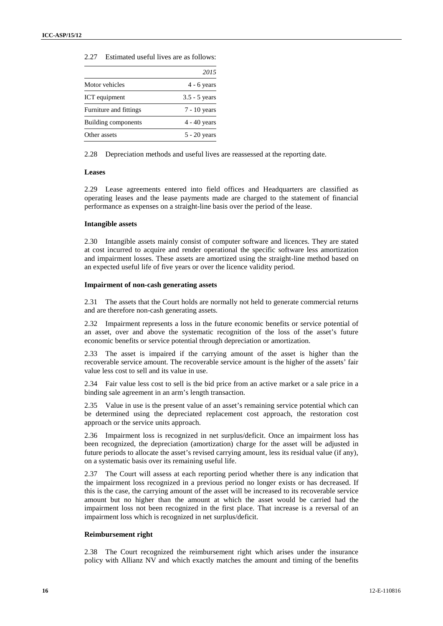|                        | 2015            |
|------------------------|-----------------|
| Motor vehicles         | $4 - 6$ years   |
| ICT equipment          | $3.5 - 5$ years |
| Furniture and fittings | $7 - 10$ years  |
| Building components    | $4 - 40$ years  |
| Other assets           | $5 - 20$ years  |
|                        |                 |

2.27 Estimated useful lives are as follows:

2.28 Depreciation methods and useful lives are reassessed at the reporting date.

#### **Leases**

2.29 Lease agreements entered into field offices and Headquarters are classified as operating leases and the lease payments made are charged to the statement of financial performance as expenses on a straight-line basis over the period of the lease.

#### **Intangible assets**

2.30 Intangible assets mainly consist of computer software and licences. They are stated at cost incurred to acquire and render operational the specific software less amortization and impairment losses. These assets are amortized using the straight-line method based on an expected useful life of five years or over the licence validity period.

#### **Impairment of non-cash generating assets**

2.31 The assets that the Court holds are normally not held to generate commercial returns and are therefore non-cash generating assets.

2.32 Impairment represents a loss in the future economic benefits or service potential of an asset, over and above the systematic recognition of the loss of the asset's future economic benefits or service potential through depreciation or amortization.

2.33 The asset is impaired if the carrying amount of the asset is higher than the recoverable service amount. The recoverable service amount is the higher of the assets' fair value less cost to sell and its value in use.

2.34 Fair value less cost to sell is the bid price from an active market or a sale price in a binding sale agreement in an arm's length transaction.

2.35 Value in use is the present value of an asset's remaining service potential which can be determined using the depreciated replacement cost approach, the restoration cost approach or the service units approach.

2.36 Impairment loss is recognized in net surplus/deficit. Once an impairment loss has been recognized, the depreciation (amortization) charge for the asset will be adjusted in future periods to allocate the asset's revised carrying amount, less its residual value (if any), on a systematic basis over its remaining useful life.

2.37 The Court will assess at each reporting period whether there is any indication that the impairment loss recognized in a previous period no longer exists or has decreased. If this is the case, the carrying amount of the asset will be increased to its recoverable service amount but no higher than the amount at which the asset would be carried had the impairment loss not been recognized in the first place. That increase is a reversal of an impairment loss which is recognized in net surplus/deficit.

### **Reimbursement right**

2.38 The Court recognized the reimbursement right which arises under the insurance policy with Allianz NV and which exactly matches the amount and timing of the benefits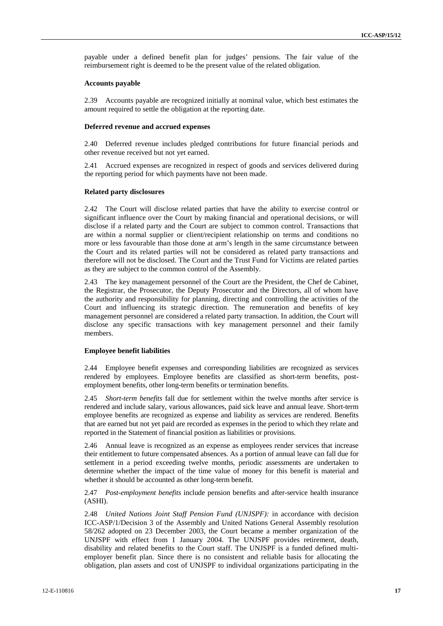payable under a defined benefit plan for judges' pensions. The fair value of the reimbursement right is deemed to be the present value of the related obligation.

### **Accounts payable**

2.39 Accounts payable are recognized initially at nominal value, which best estimates the amount required to settle the obligation at the reporting date.

#### **Deferred revenue and accrued expenses**

2.40 Deferred revenue includes pledged contributions for future financial periods and other revenue received but not yet earned.

2.41 Accrued expenses are recognized in respect of goods and services delivered during the reporting period for which payments have not been made.

#### **Related party disclosures**

2.42 The Court will disclose related parties that have the ability to exercise control or significant influence over the Court by making financial and operational decisions, or will disclose if a related party and the Court are subject to common control. Transactions that are within a normal supplier or client/recipient relationship on terms and conditions no more or less favourable than those done at arm's length in the same circumstance between the Court and its related parties will not be considered as related party transactions and therefore will not be disclosed. The Court and the Trust Fund for Victims are related parties as they are subject to the common control of the Assembly.

2.43 The key management personnel of the Court are the President, the Chef de Cabinet, the Registrar, the Prosecutor, the Deputy Prosecutor and the Directors, all of whom have the authority and responsibility for planning, directing and controlling the activities of the Court and influencing its strategic direction. The remuneration and benefits of key management personnel are considered a related party transaction. In addition, the Court will disclose any specific transactions with key management personnel and their family members.

#### **Employee benefit liabilities**

2.44 Employee benefit expenses and corresponding liabilities are recognized as services rendered by employees. Employee benefits are classified as short-term benefits, post employment benefits, other long-term benefits or termination benefits.

2.45 *Short-term benefits* fall due for settlement within the twelve months after service is rendered and include salary, various allowances, paid sick leave and annual leave. Short-term employee benefits are recognized as expense and liability as services are rendered. Benefits that are earned but not yet paid are recorded as expenses in the period to which they relate and reported in the Statement of financial position as liabilities or provisions.

2.46 Annual leave is recognized as an expense as employees render services that increase their entitlement to future compensated absences. As a portion of annual leave can fall due for settlement in a period exceeding twelve months, periodic assessments are undertaken to determine whether the impact of the time value of money for this benefit is material and whether it should be accounted as other long-term benefit.

### 2.47 *Post-employment benefits* include pension benefits and after-service health insurance (ASHI).

2.48 *United Nations Joint Staff Pension Fund (UNJSPF):* in accordance with decision ICC-ASP/1/Decision 3 of the Assembly and United Nations General Assembly resolution 58/262 adopted on 23 December 2003, the Court became a member organization of the UNJSPF with effect from 1 January 2004. The UNJSPF provides retirement, death, disability and related benefits to the Court staff. The UNJSPF is a funded defined multi employer benefit plan. Since there is no consistent and reliable basis for allocating the obligation, plan assets and cost of UNJSPF to individual organizations participating in the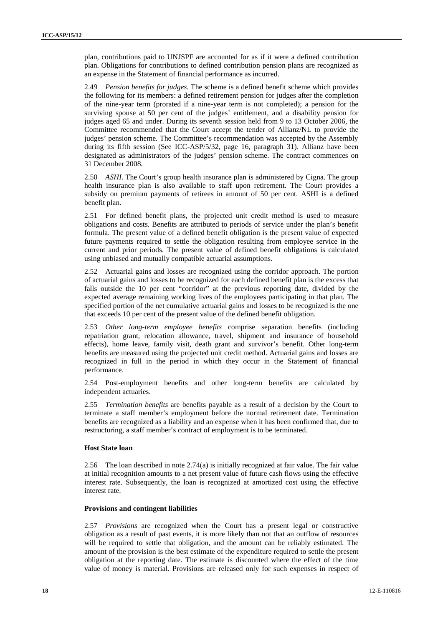plan, contributions paid to UNJSPF are accounted for as if it were a defined contribution plan. Obligations for contributions to defined contribution pension plans are recognized as an expense in the Statement of financial performance as incurred.

2.49 *Pension benefits for judges.* The scheme is a defined benefit scheme which provides the following for its members: a defined retirement pension for judges after the completion of the nine-year term (prorated if a nine-year term is not completed); a pension for the surviving spouse at 50 per cent of the judges' entitlement, and a disability pension for judges aged 65 and under. During its seventh session held from 9 to 13 October 2006, the Committee recommended that the Court accept the tender of Allianz/NL to provide the judges' pension scheme. The Committee's recommendation was accepted by the Assembly during its fifth session (See ICC-ASP/5/32, page 16, paragraph 31). Allianz have been designated as administrators of the judges' pension scheme. The contract commences on 31 December 2008.

2.50 *ASHI*. The Court's group health insurance plan is administered by Cigna. The group health insurance plan is also available to staff upon retirement. The Court provides a subsidy on premium payments of retirees in amount of 50 per cent. ASHI is a defined benefit plan.

2.51 For defined benefit plans, the projected unit credit method is used to measure obligations and costs. Benefits are attributed to periods of service under the plan's benefit formula. The present value of a defined benefit obligation is the present value of expected future payments required to settle the obligation resulting from employee service in the current and prior periods. The present value of defined benefit obligations is calculated using unbiased and mutually compatible actuarial assumptions.

2.52 Actuarial gains and losses are recognized using the corridor approach. The portion of actuarial gains and losses to be recognized for each defined benefit plan is the excess that falls outside the 10 per cent "corridor" at the previous reporting date, divided by the expected average remaining working lives of the employees participating in that plan. The specified portion of the net cumulative actuarial gains and losses to be recognized is the one that exceeds 10 per cent of the present value of the defined benefit obligation.

2.53 *Other long-term employee benefits* comprise separation benefits (including repatriation grant, relocation allowance, travel, shipment and insurance of household effects), home leave, family visit, death grant and survivor's benefit. Other long-term benefits are measured using the projected unit credit method. Actuarial gains and losses are recognized in full in the period in which they occur in the Statement of financial performance.

2.54 Post-employment benefits and other long-term benefits are calculated by independent actuaries.

2.55 *Termination benefits* are benefits payable as a result of a decision by the Court to terminate a staff member's employment before the normal retirement date. Termination benefits are recognized as a liability and an expense when it has been confirmed that, due to restructuring, a staff member's contract of employment is to be terminated.

#### **Host State loan**

2.56 The loan described in note 2.74(a) is initially recognized at fair value. The fair value at initial recognition amounts to a net present value of future cash flows using the effective interest rate. Subsequently, the loan is recognized at amortized cost using the effective interest rate.

#### **Provisions and contingent liabilities**

2.57 *Provisions* are recognized when the Court has a present legal or constructive obligation as a result of past events, it is more likely than not that an outflow of resources will be required to settle that obligation, and the amount can be reliably estimated. The amount of the provision is the best estimate of the expenditure required to settle the present obligation at the reporting date. The estimate is discounted where the effect of the time value of money is material. Provisions are released only for such expenses in respect of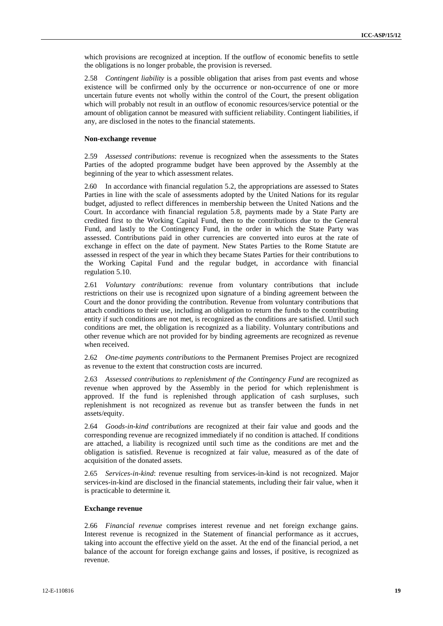which provisions are recognized at inception. If the outflow of economic benefits to settle the obligations is no longer probable, the provision is reversed.

2.58 *Contingent liability* is a possible obligation that arises from past events and whose existence will be confirmed only by the occurrence or non-occurrence of one or more uncertain future events not wholly within the control of the Court, the present obligation which will probably not result in an outflow of economic resources/service potential or the amount of obligation cannot be measured with sufficient reliability. Contingent liabilities, if any, are disclosed in the notes to the financial statements.

#### **Non-exchange revenue**

2.59 *Assessed contributions*: revenue is recognized when the assessments to the States Parties of the adopted programme budget have been approved by the Assembly at the beginning of the year to which assessment relates.

2.60 In accordance with financial regulation 5.2, the appropriations are assessed to States Parties in line with the scale of assessments adopted by the United Nations for its regular budget, adjusted to reflect differences in membership between the United Nations and the Court. In accordance with financial regulation 5.8, payments made by a State Party are credited first to the Working Capital Fund, then to the contributions due to the General Fund, and lastly to the Contingency Fund, in the order in which the State Party was assessed. Contributions paid in other currencies are converted into euros at the rate of exchange in effect on the date of payment. New States Parties to the Rome Statute are assessed in respect of the year in which they became States Parties for their contributions to the Working Capital Fund and the regular budget, in accordance with financial regulation 5.10.

2.61 *Voluntary contributions*: revenue from voluntary contributions that include restrictions on their use is recognized upon signature of a binding agreement between the Court and the donor providing the contribution. Revenue from voluntary contributions that attach conditions to their use, including an obligation to return the funds to the contributing entity if such conditions are not met, is recognized as the conditions are satisfied. Until such conditions are met, the obligation is recognized as a liability. Voluntary contributions and other revenue which are not provided for by binding agreements are recognized as revenue when received.

2.62 *One-time payments contributions* to the Permanent Premises Project are recognized as revenue to the extent that construction costs are incurred.

2.63 *Assessed contributions to replenishment of the Contingency Fund* are recognized as revenue when approved by the Assembly in the period for which replenishment is approved. If the fund is replenished through application of cash surpluses, such replenishment is not recognized as revenue but as transfer between the funds in net assets/equity.

2.64 *Goods-in-kind contributions* are recognized at their fair value and goods and the corresponding revenue are recognized immediately if no condition is attached. If conditions are attached, a liability is recognized until such time as the conditions are met and the obligation is satisfied. Revenue is recognized at fair value, measured as of the date of acquisition of the donated assets.

2.65 *Services-in-kind*: revenue resulting from services-in-kind is not recognized. Major services-in-kind are disclosed in the financial statements, including their fair value, when it is practicable to determine it*.*

#### **Exchange revenue**

2.66 *Financial revenue* comprises interest revenue and net foreign exchange gains. Interest revenue is recognized in the Statement of financial performance as it accrues, taking into account the effective yield on the asset. At the end of the financial period, a net balance of the account for foreign exchange gains and losses, if positive, is recognized as revenue.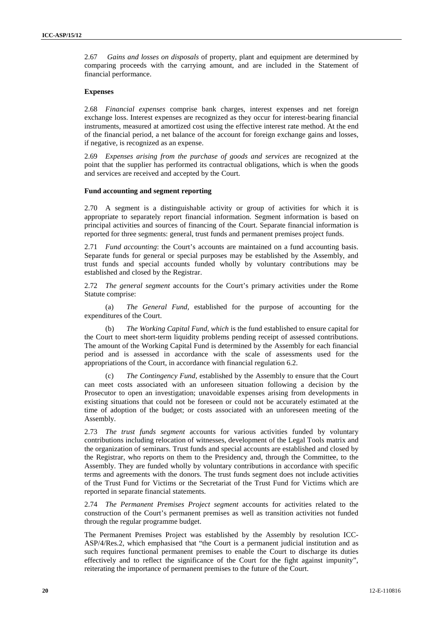2.67 *Gains and losses on disposals* of property, plant and equipment are determined by comparing proceeds with the carrying amount, and are included in the Statement of financial performance.

#### **Expenses**

2.68 *Financial expenses* comprise bank charges, interest expenses and net foreign exchange loss. Interest expenses are recognized as they occur for interest-bearing financial instruments, measured at amortized cost using the effective interest rate method. At the end of the financial period, a net balance of the account for foreign exchange gains and losses, if negative, is recognized as an expense.

2.69 *Expenses arising from the purchase of goods and services* are recognized at the point that the supplier has performed its contractual obligations, which is when the goods and services are received and accepted by the Court.

#### **Fund accounting and segment reporting**

2.70 A segment is a distinguishable activity or group of activities for which it is appropriate to separately report financial information. Segment information is based on principal activities and sources of financing of the Court. Separate financial information is reported for three segments: general, trust funds and permanent premises project funds.

2.71 *Fund accounting*: the Court's accounts are maintained on a fund accounting basis. Separate funds for general or special purposes may be established by the Assembly, and trust funds and special accounts funded wholly by voluntary contributions may be established and closed by the Registrar.

2.72 *The general segment* accounts for the Court's primary activities under the Rome Statute comprise:

(a) *The General Fund,* established for the purpose of accounting for the expenditures of the Court.

(b) *The Working Capital Fund, which* is the fund established to ensure capital for the Court to meet short-term liquidity problems pending receipt of assessed contributions. The amount of the Working Capital Fund is determined by the Assembly for each financial period and is assessed in accordance with the scale of assessments used for the appropriations of the Court, in accordance with financial regulation 6.2.

(c) *The Contingency Fund,* established by the Assembly to ensure that the Court can meet costs associated with an unforeseen situation following a decision by the Prosecutor to open an investigation; unavoidable expenses arising from developments in existing situations that could not be foreseen or could not be accurately estimated at the time of adoption of the budget; or costs associated with an unforeseen meeting of the Assembly.

2.73 *The trust funds segment* accounts for various activities funded by voluntary contributions including relocation of witnesses, development of the Legal Tools matrix and the organization of seminars. Trust funds and special accounts are established and closed by the Registrar, who reports on them to the Presidency and, through the Committee, to the Assembly. They are funded wholly by voluntary contributions in accordance with specific terms and agreements with the donors. The trust funds segment does not include activities of the Trust Fund for Victims or the Secretariat of the Trust Fund for Victims which are reported in separate financial statements.

2.74 *The Permanent Premises Project segment* accounts for activities related to the construction of the Court's permanent premises as well as transition activities not funded through the regular programme budget.

The Permanent Premises Project was established by the Assembly by resolution ICC- ASP/4/Res.2, which emphasised that "the Court is a permanent judicial institution and as such requires functional permanent premises to enable the Court to discharge its duties effectively and to reflect the significance of the Court for the fight against impunity", reiterating the importance of permanent premises to the future of the Court.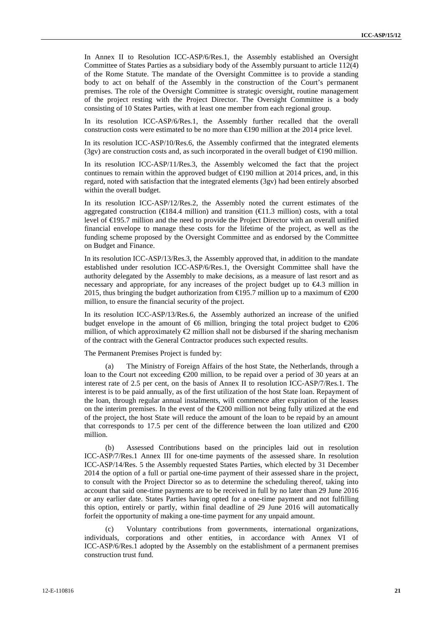In Annex II to Resolution ICC-ASP/6/Res.1, the Assembly established an Oversight Committee of States Parties as a subsidiary body of the Assembly pursuant to article 112(4) of the Rome Statute. The mandate of the Oversight Committee is to provide a standing body to act on behalf of the Assembly in the construction of the Court's permanent premises. The role of the Oversight Committee is strategic oversight, routine management of the project resting with the Project Director. The Oversight Committee is a body consisting of 10 States Parties, with at least one member from each regional group.

In its resolution ICC-ASP/6/Res.1, the Assembly further recalled that the overall construction costs were estimated to be no more than  $\in$ 190 million at the 2014 price level.

In its resolution ICC-ASP/10/Res.6, the Assembly confirmed that the integrated elements (3gv) are construction costs and, as such incorporated in the overall budget of  $\in$ 190 million.

In its resolution ICC-ASP/11/Res.3, the Assembly welcomed the fact that the project continues to remain within the approved budget of  $\in$ 190 million at 2014 prices, and, in this regard, noted with satisfaction that the integrated elements (3gv) had been entirely absorbed within the overall budget.

In its resolution ICC-ASP/12/Res.2, the Assembly noted the current estimates of the aggregated construction ( $\in$ 184.4 million) and transition ( $\in$ 1.3 million) costs, with a total level of €195.7 million and the need to provide the Project Director with an overall unified financial envelope to manage these costs for the lifetime of the project, as well as the funding scheme proposed by the Oversight Committee and as endorsed by the Committee on Budget and Finance.

In its resolution ICC-ASP/13/Res.3, the Assembly approved that, in addition to the mandate established under resolution ICC-ASP/6/Res.1, the Oversight Committee shall have the authority delegated by the Assembly to make decisions, as a measure of last resort and as necessary and appropriate, for any increases of the project budget up to €4.3 million in 2015, thus bringing the budget authorization from  $\in$ 195.7 million up to a maximum of  $\in$ 200 million, to ensure the financial security of the project.

In its resolution ICC-ASP/13/Res.6, the Assembly authorized an increase of the unified budget envelope in the amount of  $\mathfrak{G}$  million, bringing the total project budget to  $\mathfrak{Q}06$ million, of which approximately  $\bigoplus$  million shall not be disbursed if the sharing mechanism of the contract with the General Contractor produces such expected results.

The Permanent Premises Project is funded by:

(a) The Ministry of Foreign Affairs of the host State, the Netherlands, through a loan to the Court not exceeding  $\epsilon$ 200 million, to be repaid over a period of 30 years at an interest rate of 2.5 per cent, on the basis of Annex II to resolution ICC-ASP/7/Res.1. The interest is to be paid annually, as of the first utilization of the host State loan. Repayment of the loan, through regular annual instalments, will commence after expiration of the leases on the interim premises. In the event of the  $\epsilon$ 200 million not being fully utilized at the end of the project, the host State will reduce the amount of the loan to be repaid by an amount that corresponds to 17.5 per cent of the difference between the loan utilized and  $\epsilon 200$ million.<br>(b) Assessed Contributions based on the principles laid out in resolution

ICC-ASP/7/Res.1 Annex III for one-time payments of the assessed share. In resolution ICC-ASP/14/Res. 5 the Assembly requested States Parties, which elected by 31 December 2014 the option of a full or partial one-time payment of their assessed share in the project, to consult with the Project Director so as to determine the scheduling thereof, taking into account that said one-time payments are to be received in full by no later than 29 June 2016 or any earlier date. States Parties having opted for a one-time payment and not fulfilling this option, entirely or partly, within final deadline of 29 June 2016 will automatically forfeit the opportunity of making a one-time payment for any unpaid amount.

(c) Voluntary contributions from governments, international organizations, individuals, corporations and other entities, in accordance with Annex VI of ICC-ASP/6/Res.1 adopted by the Assembly on the establishment of a permanent premises construction trust fund.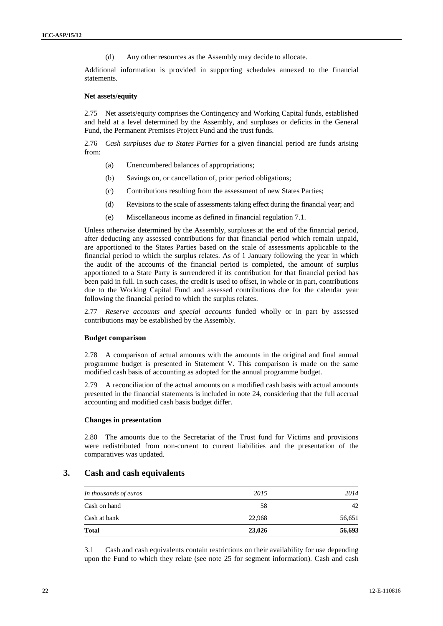(d) Any other resources as the Assembly may decide to allocate.

Additional information is provided in supporting schedules annexed to the financial statements.

#### **Net assets/equity**

2.75 Net assets/equity comprises the Contingency and Working Capital funds, established and held at a level determined by the Assembly, and surpluses or deficits in the General Fund, the Permanent Premises Project Fund and the trust funds.

2.76 *Cash surpluses due to States Parties* for a given financial period are funds arising from:

- (a) Unencumbered balances of appropriations;
- (b) Savings on, or cancellation of, prior period obligations;
- (c) Contributions resulting from the assessment of new States Parties;
- (d) Revisions to the scale of assessments taking effect during the financial year; and
- 

(e) Miscellaneous income as defined in financial regulation 7.1.<br>Unless otherwise determined by the Assembly, surpluses at the end of the financial period, after deducting any assessed contributions for that financial period which remain unpaid, are apportioned to the States Parties based on the scale of assessments applicable to the financial period to which the surplus relates. As of 1 January following the year in which the audit of the accounts of the financial period is completed, the amount of surplus apportioned to a State Party is surrendered if its contribution for that financial period has been paid in full. In such cases, the credit is used to offset, in whole or in part, contributions due to the Working Capital Fund and assessed contributions due for the calendar year following the financial period to which the surplus relates.

2.77 *Reserve accounts and special accounts* funded wholly or in part by assessed contributions may be established by the Assembly.

#### **Budget comparison**

2.78 A comparison of actual amounts with the amounts in the original and final annual programme budget is presented in Statement V. This comparison is made on the same modified cash basis of accounting as adopted for the annual programme budget.

2.79 A reconciliation of the actual amounts on a modified cash basis with actual amounts presented in the financial statements is included in note 24, considering that the full accrual accounting and modified cash basis budget differ.

#### **Changes in presentation**

2.80 The amounts due to the Secretariat of the Trust fund for Victims and provisions were redistributed from non-current to current liabilities and the presentation of the comparatives was updated.

### **3. Cash and cash equivalents**

| Cash at bank          | 22,968 | 56,651 |
|-----------------------|--------|--------|
| Cash on hand          | 58     | 42     |
| In thousands of euros | 2015   | 2014   |

3.1 Cash and cash equivalents contain restrictions on their availability for use depending upon the Fund to which they relate (see note 25 for segment information). Cash and cash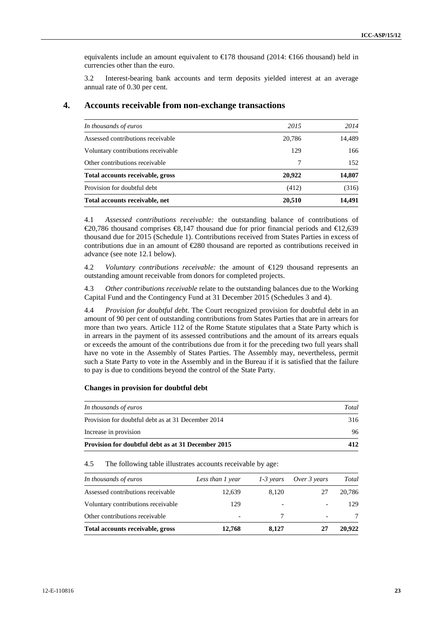equivalents include an amount equivalent to  $\epsilon$ 178 thousand (2014:  $\epsilon$ 166 thousand) held in currencies other than the euro.

3.2 Interest-bearing bank accounts and term deposits yielded interest at an average annual rate of 0.30 per cent.

| In thousands of euros              | 2015   | 2014   |
|------------------------------------|--------|--------|
| Assessed contributions receivable  | 20,786 | 14,489 |
| Voluntary contributions receivable | 129    | 166    |
| Other contributions receivable     | 7      | 152    |
| Total accounts receivable, gross   | 20.922 | 14,807 |
| Provision for doubtful debt        | (412)  | (316)  |
| Total accounts receivable, net     | 20,510 | 14.491 |

## **4. Accounts receivable from non-exchange transactions**

4.1 *Assessed contributions receivable:* the outstanding balance of contributions of €20,786 thousand comprises  $\mathcal{R}$ ,147 thousand due for prior financial periods and  $\mathcal{L}$ 12,639 thousand due for 2015 (Schedule 1). Contributions received from States Parties in excess of contributions due in an amount of  $\epsilon$ 280 thousand are reported as contributions received in advance (see note 12.1 below).

4.2 *Voluntary contributions receivable:* the amount of €129 thousand represents an outstanding amount receivable from donors for completed projects.

4.3 *Other contributions receivable* relate to the outstanding balances due to the Working Capital Fund and the Contingency Fund at 31 December 2015 (Schedules 3 and 4).

4.4 *Provision for doubtful debt.* The Court recognized provision for doubtful debt in an amount of 90 per cent of outstanding contributions from States Parties that are in arrears for more than two years. Article 112 of the Rome Statute stipulates that a State Party which is in arrears in the payment of its assessed contributions and the amount of its arrears equals or exceeds the amount of the contributions due from it for the preceding two full years shall have no vote in the Assembly of States Parties. The Assembly may, nevertheless, permit such a State Party to vote in the Assembly and in the Bureau if it is satisfied that the failure to pay is due to conditions beyond the control of the State Party.

#### **Changes in provision for doubtful debt**

| In thousands of euros                              | Total |  |
|----------------------------------------------------|-------|--|
| Provision for doubtful debt as at 31 December 2014 | 316   |  |
| Increase in provision                              | 96    |  |
| Provision for doubtful debt as at 31 December 2015 | 412   |  |

4.5 The following table illustrates accounts receivable by age:

| In thousands of euros              | Less than 1 year | $1-3$ years | Over 3 years             | Total  |
|------------------------------------|------------------|-------------|--------------------------|--------|
| Assessed contributions receivable  | 12,639           | 8.120       | 27                       | 20.786 |
| Voluntary contributions receivable | 129              |             |                          | 129    |
| Other contributions receivable     |                  | 7           | $\overline{\phantom{0}}$ |        |
| Total accounts receivable, gross   | 12,768           | 8.127       | 27                       | 20.922 |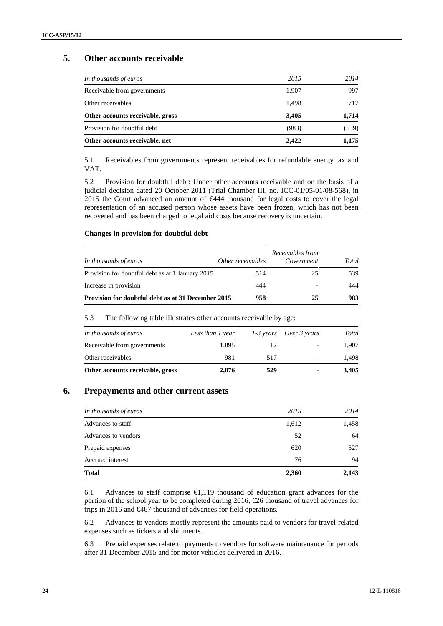## **5. Other accounts receivable**

| In thousands of euros            | 2015  | 2014  |
|----------------------------------|-------|-------|
| Receivable from governments      | 1,907 | 997   |
| Other receivables                | 1.498 | 717   |
| Other accounts receivable, gross | 3,405 | 1,714 |
| Provision for doubtful debt      | (983) | (539) |
| Other accounts receivable, net   | 2.422 | 1,175 |

5.1 Receivables from governments represent receivables for refundable energy tax and VAT.

5.2 Provision for doubtful debt: Under other accounts receivable and on the basis of a judicial decision dated 20 October 2011 (Trial Chamber III, no. ICC-01/05-01/08-568), in 2015 the Court advanced an amount of €444 thousand for legal costs to cover the legal representation of an accused person whose assets have been frozen, which has not been recovered and has been charged to legal aid costs because recovery is uncertain.

## **Changes in provision for doubtful debt**

|                                                    | Receivables from  |            |       |  |  |
|----------------------------------------------------|-------------------|------------|-------|--|--|
| In thousands of euros                              | Other receivables | Government | Total |  |  |
| Provision for doubtful debt as at 1 January 2015   | 514               | 25         | 539   |  |  |
| Increase in provision                              | 444               |            | 444   |  |  |
| Provision for doubtful debt as at 31 December 2015 | 958               | 25         | 983   |  |  |

### 5.3 The following table illustrates other accounts receivable by age:

| In thousands of euros            | Less than 1 year |     | 1-3 years Over 3 years   | Total |
|----------------------------------|------------------|-----|--------------------------|-------|
| Receivable from governments      | 1.895            | 12  | $\overline{\phantom{0}}$ | 1.907 |
| Other receivables                | 981              | 517 | $\overline{\phantom{a}}$ | 1.498 |
| Other accounts receivable, gross | 2.876            | 529 | ٠                        | 3,405 |

## **6. Prepayments and other current assets**

| <b>Total</b>          | 2,360 | 2,143 |
|-----------------------|-------|-------|
| Accrued interest      | 76    | 94    |
| Prepaid expenses      | 620   | 527   |
| Advances to vendors   | 52    | 64    |
| Advances to staff     | 1,612 | 1,458 |
| In thousands of euros | 2015  | 2014  |
|                       |       |       |

6.1 Advances to staff comprise  $\bigoplus$ , 119 thousand of education grant advances for the portion of the school year to be completed during 2016,  $\epsilon$ 26 thousand of travel advances for trips in 2016 and €467 thousand of advances for field operations.

6.2 Advances to vendors mostly represent the amounts paid to vendors for travel-related expenses such as tickets and shipments.

6.3 Prepaid expenses relate to payments to vendors for software maintenance for periods after 31 December 2015 and for motor vehicles delivered in 2016.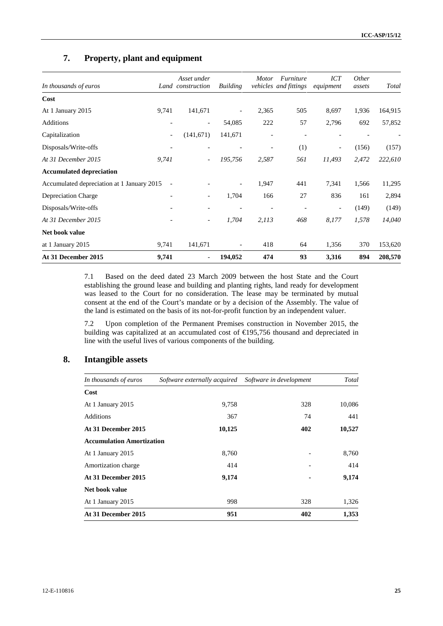# **7. Property, plant and equipment**

| In thousands of euros                      |                          | Asset under<br>Land construction | <b>Building</b>          | <b>Motor</b>             | Furniture<br>vehicles and fittings | <b>ICT</b><br>equipment  | <i>Other</i><br>assets | Total   |
|--------------------------------------------|--------------------------|----------------------------------|--------------------------|--------------------------|------------------------------------|--------------------------|------------------------|---------|
| Cost                                       |                          |                                  |                          |                          |                                    |                          |                        |         |
| At 1 January 2015                          | 9,741                    | 141,671                          | $\overline{\phantom{a}}$ | 2,365                    | 505                                | 8,697                    | 1,936                  | 164,915 |
| Additions                                  |                          | $\overline{\phantom{a}}$         | 54,085                   | 222                      | 57                                 | 2,796                    | 692                    | 57,852  |
| Capitalization                             | $\overline{\phantom{a}}$ | (141, 671)                       | 141,671                  | $\overline{\phantom{a}}$ | $\overline{\phantom{a}}$           | $\overline{\phantom{a}}$ |                        |         |
| Disposals/Write-offs                       | $\overline{\phantom{a}}$ |                                  |                          |                          | (1)                                | $\overline{\phantom{a}}$ | (156)                  | (157)   |
| At 31 December 2015                        | 9,741                    | $\overline{\phantom{a}}$         | 195,756                  | 2,587                    | 561                                | 11,493                   | 2,472                  | 222,610 |
| <b>Accumulated depreciation</b>            |                          |                                  |                          |                          |                                    |                          |                        |         |
| Accumulated depreciation at 1 January 2015 | $\overline{\phantom{m}}$ |                                  | $\overline{\phantom{a}}$ | 1,947                    | 441                                | 7,341                    | 1,566                  | 11,295  |
| <b>Depreciation Charge</b>                 | $\overline{\phantom{a}}$ | $\overline{\phantom{a}}$         | 1,704                    | 166                      | 27                                 | 836                      | 161                    | 2,894   |
| Disposals/Write-offs                       |                          | $\overline{\phantom{a}}$         |                          |                          |                                    | $\overline{\phantom{a}}$ | (149)                  | (149)   |
| At 31 December 2015                        | $\overline{\phantom{a}}$ | $\overline{\phantom{a}}$         | 1,704                    | 2,113                    | 468                                | 8,177                    | 1,578                  | 14,040  |
| Net book value                             |                          |                                  |                          |                          |                                    |                          |                        |         |
| at 1 January 2015                          | 9,741                    | 141,671                          |                          | 418                      | 64                                 | 1,356                    | 370                    | 153,620 |
| At 31 December 2015                        | 9,741                    | $\overline{\phantom{a}}$         | 194,052                  | 474                      | 93                                 | 3,316                    | 894                    | 208,570 |

7.1 Based on the deed dated 23 March 2009 between the host State and the Court establishing the ground lease and building and planting rights, land ready for development was leased to the Court for no consideration. The lease may be terminated by mutual consent at the end of the Court's mandate or by a decision of the Assembly. The value of the land is estimated on the basis of its not-for-profit function by an independent valuer.

7.2 Upon completion of the Permanent Premises construction in November 2015, the building was capitalized at an accumulated cost of €195,756 thousand and depreciated in line with the useful lives of various components of the building.

## **8. Intangible assets**

| In thousands of euros            | Software externally acquired Software in development |     | Total  |  |
|----------------------------------|------------------------------------------------------|-----|--------|--|
| Cost                             |                                                      |     |        |  |
| At 1 January 2015                | 9,758                                                | 328 | 10,086 |  |
| <b>Additions</b>                 | 367                                                  | 74  | 441    |  |
| At 31 December 2015              | 10,125                                               | 402 | 10,527 |  |
| <b>Accumulation Amortization</b> |                                                      |     |        |  |
| At 1 January 2015                | 8,760                                                |     | 8,760  |  |
| Amortization charge              | 414                                                  |     | 414    |  |
| At 31 December 2015              | 9,174                                                |     | 9,174  |  |
| Net book value                   |                                                      |     |        |  |
| At 1 January 2015                | 998                                                  | 328 | 1,326  |  |
| At 31 December 2015              | 951                                                  | 402 | 1,353  |  |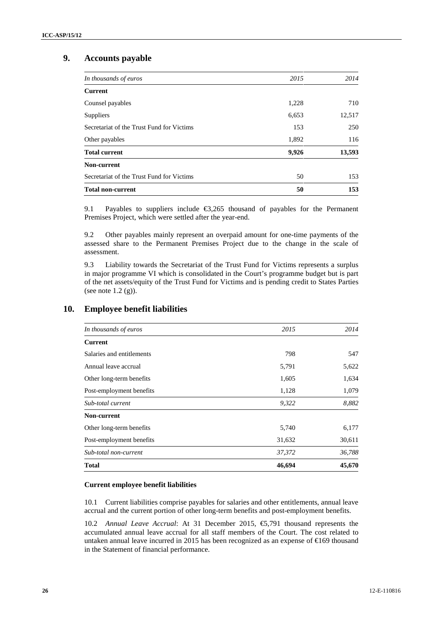# **9. Accounts payable**

| In thousands of euros                     | 2015  | 2014   |
|-------------------------------------------|-------|--------|
| <b>Current</b>                            |       |        |
| Counsel payables                          | 1,228 | 710    |
| Suppliers                                 | 6,653 | 12,517 |
| Secretariat of the Trust Fund for Victims | 153   | 250    |
| Other payables                            | 1,892 | 116    |
| <b>Total current</b>                      | 9,926 | 13,593 |
| Non-current                               |       |        |
| Secretariat of the Trust Fund for Victims | 50    | 153    |
| <b>Total non-current</b>                  | 50    | 153    |

9.1 Payables to suppliers include €3,265 thousand of payables for the Permanent Premises Project, which were settled after the year-end.

9.2 Other payables mainly represent an overpaid amount for one-time payments of the assessed share to the Permanent Premises Project due to the change in the scale of assessment.

9.3 Liability towards the Secretariat of the Trust Fund for Victims represents a surplus in major programme VI which is consolidated in the Court's programme budget but is part of the net assets/equity of the Trust Fund for Victims and is pending credit to States Parties (see note 1.2 (g)).

| In thousands of euros     | 2015   | 2014   |
|---------------------------|--------|--------|
| <b>Current</b>            |        |        |
| Salaries and entitlements | 798    | 547    |
| Annual leave accrual      | 5,791  | 5,622  |
| Other long-term benefits  | 1,605  | 1,634  |
| Post-employment benefits  | 1,128  | 1,079  |
| Sub-total current         | 9,322  | 8,882  |
| Non-current               |        |        |
| Other long-term benefits  | 5,740  | 6,177  |
| Post-employment benefits  | 31,632 | 30,611 |
| Sub-total non-current     | 37,372 | 36,788 |
| <b>Total</b>              | 46,694 | 45,670 |

# **10. Employee benefit liabilities**

## **Current employee benefit liabilities**

10.1 Current liabilities comprise payables for salaries and other entitlements, annual leave accrual and the current portion of other long-term benefits and post-employment benefits.

10.2 *Annual Leave Accrual*: At 31 December 2015, €5,791 thousand represents the accumulated annual leave accrual for all staff members of the Court. The cost related to untaken annual leave incurred in 2015 has been recognized as an expense of €169 thousand in the Statement of financial performance.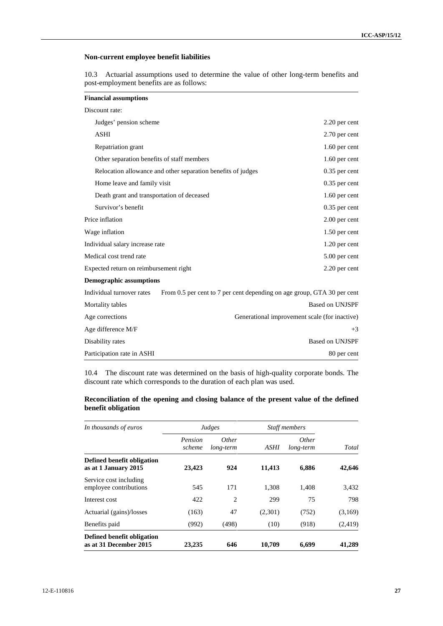## **Non-current employee benefit liabilities**

10.3 Actuarial assumptions used to determine the value of other long-term benefits and post-employment benefits are as follows:

| Discount rate:                             |                                                                         |                                               |
|--------------------------------------------|-------------------------------------------------------------------------|-----------------------------------------------|
| Judges' pension scheme                     |                                                                         | 2.20 per cent                                 |
| ASHI                                       |                                                                         | 2.70 per cent                                 |
| Repatriation grant                         |                                                                         | 1.60 per cent                                 |
| Other separation benefits of staff members |                                                                         | 1.60 per cent                                 |
|                                            | Relocation allowance and other separation benefits of judges            | $0.35$ per cent                               |
| Home leave and family visit                |                                                                         | $0.35$ per cent                               |
| Death grant and transportation of deceased |                                                                         | 1.60 per cent                                 |
| Survivor's benefit                         |                                                                         | $0.35$ per cent                               |
| Price inflation                            |                                                                         | $2.00$ per cent                               |
| Wage inflation                             |                                                                         | 1.50 per cent                                 |
| Individual salary increase rate            |                                                                         | 1.20 per cent                                 |
| Medical cost trend rate                    |                                                                         | 5.00 per cent                                 |
| Expected return on reimbursement right     |                                                                         | 2.20 per cent                                 |
| <b>Demographic assumptions</b>             |                                                                         |                                               |
| Individual turnover rates                  | From 0.5 per cent to 7 per cent depending on age group, GTA 30 per cent |                                               |
| Mortality tables                           |                                                                         | <b>Based on UNJSPF</b>                        |
| Age corrections                            |                                                                         | Generational improvement scale (for inactive) |
| Age difference M/F                         |                                                                         | $+3$                                          |
| Disability rates                           |                                                                         | <b>Based on UNJSPF</b>                        |
| Participation rate in ASHI                 |                                                                         | 80 per cent                                   |

10.4 The discount rate was determined on the basis of high-quality corporate bonds. The discount rate which corresponds to the duration of each plan was used.

## **Reconciliation of the opening and closing balance of the present value of the defined benefit obligation**

| In thousands of euros                                | Judges            |                           | Staff members |                           |         |
|------------------------------------------------------|-------------------|---------------------------|---------------|---------------------------|---------|
|                                                      | Pension<br>scheme | <i>Other</i><br>long-term | ASHI          | <i>Other</i><br>long-term | Total   |
| Defined benefit obligation<br>as at 1 January 2015   | 23,423            | 924                       | 11,413        | 6,886                     | 42,646  |
| Service cost including<br>employee contributions     | 545               | 171                       | 1,308         | 1,408                     | 3,432   |
| Interest cost                                        | 422               | 2                         | 299           | 75                        | 798     |
| Actuarial (gains)/losses                             | (163)             | 47                        | (2,301)       | (752)                     | (3,169) |
| Benefits paid                                        | (992)             | (498)                     | (10)          | (918)                     | (2,419) |
| Defined benefit obligation<br>as at 31 December 2015 | 23,235            | 646                       | 10,709        | 6,699                     | 41,289  |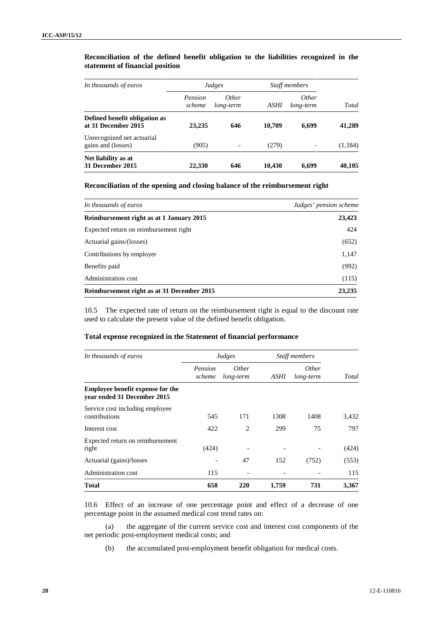### **Reconciliation of the defined benefit obligation to the liabilities recognized in the statement of financial position**

| In thousands of euros                                | Judges            |                           | <b>Staff members</b> |                           |         |
|------------------------------------------------------|-------------------|---------------------------|----------------------|---------------------------|---------|
|                                                      | Pension<br>scheme | <i>Other</i><br>long-term | ASHI                 | <i>Other</i><br>long-term | Total   |
| Defined benefit obligation as<br>at 31 December 2015 | 23,235            | 646                       | 10.709               | 6,699                     | 41,289  |
| Unrecognized net actuarial<br>gains and (losses)     | (905)             | $\overline{\phantom{0}}$  | (279)                |                           | (1,184) |
| Net liability as at<br>31 December 2015              | 22,330            | 646                       | 10.430               | 6.699                     | 40,105  |

#### **Reconciliation of the opening and closing balance of the reimbursement right**

| In thousands of euros                      | Judges' pension scheme |
|--------------------------------------------|------------------------|
| Reimbursement right as at 1 January 2015   | 23,423                 |
| Expected return on reimbursement right     | 424                    |
| Actuarial gains/(losses)                   | (652)                  |
| Contributions by employer                  | 1,147                  |
| Benefits paid                              | (992)                  |
| Administration cost                        | (115)                  |
| Reimbursement right as at 31 December 2015 | 23,235                 |

10.5 The expected rate of return on the reimbursement right is equal to the discount rate used to calculate the present value of the defined benefit obligation.

## **Total expense recognized in the Statement of financial performance**

| In thousands of euros                                           |                   | Judges                    |       | <b>Staff members</b>      |              |
|-----------------------------------------------------------------|-------------------|---------------------------|-------|---------------------------|--------------|
|                                                                 | Pension<br>scheme | <i>Other</i><br>long-term | ASHI  | <i>Other</i><br>long-term | <b>Total</b> |
| Employee benefit expense for the<br>year ended 31 December 2015 |                   |                           |       |                           |              |
| Service cost including employee<br>contributions                | 545               | 171                       | 1308  | 1408                      | 3,432        |
| Interest cost                                                   | 422               | $\overline{c}$            | 299   | 75                        | 797          |
| Expected return on reimbursement<br>right                       | (424)             |                           |       |                           | (424)        |
| Actuarial (gains)/losses                                        |                   | 47                        | 152   | (752)                     | (553)        |
| Administration cost                                             | 115               |                           |       |                           | 115          |
| <b>Total</b>                                                    | 658               | 220                       | 1,759 | 731                       | 3,367        |

10.6 Effect of an increase of one percentage point and effect of a decrease of one percentage point in the assumed medical cost trend rates on:

(a) the aggregate of the current service cost and interest cost components of the net periodic post-employment medical costs; and

(b) the accumulated post-employment benefit obligation for medical costs.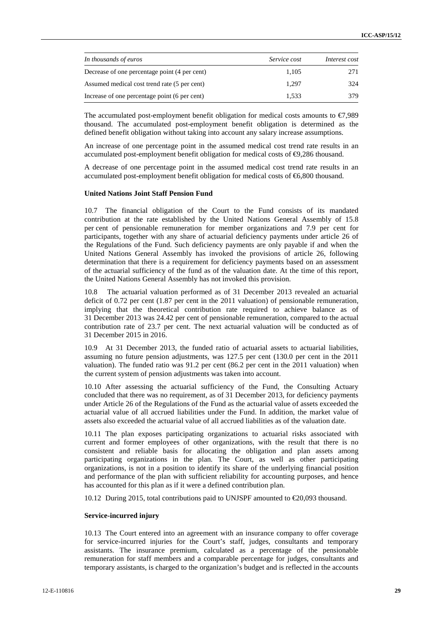| In thousands of euros                         | <i>Service cost</i> | Interest cost |
|-----------------------------------------------|---------------------|---------------|
| Decrease of one percentage point (4 per cent) | 1.105               | 271           |
| Assumed medical cost trend rate (5 per cent)  | 1.297               | 324           |
| Increase of one percentage point (6 per cent) | 1.533               | 379           |

The accumulated post-employment benefit obligation for medical costs amounts to  $\epsilon$ 7,989 thousand. The accumulated post-employment benefit obligation is determined as the defined benefit obligation without taking into account any salary increase assumptions.

An increase of one percentage point in the assumed medical cost trend rate results in an accumulated post-employment benefit obligation for medical costs of  $\Theta$ ,286 thousand.

A decrease of one percentage point in the assumed medical cost trend rate results in an accumulated post-employment benefit obligation for medical costs of €6,800 thousand.

#### **United Nations Joint Staff Pension Fund**

10.7 The financial obligation of the Court to the Fund consists of its mandated contribution at the rate established by the United Nations General Assembly of 15.8 per cent of pensionable remuneration for member organizations and 7.9 per cent for participants, together with any share of actuarial deficiency payments under article 26 of the Regulations of the Fund. Such deficiency payments are only payable if and when the United Nations General Assembly has invoked the provisions of article 26, following determination that there is a requirement for deficiency payments based on an assessment of the actuarial sufficiency of the fund as of the valuation date. At the time of this report, the United Nations General Assembly has not invoked this provision.

10.8 The actuarial valuation performed as of 31 December 2013 revealed an actuarial deficit of 0.72 per cent (1.87 per cent in the 2011 valuation) of pensionable remuneration, implying that the theoretical contribution rate required to achieve balance as of 31 December 2013 was 24.42 per cent of pensionable remuneration, compared to the actual contribution rate of 23.7 per cent. The next actuarial valuation will be conducted as of 31 December 2015 in 2016.

10.9 At 31 December 2013, the funded ratio of actuarial assets to actuarial liabilities, assuming no future pension adjustments, was 127.5 per cent (130.0 per cent in the 2011 valuation). The funded ratio was 91.2 per cent (86.2 per cent in the 2011 valuation) when the current system of pension adjustments was taken into account.

10.10 After assessing the actuarial sufficiency of the Fund, the Consulting Actuary concluded that there was no requirement, as of 31 December 2013, for deficiency payments under Article 26 of the Regulations of the Fund as the actuarial value of assets exceeded the actuarial value of all accrued liabilities under the Fund. In addition, the market value of assets also exceeded the actuarial value of all accrued liabilities as of the valuation date.

10.11 The plan exposes participating organizations to actuarial risks associated with current and former employees of other organizations, with the result that there is no consistent and reliable basis for allocating the obligation and plan assets among participating organizations in the plan. The Court, as well as other participating organizations, is not in a position to identify its share of the underlying financial position and performance of the plan with sufficient reliability for accounting purposes, and hence has accounted for this plan as if it were a defined contribution plan.

10.12 During 2015, total contributions paid to UNJSPF amounted to €20,093 thousand.

### **Service-incurred injury**

10.13 The Court entered into an agreement with an insurance company to offer coverage for service-incurred injuries for the Court's staff, judges, consultants and temporary assistants. The insurance premium, calculated as a percentage of the pensionable remuneration for staff members and a comparable percentage for judges, consultants and temporary assistants, is charged to the organization's budget and is reflected in the accounts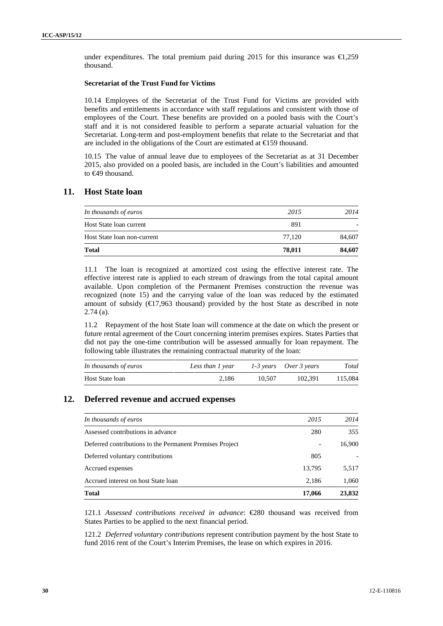under expenditures. The total premium paid during 2015 for this insurance was  $\epsilon$ ,259 thousand.

#### **Secretariat of the Trust Fund for Victims**

10.14 Employees of the Secretariat of the Trust Fund for Victims are provided with benefits and entitlements in accordance with staff regulations and consistent with those of employees of the Court. These benefits are provided on a pooled basis with the Court's staff and it is not considered feasible to perform a separate actuarial valuation for the Secretariat. Long-term and post-employment benefits that relate to the Secretariat and that are included in the obligations of the Court are estimated at  $\in$  59 thousand.

10.15 The value of annual leave due to employees of the Secretariat as at 31 December 2015, also provided on a pooled basis, are included in the Court's liabilities and amounted to €49 thousand.

## **11. Host State loan**

| Total                       | 78,011 | 84,607                   |
|-----------------------------|--------|--------------------------|
| Host State loan non-current | 77.120 | 84,607                   |
| Host State loan current     | 891    | $\overline{\phantom{0}}$ |
| In thousands of euros       | 2015   | 2014                     |

11.1 The loan is recognized at amortized cost using the effective interest rate. The effective interest rate is applied to each stream of drawings from the total capital amount available. Upon completion of the Permanent Premises construction the revenue was recognized (note 15) and the carrying value of the loan was reduced by the estimated amount of subsidy  $(\text{E}7,963$  thousand) provided by the host State as described in note 2.74 (a).

11.2 Repayment of the host State loan will commence at the date on which the present or future rental agreement of the Court concerning interim premises expires. States Parties that did not pay the one-time contribution will be assessed annually for loan repayment. The following table illustrates the remaining contractual maturity of the loan:

| In thousands of euros | Less than 1 year |        | 1-3 years Over 3 years | Total   |
|-----------------------|------------------|--------|------------------------|---------|
| Host State loan       | 2.186            | 10.507 | 102.391                | 115,084 |

## **12. Deferred revenue and accrued expenses**

| In thousands of euros                                    | 2015   | 2014                     |
|----------------------------------------------------------|--------|--------------------------|
| Assessed contributions in advance                        | 280    | 355                      |
| Deferred contributions to the Permanent Premises Project |        | 16,900                   |
| Deferred voluntary contributions                         | 805    | $\overline{\phantom{a}}$ |
| Accrued expenses                                         | 13,795 | 5,517                    |
| Accrued interest on host State loan                      | 2.186  | 1,060                    |
| <b>Total</b>                                             | 17,066 | 23,832                   |

121.1 *Assessed contributions received in advance*: €280 thousand was received from States Parties to be applied to the next financial period.

121.2 *Deferred voluntary contributions* represent contribution payment by the host State to fund 2016 rent of the Court's Interim Premises, the lease on which expires in 2016.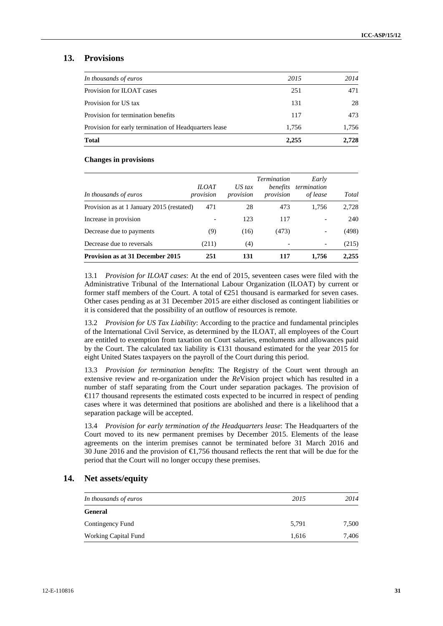## **13. Provisions**

| In thousands of euros                                 | 2015  | 2014  |
|-------------------------------------------------------|-------|-------|
| Provision for ILOAT cases                             | 251   | 471   |
| Provision for US tax                                  | 131   | 28    |
| Provision for termination benefits                    | 117   | 473   |
| Provision for early termination of Headquarters lease | 1.756 | 1,756 |
| <b>Total</b>                                          | 2.255 | 2.728 |

#### **Changes in provisions**

| In thousands of euros                     | <b>ILOAT</b><br>provision | $US$ tax<br>provision | <b>Termination</b><br>benefits<br>provision | Early<br>termination<br>of lease | Total |
|-------------------------------------------|---------------------------|-----------------------|---------------------------------------------|----------------------------------|-------|
| Provision as at 1 January 2015 (restated) | 471                       | 28                    | 473                                         | 1.756                            | 2,728 |
| Increase in provision                     |                           | 123                   | 117                                         |                                  | 240   |
| Decrease due to payments                  | (9)                       | (16)                  | (473)                                       | $\overline{\phantom{a}}$         | (498) |
| Decrease due to reversals                 | (211)                     | (4)                   | $\overline{\phantom{0}}$                    | $\overline{\phantom{a}}$         | (215) |
| <b>Provision as at 31 December 2015</b>   | 251                       | 131                   | 117                                         | 1.756                            | 2,255 |

13.1 *Provision for ILOAT cases*: At the end of 2015, seventeen cases were filed with the Administrative Tribunal of the International Labour Organization (ILOAT) by current or former staff members of the Court. A total of €251 thousand is earmarked for seven cases. Other cases pending as at 31 December 2015 are either disclosed as contingent liabilities or it is considered that the possibility of an outflow of resources is remote.

13.2 *Provision for US Tax Liability*: According to the practice and fundamental principles of the International Civil Service, as determined by the ILOAT, all employees of the Court are entitled to exemption from taxation on Court salaries, emoluments and allowances paid by the Court. The calculated tax liability is  $\bigoplus$  31 thousand estimated for the year 2015 for eight United States taxpayers on the payroll of the Court during this period.

13.3 *Provision for termination benefits*: The Registry of the Court went through an extensive review and re-organization under the *Re*Vision project which has resulted in a number of staff separating from the Court under separation packages. The provision of €117 thousand represents the estimated costs expected to be incurred in respect of pending cases where it was determined that positions are abolished and there is a likelihood that a separation package will be accepted.

13.4 *Provision for early termination of the Headquarters lease*: The Headquarters of the Court moved to its new permanent premises by December 2015. Elements of the lease agreements on the interim premises cannot be terminated before 31 March 2016 and 30 June 2016 and the provision of €1,756 thousand reflects the rent that will be due for the period that the Court will no longer occupy these premises.

## **14. Net assets/equity**

| In thousands of euros       | 2015  | 2014  |
|-----------------------------|-------|-------|
| General                     |       |       |
| Contingency Fund            | 5,791 | 7,500 |
| <b>Working Capital Fund</b> | 1,616 | 7.406 |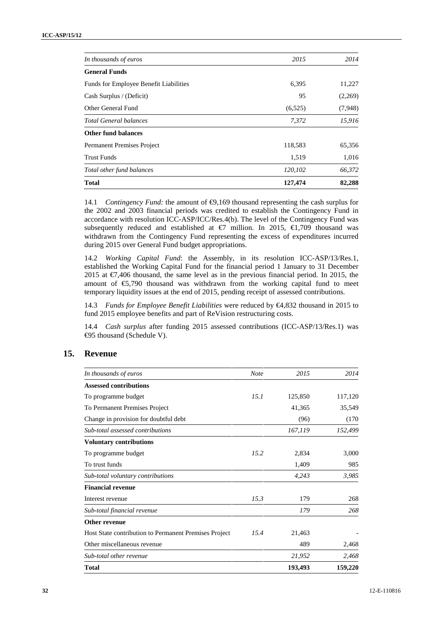| In thousands of euros                  | 2015    | 2014    |
|----------------------------------------|---------|---------|
| <b>General Funds</b>                   |         |         |
| Funds for Employee Benefit Liabilities | 6,395   | 11,227  |
| Cash Surplus / (Deficit)               | 95      | (2,269) |
| Other General Fund                     | (6,525) | (7,948) |
| <b>Total General balances</b>          | 7,372   | 15,916  |
| <b>Other fund balances</b>             |         |         |
| Permanent Premises Project             | 118,583 | 65,356  |
| <b>Trust Funds</b>                     | 1,519   | 1,016   |
| Total other fund balances              | 120,102 | 66,372  |
| Total                                  | 127,474 | 82,288  |

14.1 *Contingency Fund:* the amount of  $\Theta$ ,169 thousand representing the cash surplus for the 2002 and 2003 financial periods was credited to establish the Contingency Fund in accordance with resolution ICC-ASP/ICC/Res.4(b). The level of the Contingency Fund was subsequently reduced and established at  $\epsilon$ 7 million. In 2015,  $\epsilon$ 1,709 thousand was withdrawn from the Contingency Fund representing the excess of expenditures incurred during 2015 over General Fund budget appropriations.

14.2 *Working Capital Fund*: the Assembly, in its resolution ICC-ASP/13/Res.1, established the Working Capital Fund for the financial period 1 January to 31 December 2015 at  $\epsilon$ 7,406 thousand, the same level as in the previous financial period. In 2015, the amount of €5,790 thousand was withdrawn from the working capital fund to meet temporary liquidity issues at the end of 2015, pending receipt of assessed contributions.

14.3 *Funds for Employee Benefit Liabilities* were reduced by €4,832 thousand in 2015 to fund 2015 employee benefits and part of ReVision restructuring costs.

14.4 *Cash surplus* after funding 2015 assessed contributions (ICC-ASP/13/Res.1) was €95 thousand (Schedule V).

## **15. Revenue**

| In thousands of euros                                 | <b>Note</b> | 2015    | 2014    |
|-------------------------------------------------------|-------------|---------|---------|
| <b>Assessed contributions</b>                         |             |         |         |
| To programme budget                                   | 15.1        | 125,850 | 117,120 |
| To Permanent Premises Project                         |             | 41,365  | 35,549  |
| Change in provision for doubtful debt                 |             | (96)    | (170)   |
| Sub-total assessed contributions                      |             | 167,119 | 152,499 |
| <b>Voluntary contributions</b>                        |             |         |         |
| To programme budget                                   | 15.2        | 2,834   | 3,000   |
| To trust funds                                        |             | 1,409   | 985     |
| Sub-total voluntary contributions                     |             | 4,243   | 3,985   |
| <b>Financial revenue</b>                              |             |         |         |
| Interest revenue                                      | 15.3        | 179     | 268     |
| Sub-total financial revenue                           |             | 179     | 268     |
| Other revenue                                         |             |         |         |
| Host State contribution to Permanent Premises Project | 15.4        | 21,463  |         |
| Other miscellaneous revenue                           |             | 489     | 2,468   |
| Sub-total other revenue                               |             | 21,952  | 2,468   |
| <b>Total</b>                                          |             | 193,493 | 159,220 |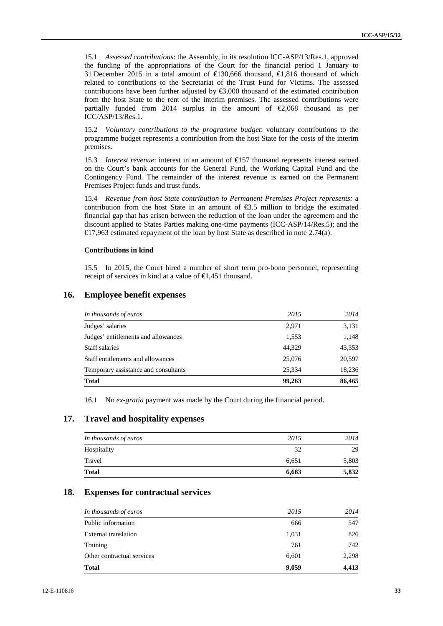15.1 *Assessed contributions*: the Assembly, in its resolution ICC-ASP/13/Res.1, approved the funding of the appropriations of the Court for the financial period 1 January to 31 December 2015 in a total amount of €130,666 thousand, €1,816 thousand of which related to contributions to the Secretariat of the Trust Fund for Victims. The assessed contributions have been further adjusted by  $\leq 3,000$  thousand of the estimated contribution from the host State to the rent of the interim premises. The assessed contributions were partially funded from 2014 surplus in the amount of  $\epsilon$ ,068 thousand as per ICC/ASP/13/Res.1.

15.2 *Voluntary contributions to the programme budget*: voluntary contributions to the programme budget represents a contribution from the host State for the costs of the interim premises.

15.3 *Interest revenue*: interest in an amount of €157 thousand represents interest earned on the Court's bank accounts for the General Fund, the Working Capital Fund and the Contingency Fund. The remainder of the interest revenue is earned on the Permanent Premises Project funds and trust funds.

15.4 *Revenue from host State contribution to Permanent Premises Project represents:* a contribution from the host State in an amount of €3.5 million to bridge the estimated financial gap that has arisen between the reduction of the loan under the agreement and the discount applied to States Parties making one-time payments (ICC-ASP/14/Res.5); and the €17,963 estimated repayment of the loan by host State as described in note 2.74(a).

### **Contributions in kind**

15.5 In 2015, the Court hired a number of short term pro-bono personnel, representing receipt of services in kind at a value of €1,451 thousand.

| In thousands of euros                | 2015   | 2014   |
|--------------------------------------|--------|--------|
| Judges' salaries                     | 2,971  | 3,131  |
| Judges' entitlements and allowances  | 1,553  | 1,148  |
| Staff salaries                       | 44,329 | 43,353 |
| Staff entitlements and allowances    | 25,076 | 20,597 |
| Temporary assistance and consultants | 25.334 | 18,236 |
| <b>Total</b>                         | 99,263 | 86,465 |

## **16. Employee benefit expenses**

16.1 No *ex-gratia* payment was made by the Court during the financial period.

## **17. Travel and hospitality expenses**

| Total                 | 6,683 | 5,832 |
|-----------------------|-------|-------|
| Travel                | 6,651 | 5,803 |
| Hospitality           | 32    | 29    |
| In thousands of euros | 2015  | 2014  |
|                       |       |       |

### **18. Expenses for contractual services**

| <b>Total</b>               | 9,059 | 4,413 |
|----------------------------|-------|-------|
| Other contractual services | 6,601 | 2,298 |
| Training                   | 761   | 742   |
| External translation       | 1,031 | 826   |
| Public information         | 666   | 547   |
| In thousands of euros      | 2015  | 2014  |
|                            |       |       |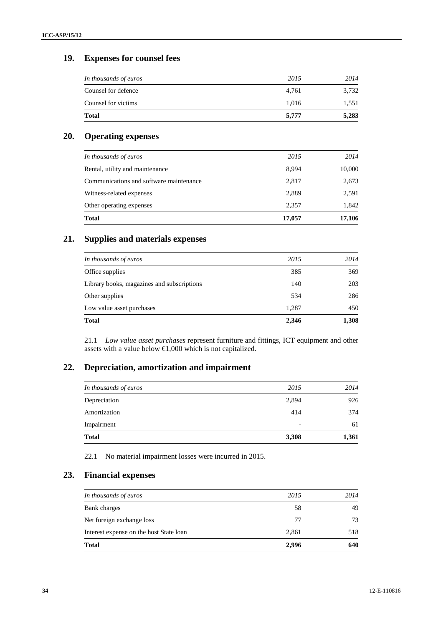## **19. Expenses for counsel fees**

| <b>Total</b>          | 5,777 | 5,283 |
|-----------------------|-------|-------|
| Counsel for victims   | 1,016 | 1,551 |
| Counsel for defence   | 4,761 | 3,732 |
| In thousands of euros | 2015  | 2014  |

## **20. Operating expenses**

| In thousands of euros                   | 2015   | 2014   |
|-----------------------------------------|--------|--------|
| Rental, utility and maintenance         | 8,994  | 10,000 |
| Communications and software maintenance | 2,817  | 2,673  |
| Witness-related expenses                | 2,889  | 2,591  |
| Other operating expenses                | 2,357  | 1,842  |
| <b>Total</b>                            | 17,057 | 17,106 |

# **21. Supplies and materials expenses**

| <b>Total</b>                               | 2,346 | 1,308 |
|--------------------------------------------|-------|-------|
| Low value asset purchases                  | 1,287 | 450   |
| Other supplies                             | 534   | 286   |
| Library books, magazines and subscriptions | 140   | 203   |
| Office supplies                            | 385   | 369   |
| In thousands of euros                      | 2015  | 2014  |

21.1 *Low value asset purchases* represent furniture and fittings, ICT equipment and other assets with a value below €1,000 which is not capitalized.

# **22. Depreciation, amortization and impairment**

| <b>Total</b>          | 3,308 | 1,361 |
|-----------------------|-------|-------|
| Impairment            | -     | 61    |
| Amortization          | 414   | 374   |
| Depreciation          | 2,894 | 926   |
| In thousands of euros | 2015  | 2014  |
|                       |       |       |

22.1 No material impairment losses were incurred in 2015.

# **23. Financial expenses**

| <b>Total</b>                            | 2,996 | 640  |
|-----------------------------------------|-------|------|
| Interest expense on the host State loan | 2,861 | 518  |
| Net foreign exchange loss               | 77    | 73   |
| Bank charges                            | 58    | 49   |
| In thousands of euros                   | 2015  | 2014 |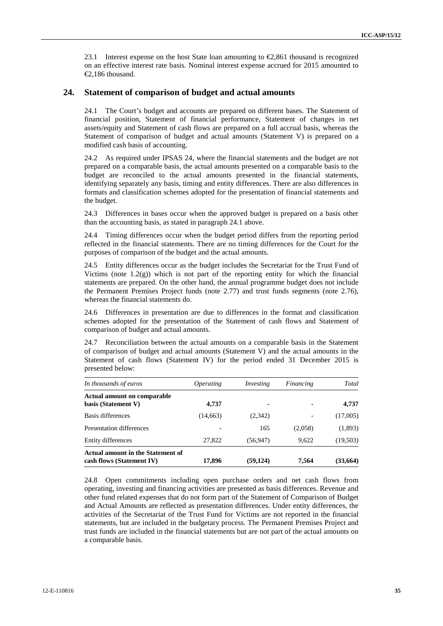23.1 Interest expense on the host State loan amounting to  $\epsilon$ ,861 thousand is recognized on an effective interest rate basis. Nominal interest expense accrued for 2015 amounted to €2,186 thousand.

### **24. Statement of comparison of budget and actual amounts**

24.1 The Court's budget and accounts are prepared on different bases. The Statement of financial position, Statement of financial performance, Statement of changes in net assets/equity and Statement of cash flows are prepared on a full accrual basis, whereas the Statement of comparison of budget and actual amounts (Statement V) is prepared on a modified cash basis of accounting.

24.2 As required under IPSAS 24, where the financial statements and the budget are not prepared on a comparable basis, the actual amounts presented on a comparable basis to the budget are reconciled to the actual amounts presented in the financial statements, identifying separately any basis, timing and entity differences. There are also differences in formats and classification schemes adopted for the presentation of financial statements and the budget.

24.3 Differences in bases occur when the approved budget is prepared on a basis other than the accounting basis, as stated in paragraph 24.1 above.

24.4 Timing differences occur when the budget period differs from the reporting period reflected in the financial statements. There are no timing differences for the Court for the purposes of comparison of the budget and the actual amounts.

24.5 Entity differences occur as the budget includes the Secretariat for the Trust Fund of Victims (note  $1.2(g)$ ) which is not part of the reporting entity for which the financial statements are prepared. On the other hand, the annual programme budget does not include the Permanent Premises Project funds (note 2.77) and trust funds segments (note 2.76), whereas the financial statements do.

24.6 Differences in presentation are due to differences in the format and classification schemes adopted for the presentation of the Statement of cash flows and Statement of comparison of budget and actual amounts.

24.7 Reconciliation between the actual amounts on a comparable basis in the Statement of comparison of budget and actual amounts (Statement V) and the actual amounts in the Statement of cash flows (Statement IV) for the period ended 31 December 2015 is presented below:

| In thousands of euros                                          | <i>Operating</i> | Investing | Financing | Total    |
|----------------------------------------------------------------|------------------|-----------|-----------|----------|
| <b>Actual amount on comparable</b><br>basis (Statement V)      | 4,737            | ۰         |           | 4,737    |
| Basis differences                                              | (14, 663)        | (2,342)   |           | (17,005) |
| Presentation differences                                       |                  | 165       | (2,058)   | (1,893)  |
| Entity differences                                             | 27,822           | (56, 947) | 9.622     | (19,503) |
| Actual amount in the Statement of<br>cash flows (Statement IV) | 17,896           | (59, 124) | 7,564     | (33,664) |

24.8 Open commitments including open purchase orders and net cash flows from operating, investing and financing activities are presented as basis differences. Revenue and other fund related expenses that do not form part of the Statement of Comparison of Budget and Actual Amounts are reflected as presentation differences. Under entity differences, the activities of the Secretariat of the Trust Fund for Victims are not reported in the financial statements, but are included in the budgetary process. The Permanent Premises Project and trust funds are included in the financial statements but are not part of the actual amounts on a comparable basis.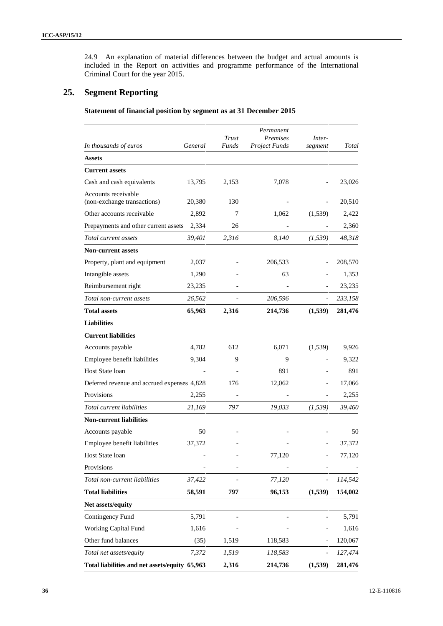24.9 An explanation of material differences between the budget and actual amounts is included in the Report on activities and programme performance of the International Criminal Court for the year 2015.

## **25. Segment Reporting**

**Statement of financial position by segment as at 31 December 2015**

|                                                    |         | Trust        | Permanent<br>Premises | Inter-   |         |
|----------------------------------------------------|---------|--------------|-----------------------|----------|---------|
| In thousands of euros                              | General | <b>Funds</b> | <b>Project Funds</b>  | segment  | Total   |
| <b>Assets</b>                                      |         |              |                       |          |         |
| <b>Current assets</b>                              |         |              |                       |          |         |
| Cash and cash equivalents                          | 13,795  | 2,153        | 7,078                 |          | 23,026  |
| Accounts receivable<br>(non-exchange transactions) | 20,380  | 130          |                       |          | 20,510  |
| Other accounts receivable                          | 2,892   | 7            | 1,062                 | (1,539)  | 2,422   |
| Prepayments and other current assets               | 2,334   | 26           |                       |          | 2,360   |
| Total current assets                               | 39,401  | 2,316        | 8,140                 | (1, 539) | 48,318  |
| <b>Non-current assets</b>                          |         |              |                       |          |         |
| Property, plant and equipment                      | 2,037   |              | 206,533               |          | 208,570 |
| Intangible assets                                  | 1,290   |              | 63                    |          | 1,353   |
| Reimbursement right                                | 23,235  |              |                       |          | 23,235  |
| Total non-current assets                           | 26,562  |              | 206,596               |          | 233,158 |
| <b>Total assets</b>                                | 65,963  | 2,316        | 214,736               | (1,539)  | 281,476 |
| <b>Liabilities</b>                                 |         |              |                       |          |         |
| <b>Current liabilities</b>                         |         |              |                       |          |         |
| Accounts payable                                   | 4,782   | 612          | 6,071                 | (1,539)  | 9,926   |
| Employee benefit liabilities                       | 9,304   | 9            | 9                     |          | 9,322   |
| Host State loan                                    |         |              | 891                   |          | 891     |
| Deferred revenue and accrued expenses 4,828        |         | 176          | 12,062                |          | 17,066  |
| Provisions                                         | 2,255   |              |                       |          | 2,255   |
| Total current liabilities                          | 21,169  | 797          | 19,033                | (1, 539) | 39,460  |
| <b>Non-current liabilities</b>                     |         |              |                       |          |         |
| Accounts payable                                   | 50      |              |                       |          | 50      |
| Employee benefit liabilities                       | 37,372  |              |                       |          | 37,372  |
| Host State loan                                    |         |              | 77,120                |          | 77,120  |
| Provisions                                         |         |              |                       |          |         |
| Total non-current liabilities                      | 37,422  |              | 77,120                |          | 114,542 |
| <b>Total liabilities</b>                           | 58,591  | 797          | 96,153                | (1,539)  | 154,002 |
| Net assets/equity                                  |         |              |                       |          |         |
| Contingency Fund                                   | 5,791   |              |                       |          | 5,791   |
| Working Capital Fund                               | 1,616   |              |                       |          | 1,616   |
| Other fund balances                                | (35)    | 1,519        | 118,583               |          | 120,067 |
| Total net assets/equity                            | 7,372   | 1,519        | 118,583               |          | 127,474 |
| Total liabilities and net assets/equity 65,963     |         | 2,316        | 214,736               | (1, 539) | 281,476 |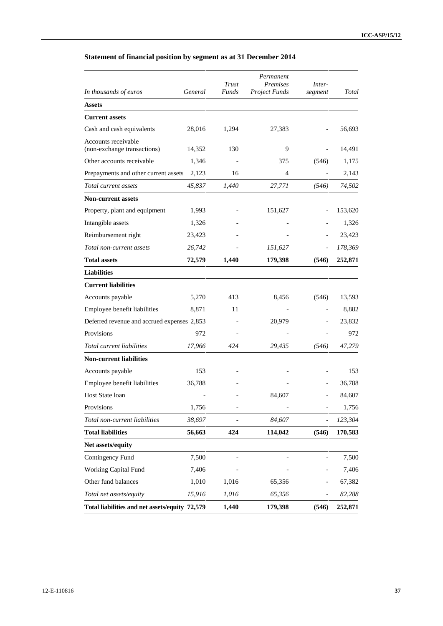| In thousands of euros                          | General | Trust<br><b>Funds</b> | Permanent<br>Premises<br><b>Project Funds</b> | Inter-<br>segment | Total   |
|------------------------------------------------|---------|-----------------------|-----------------------------------------------|-------------------|---------|
| <b>Assets</b>                                  |         |                       |                                               |                   |         |
| <b>Current assets</b>                          |         |                       |                                               |                   |         |
| Cash and cash equivalents                      | 28,016  | 1,294                 | 27,383                                        |                   | 56,693  |
| Accounts receivable                            |         |                       |                                               |                   |         |
| (non-exchange transactions)                    | 14,352  | 130                   | 9                                             |                   | 14,491  |
| Other accounts receivable                      | 1,346   |                       | 375                                           | (546)             | 1,175   |
| Prepayments and other current assets           | 2,123   | 16                    | $\overline{4}$                                |                   | 2,143   |
| Total current assets                           | 45,837  | 1,440                 | 27,771                                        | (546)             | 74,502  |
| <b>Non-current assets</b>                      |         |                       |                                               |                   |         |
| Property, plant and equipment                  | 1,993   |                       | 151,627                                       |                   | 153,620 |
| Intangible assets                              | 1,326   |                       |                                               |                   | 1,326   |
| Reimbursement right                            | 23,423  |                       |                                               |                   | 23,423  |
| Total non-current assets                       | 26,742  |                       | 151,627                                       |                   | 178,369 |
| <b>Total assets</b>                            | 72,579  | 1,440                 | 179,398                                       | (546)             | 252,871 |
| <b>Liabilities</b>                             |         |                       |                                               |                   |         |
| <b>Current liabilities</b>                     |         |                       |                                               |                   |         |
| Accounts payable                               | 5,270   | 413                   | 8,456                                         | (546)             | 13,593  |
| Employee benefit liabilities                   | 8,871   | 11                    |                                               |                   | 8,882   |
| Deferred revenue and accrued expenses 2,853    |         |                       | 20,979                                        |                   | 23,832  |
| Provisions                                     | 972     |                       |                                               |                   | 972     |
| Total current liabilities                      | 17,966  | 424                   | 29,435                                        | (546)             | 47,279  |
| <b>Non-current liabilities</b>                 |         |                       |                                               |                   |         |
| Accounts payable                               | 153     |                       |                                               |                   | 153     |
| Employee benefit liabilities                   | 36,788  |                       |                                               |                   | 36,788  |
| Host State loan                                |         |                       | 84,607                                        |                   | 84,607  |
| Provisions                                     | 1,756   |                       |                                               |                   | 1,756   |
| Total non-current liabilities                  | 38,697  |                       | 84,607                                        |                   | 123,304 |
| <b>Total liabilities</b>                       | 56,663  | 424                   | 114,042                                       | (546)             | 170,583 |
| Net assets/equity                              |         |                       |                                               |                   |         |
| Contingency Fund                               | 7,500   |                       |                                               |                   | 7,500   |
| <b>Working Capital Fund</b>                    | 7,406   |                       |                                               |                   | 7,406   |
| Other fund balances                            | 1,010   | 1,016                 | 65,356                                        |                   | 67,382  |
| Total net assets/equity                        | 15,916  | 1,016                 | 65,356                                        |                   | 82,288  |
| Total liabilities and net assets/equity 72,579 |         | 1,440                 | 179,398                                       | (546)             | 252,871 |

## **Statement of financial position by segment as at 31 December 2014**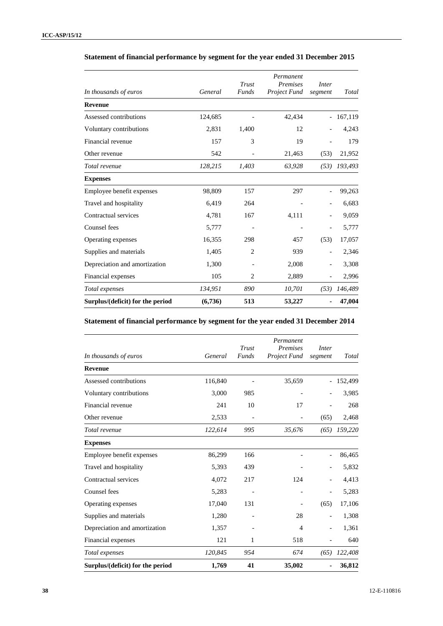| In thousands of euros            | General | Trust<br>Funds           | Permanent<br><b>Premises</b><br>Project Fund | Inter<br>segment         | Total   |
|----------------------------------|---------|--------------------------|----------------------------------------------|--------------------------|---------|
| <b>Revenue</b>                   |         |                          |                                              |                          |         |
| Assessed contributions           | 124,685 |                          | 42,434                                       |                          | 167,119 |
| Voluntary contributions          | 2,831   | 1,400                    | 12                                           |                          | 4,243   |
| Financial revenue                | 157     | 3                        | 19                                           |                          | 179     |
| Other revenue                    | 542     |                          | 21,463                                       | (53)                     | 21,952  |
| Total revenue                    | 128,215 | 1,403                    | 63,928                                       | (53)                     | 193,493 |
| <b>Expenses</b>                  |         |                          |                                              |                          |         |
| Employee benefit expenses        | 98,809  | 157                      | 297                                          |                          | 99,263  |
| Travel and hospitality           | 6,419   | 264                      |                                              |                          | 6,683   |
| Contractual services             | 4,781   | 167                      | 4,111                                        |                          | 9,059   |
| Counsel fees                     | 5,777   | $\overline{\phantom{a}}$ |                                              | $\overline{\phantom{0}}$ | 5,777   |
| Operating expenses               | 16,355  | 298                      | 457                                          | (53)                     | 17,057  |
| Supplies and materials           | 1,405   | $\overline{c}$           | 939                                          | $\overline{\phantom{0}}$ | 2,346   |
| Depreciation and amortization    | 1,300   |                          | 2,008                                        |                          | 3,308   |
| Financial expenses               | 105     | 2                        | 2,889                                        |                          | 2,996   |
| Total expenses                   | 134,951 | 890                      | 10,701                                       | (53)                     | 146,489 |
| Surplus/(deficit) for the period | (6,736) | 513                      | 53,227                                       |                          | 47,004  |

### **Statement of financial performance by segment for the year ended 31 December 2015**

### **Statement of financial performance by segment for the year ended 31 December 2014**

| In thousands of euros            | General | Trust<br>Funds           | Permanent<br><b>Premises</b><br>Project Fund | Inter<br>segment | Total   |
|----------------------------------|---------|--------------------------|----------------------------------------------|------------------|---------|
| <b>Revenue</b>                   |         |                          |                                              |                  |         |
| Assessed contributions           | 116,840 |                          | 35,659                                       |                  | 152,499 |
| Voluntary contributions          | 3,000   | 985                      |                                              |                  | 3,985   |
| Financial revenue                | 241     | 10                       | 17                                           |                  | 268     |
| Other revenue                    | 2,533   | $\overline{\phantom{a}}$ |                                              | (65)             | 2,468   |
| Total revenue                    | 122,614 | 995                      | 35,676                                       | (65)             | 159,220 |
| <b>Expenses</b>                  |         |                          |                                              |                  |         |
| Employee benefit expenses        | 86,299  | 166                      |                                              |                  | 86,465  |
| Travel and hospitality           | 5,393   | 439                      |                                              |                  | 5,832   |
| Contractual services             | 4,072   | 217                      | 124                                          |                  | 4,413   |
| Counsel fees                     | 5,283   |                          |                                              |                  | 5,283   |
| Operating expenses               | 17,040  | 131                      |                                              | (65)             | 17,106  |
| Supplies and materials           | 1,280   |                          | 28                                           |                  | 1,308   |
| Depreciation and amortization    | 1,357   |                          | 4                                            |                  | 1,361   |
| Financial expenses               | 121     | 1                        | 518                                          |                  | 640     |
| Total expenses                   | 120,845 | 954                      | 674                                          | (65)             | 122,408 |
| Surplus/(deficit) for the period | 1,769   | 41                       | 35,002                                       |                  | 36,812  |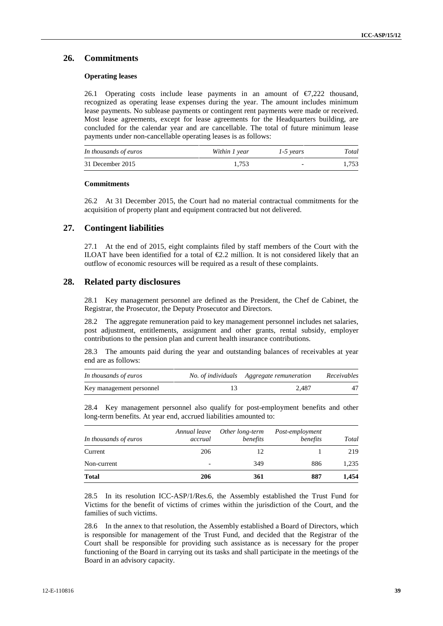#### **26. Commitments**

#### **Operating leases**

26.1 Operating costs include lease payments in an amount of  $\epsilon$ 7,222 thousand, recognized as operating lease expenses during the year. The amount includes minimum lease payments. No sublease payments or contingent rent payments were made or received. Most lease agreements, except for lease agreements for the Headquarters building, are concluded for the calendar year and are cancellable. The total of future minimum lease payments under non-cancellable operating leases is as follows:

| In thousands of euros | Within 1 year | 1-5 years                | Total |
|-----------------------|---------------|--------------------------|-------|
| 31 December 2015      | 1.753         | $\overline{\phantom{0}}$ | 1.753 |

#### **Commitments**

26.2 At 31 December 2015, the Court had no material contractual commitments for the acquisition of property plant and equipment contracted but not delivered.

#### **27. Contingent liabilities**

27.1 At the end of 2015, eight complaints filed by staff members of the Court with the ILOAT have been identified for a total of  $\epsilon 2.2$  million. It is not considered likely that an outflow of economic resources will be required as a result of these complaints.

#### **28. Related party disclosures**

28.1 Key management personnel are defined as the President, the Chef de Cabinet, the Registrar, the Prosecutor, the Deputy Prosecutor and Directors.

28.2 The aggregate remuneration paid to key management personnel includes net salaries, post adjustment, entitlements, assignment and other grants, rental subsidy, employer contributions to the pension plan and current health insurance contributions.

28.3 The amounts paid during the year and outstanding balances of receivables at year end are as follows:

| In thousands of euros    | No. of individuals Aggregate remuneration | Receivables |
|--------------------------|-------------------------------------------|-------------|
| Key management personnel | 2.487                                     |             |

28.4 Key management personnel also qualify for post-employment benefits and other long-term benefits. At year end, accrued liabilities amounted to:

| In thousands of euros | Annual leave<br>accrual  | Other long-term<br>benefits | Post-employment<br>benefits | Total |
|-----------------------|--------------------------|-----------------------------|-----------------------------|-------|
| Current               | 206                      | 12                          |                             | 219   |
| Non-current           | $\overline{\phantom{0}}$ | 349                         | 886                         | 1,235 |
| <b>Total</b>          | 206                      | 361                         | 887                         | 1,454 |

28.5 In its resolution ICC-ASP/1/Res.6, the Assembly established the Trust Fund for Victims for the benefit of victims of crimes within the jurisdiction of the Court, and the families of such victims.

28.6 In the annex to that resolution, the Assembly established a Board of Directors, which is responsible for management of the Trust Fund, and decided that the Registrar of the Court shall be responsible for providing such assistance as is necessary for the proper functioning of the Board in carrying out its tasks and shall participate in the meetings of the Board in an advisory capacity.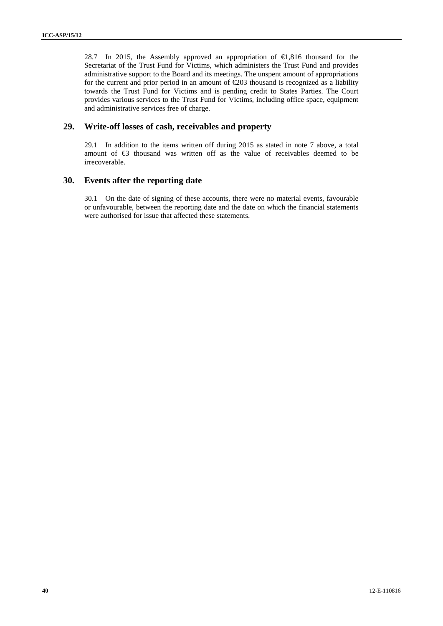28.7 In 2015, the Assembly approved an appropriation of €1,816 thousand for the Secretariat of the Trust Fund for Victims, which administers the Trust Fund and provides administrative support to the Board and its meetings. The unspent amount of appropriations for the current and prior period in an amount of  $E$ 03 thousand is recognized as a liability towards the Trust Fund for Victims and is pending credit to States Parties. The Court provides various services to the Trust Fund for Victims, including office space, equipment and administrative services free of charge.

#### **29. Write-off losses of cash, receivables and property**

29.1 In addition to the items written off during 2015 as stated in note 7 above, a total amount of €3 thousand was written off as the value of receivables deemed to be irrecoverable.

#### **30. Events after the reporting date**

30.1 On the date of signing of these accounts, there were no material events, favourable or unfavourable, between the reporting date and the date on which the financial statements were authorised for issue that affected these statements.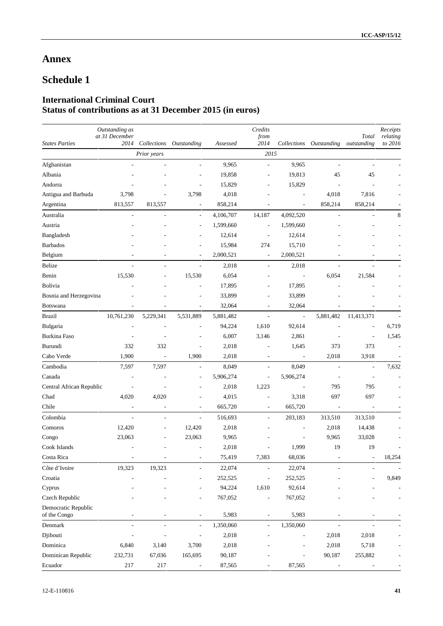## **Annex**

# **Schedule 1**

## **International Criminal Court Status of contributions as at 31 December 2015 (in euros)**

| <b>States Parties</b>               | Outstanding as<br>at 31 December<br>2014 |                          | Collections Outstanding  | Assessed  | Credits<br>from<br>2014  | Collections              | Outstanding    | Total<br>outstanding     | Receipts<br>relating<br>to 2016 |
|-------------------------------------|------------------------------------------|--------------------------|--------------------------|-----------|--------------------------|--------------------------|----------------|--------------------------|---------------------------------|
|                                     |                                          | Prior years              |                          |           | 2015                     |                          |                |                          |                                 |
| Afghanistan                         |                                          |                          |                          | 9,965     | ÷,                       | 9,965                    | ÷,             | ÷,                       |                                 |
| Albania                             |                                          |                          |                          | 19,858    |                          | 19,813                   | 45             | 45                       |                                 |
| Andorra                             |                                          |                          |                          | 15,829    |                          | 15,829                   |                |                          |                                 |
| Antigua and Barbuda                 | 3,798                                    |                          | 3,798                    | 4,018     |                          |                          | 4,018          | 7,816                    |                                 |
| Argentina                           | 813,557                                  | 813,557                  | $\overline{\phantom{a}}$ | 858,214   | ÷,                       | $\overline{\phantom{a}}$ | 858,214        | 858,214                  |                                 |
| Australia                           | $\overline{a}$                           |                          | $\overline{\phantom{a}}$ | 4,106,707 | 14,187                   | 4,092,520                | ÷,             |                          | 8                               |
| Austria                             |                                          |                          | $\overline{\phantom{a}}$ | 1,599,660 | $\overline{\phantom{a}}$ | 1,599,660                |                |                          |                                 |
| Bangladesh                          |                                          |                          |                          | 12,614    | $\overline{\phantom{a}}$ | 12,614                   |                |                          |                                 |
| <b>Barbados</b>                     |                                          |                          |                          | 15,984    | 274                      | 15,710                   |                |                          |                                 |
| Belgium                             |                                          |                          |                          | 2,000,521 | Ĭ.                       | 2,000,521                |                |                          |                                 |
| Belize                              | $\mathcal{L}$                            |                          | ÷,                       | 2,018     | $\overline{\phantom{a}}$ | 2,018                    | L,             | $\overline{a}$           |                                 |
| Benin                               | 15,530                                   |                          | 15,530                   | 6,054     |                          | $\overline{a}$           | 6,054          | 21,584                   |                                 |
| Bolivia                             |                                          |                          |                          | 17,895    | $\overline{a}$           | 17,895                   |                |                          |                                 |
| Bosnia and Herzegovina              |                                          |                          |                          | 33,899    | $\overline{a}$           | 33,899                   |                |                          |                                 |
| <b>Botswana</b>                     |                                          |                          | ÷,                       | 32,064    | $\overline{\phantom{a}}$ | 32,064                   |                |                          |                                 |
| <b>Brazil</b>                       | 10,761,230                               | 5,229,341                | 5,531,889                | 5,881,482 | $\overline{a}$           | $\overline{\phantom{a}}$ | 5,881,482      | 11,413,371               |                                 |
| Bulgaria                            |                                          |                          |                          | 94,224    | 1,610                    | 92,614                   |                |                          | 6,719                           |
| <b>Burkina Faso</b>                 |                                          |                          | ÷,                       | 6,007     | 3,146                    | 2,861                    |                | ÷,                       | 1,545                           |
| Burundi                             | 332                                      | 332                      | $\overline{a}$           | 2,018     | $\overline{\phantom{a}}$ | 1,645                    | 373            | 373                      |                                 |
| Cabo Verde                          | 1,900                                    | $\overline{\phantom{a}}$ | 1,900                    | 2,018     | $\overline{a}$           | $\overline{\phantom{a}}$ | 2,018          | 3,918                    |                                 |
| Cambodia                            | 7,597                                    | 7,597                    | L,                       | 8,049     | $\overline{\phantom{a}}$ | 8,049                    | $\overline{a}$ | Ĭ.                       | 7,632                           |
| Canada                              | $\overline{\phantom{a}}$                 |                          | $\overline{a}$           | 5,906,274 | $\overline{\phantom{a}}$ | 5,906,274                |                |                          |                                 |
| Central African Republic            |                                          |                          | ÷                        | 2,018     | 1,223                    |                          | 795            | 795                      |                                 |
| Chad                                | 4,020                                    | 4,020                    | ٠                        | 4,015     | $\overline{\phantom{a}}$ | 3,318                    | 697            | 697                      |                                 |
| Chile                               | $\overline{\phantom{a}}$                 |                          | ÷,                       | 665,720   | $\overline{\phantom{a}}$ | 665,720                  | $\overline{a}$ |                          |                                 |
| Colombia                            | $\overline{\phantom{a}}$                 |                          | ÷,                       | 516,693   | $\overline{a}$           | 203,183                  | 313,510        | 313,510                  |                                 |
| Comoros                             | 12,420                                   | $\overline{\phantom{a}}$ | 12,420                   | 2,018     |                          | $\overline{a}$           | 2,018          | 14,438                   |                                 |
| Congo                               | 23,063                                   |                          | 23,063                   | 9,965     |                          | $\overline{\phantom{a}}$ | 9,965          | 33,028                   |                                 |
| Cook Islands                        |                                          |                          |                          | 2,018     |                          | 1,999                    | 19             | 19                       |                                 |
| Costa Rica                          |                                          |                          |                          | 75,419    | 7,383                    | 68,036                   |                |                          | 18,254                          |
| Côte d'Ivoire                       | 19,323                                   | 19,323                   | $\overline{\phantom{a}}$ | 22,074    | $\overline{\phantom{a}}$ | 22,074                   |                |                          |                                 |
| Croatia                             |                                          |                          |                          | 252,525   | $\overline{a}$           | 252,525                  |                |                          | 9,849                           |
| Cyprus                              |                                          |                          |                          | 94,224    | 1,610                    | 92,614                   |                |                          |                                 |
| Czech Republic                      |                                          |                          |                          | 767,052   | ÷,                       | 767,052                  |                |                          |                                 |
| Democratic Republic<br>of the Congo |                                          |                          | ÷,                       | 5,983     | $\overline{\phantom{a}}$ | 5,983                    | L,             | L,                       |                                 |
| Denmark                             | L,                                       | $\overline{\phantom{a}}$ | $\overline{\phantom{a}}$ | 1,350,060 | $\blacksquare$           | 1,350,060                | ÷,             | $\overline{\phantom{a}}$ |                                 |
| Djibouti                            |                                          |                          | ÷,                       | 2,018     |                          |                          | 2,018          | 2,018                    |                                 |
| Dominica                            | 6,840                                    | 3,140                    | 3,700                    | 2,018     |                          |                          | 2,018          | 5,718                    |                                 |
| Dominican Republic                  | 232,731                                  | 67,036                   | 165,695                  | 90,187    |                          |                          | 90,187         | 255,882                  |                                 |
| Ecuador                             | 217                                      | 217                      |                          | 87,565    |                          | 87,565                   |                |                          |                                 |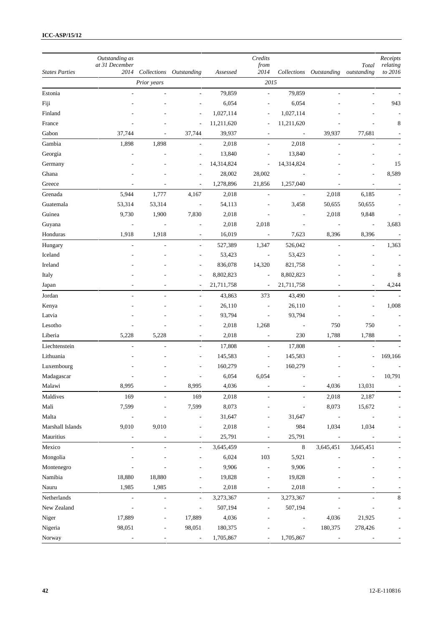| <b>States Parties</b> | Outstanding as<br>at 31 December | Collections              |                          |            | Credits<br>from          |                          |                          | Total                    | Receipts<br>relating |
|-----------------------|----------------------------------|--------------------------|--------------------------|------------|--------------------------|--------------------------|--------------------------|--------------------------|----------------------|
|                       | 2014                             | Prior years              | Outstanding              | Assessed   | 2014<br>2015             |                          | Collections Outstanding  | outstanding              | to 2016              |
| Estonia               |                                  |                          |                          | 79,859     | $\overline{\phantom{a}}$ | 79,859                   |                          |                          |                      |
| Fiji                  |                                  |                          | ÷,                       | 6,054      | $\overline{\phantom{a}}$ | 6,054                    |                          |                          | 943                  |
| Finland               |                                  |                          | $\overline{a}$           | 1,027,114  | $\overline{a}$           | 1,027,114                |                          |                          |                      |
| France                |                                  |                          | $\overline{\phantom{a}}$ | 11,211,620 | $\overline{\phantom{a}}$ | 11,211,620               |                          |                          | 8                    |
| Gabon                 | 37,744                           |                          | 37,744                   | 39,937     | $\overline{\phantom{a}}$ | ÷,                       | 39,937                   | 77,681                   |                      |
|                       |                                  |                          |                          |            |                          |                          |                          |                          |                      |
| Gambia                | 1,898                            | 1,898                    | ÷,                       | 2,018      | $\overline{\phantom{a}}$ | 2,018                    | L,                       | L,                       |                      |
| Georgia               |                                  |                          | $\overline{a}$           | 13,840     | $\overline{\phantom{a}}$ | 13,840                   |                          |                          |                      |
| Germany               |                                  |                          | ÷,                       | 14,314,824 | $\overline{\phantom{a}}$ | 14,314,824               |                          |                          | 15                   |
| Ghana                 |                                  |                          |                          | 28,002     | 28,002                   |                          |                          |                          | 8,589                |
| Greece                | $\overline{a}$                   |                          | $\overline{\phantom{a}}$ | 1,278,896  | 21,856                   | 1,257,040                |                          | L,                       |                      |
| Grenada               | 5,944                            | 1,777                    | 4,167                    | 2,018      | $\overline{\phantom{a}}$ | $\overline{\phantom{a}}$ | 2,018                    | 6,185                    |                      |
| Guatemala             | 53,314                           | 53,314                   | $\overline{\phantom{a}}$ | 54,113     | $\overline{\phantom{a}}$ | 3,458                    | 50,655                   | 50,655                   |                      |
| Guinea                | 9,730                            | 1,900                    | 7,830                    | 2,018      |                          |                          | 2,018                    | 9,848                    |                      |
| Guyana                | $\frac{1}{2}$                    |                          | ÷,                       | 2,018      | 2,018                    | ÷,                       | ÷,                       | $\overline{\phantom{a}}$ | 3,683                |
| Honduras              | 1,918                            | 1,918                    | $\overline{a}$           | 16,019     | $\overline{\phantom{a}}$ | 7,623                    | 8,396                    | 8,396                    |                      |
| Hungary               | $\overline{a}$                   | $\sim$                   | $\overline{\phantom{a}}$ | 527,389    | 1,347                    | 526,042                  | ÷,                       | $\overline{\phantom{a}}$ | 1,363                |
| Iceland               |                                  |                          | $\overline{a}$           | 53,423     | $\overline{\phantom{a}}$ | 53,423                   |                          |                          |                      |
| Ireland               |                                  |                          | ÷,                       | 836,078    | 14,320                   | 821,758                  |                          |                          |                      |
| Italy                 |                                  |                          |                          | 8,802,823  | $\overline{\phantom{a}}$ | 8,802,823                |                          |                          | 8                    |
| Japan                 |                                  |                          | ÷,                       | 21,711,758 | $\overline{\phantom{a}}$ | 21,711,758               |                          |                          | 4,244                |
| Jordan                |                                  |                          | ÷,                       | 43,863     | 373                      | 43,490                   | ÷,                       | $\overline{a}$           |                      |
| Kenya                 |                                  |                          |                          | 26,110     | $\overline{\phantom{a}}$ | 26,110                   |                          |                          | 1,008                |
| Latvia                |                                  |                          | $\overline{a}$           | 93,794     | $\overline{\phantom{a}}$ | 93,794                   |                          |                          |                      |
| Lesotho               |                                  |                          |                          | 2,018      | 1,268                    | ÷,                       | 750                      | 750                      |                      |
| Liberia               | 5,228                            | 5,228                    | $\overline{\phantom{a}}$ | 2,018      | $\overline{\phantom{a}}$ | 230                      | 1,788                    | 1,788                    |                      |
| Liechtenstein         | $\overline{a}$                   | $\overline{\phantom{a}}$ | $\overline{\phantom{a}}$ | 17,808     | $\overline{\phantom{a}}$ | 17,808                   | L,                       | $\overline{\phantom{a}}$ |                      |
| Lithuania             |                                  |                          |                          | 145,583    | $\overline{\phantom{a}}$ | 145,583                  |                          | -                        | 169,166              |
| Luxembourg            |                                  |                          |                          | 160,279    | $\overline{\phantom{a}}$ | 160,279                  |                          |                          |                      |
| Madagascar            |                                  |                          | ٠                        | 6,054      | 6,054                    | $\overline{a}$           |                          | ٠                        | 10,791               |
| Malawi                | 8,995                            |                          | 8,995                    | 4,036      |                          |                          | 4,036                    | 13,031                   |                      |
| Maldives              | 169                              |                          | 169                      | 2,018      |                          |                          | 2,018                    | 2,187                    |                      |
| Mali                  | 7,599                            |                          | 7,599                    | 8,073      |                          | ÷,                       | 8,073                    | 15,672                   |                      |
| Malta                 |                                  |                          |                          | 31,647     |                          | 31,647                   | $\overline{\phantom{a}}$ |                          |                      |
| Marshall Islands      | 9,010                            | 9,010                    | $\overline{a}$           | 2,018      | $\overline{\phantom{a}}$ | 984                      | 1,034                    | 1,034                    |                      |
| Mauritius             |                                  |                          | ÷,                       | 25,791     | $\overline{a}$           | 25,791                   |                          |                          |                      |
| Mexico                | $\overline{\phantom{a}}$         | $\blacksquare$           | $\overline{\phantom{a}}$ | 3,645,459  | $\overline{\phantom{a}}$ | $\,8\,$                  | 3,645,451                | 3,645,451                |                      |
| Mongolia              |                                  |                          | $\overline{a}$           | 6,024      | 103                      | 5,921                    | $\overline{a}$           |                          |                      |
| Montenegro            |                                  |                          |                          | 9,906      | $\overline{\phantom{a}}$ | 9,906                    |                          |                          |                      |
| Namibia               | 18,880                           | 18,880                   |                          | 19,828     |                          | 19,828                   |                          |                          |                      |
| Nauru                 | 1,985                            | 1,985                    | $\overline{a}$           | 2,018      | $\overline{a}$           | 2,018                    |                          | $\overline{a}$           |                      |
| Netherlands           |                                  | $\overline{a}$           | $\blacksquare$           | 3,273,367  | $\overline{\phantom{a}}$ | 3,273,367                | L,                       | L,                       | $\,$ 8 $\,$          |
| New Zealand           |                                  |                          | ÷,                       | 507,194    | $\overline{\phantom{a}}$ | 507,194                  |                          |                          |                      |
| Niger                 | 17,889                           |                          | 17,889                   | 4,036      |                          |                          | 4,036                    | 21,925                   |                      |
| Nigeria               | 98,051                           |                          | 98,051                   | 180,375    |                          | $\overline{\phantom{a}}$ | 180,375                  | 278,426                  |                      |
| Norway                |                                  |                          | $\overline{\phantom{a}}$ | 1,705,867  |                          | 1,705,867                |                          |                          |                      |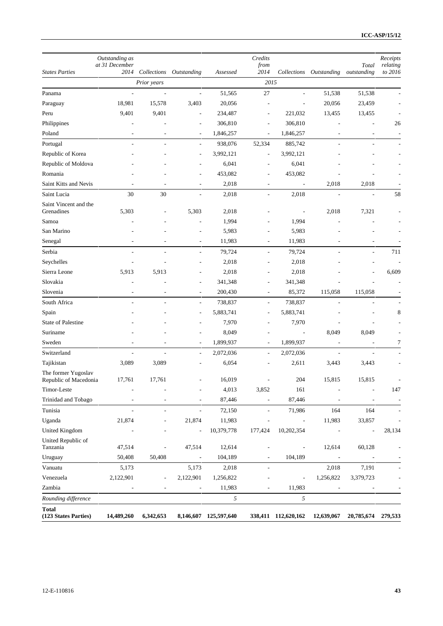|                                              | Outstanding as<br>at 31 December |                              |                          |                       | Credits<br>from              |                          |                          | Total                    | Receipts<br>relating |
|----------------------------------------------|----------------------------------|------------------------------|--------------------------|-----------------------|------------------------------|--------------------------|--------------------------|--------------------------|----------------------|
| <b>States Parties</b>                        | 2014                             | Collections                  | Outstanding              | Assessed              | 2014                         | Collections              | Outstanding              | outstanding              | to 2016              |
|                                              |                                  | Prior years                  |                          |                       | 2015                         |                          |                          |                          |                      |
| Panama                                       | $\overline{a}$                   | ÷,                           | ÷,                       | 51,565                | 27                           | L.                       | 51,538                   | 51,538                   |                      |
| Paraguay                                     | 18,981                           | 15,578                       | 3,403                    | 20,056                |                              |                          | 20,056                   | 23,459                   |                      |
| Peru                                         | 9,401                            | 9,401                        | L,                       | 234,487               | $\overline{\phantom{a}}$     | 221,032                  | 13,455                   | 13,455                   |                      |
| Philippines                                  |                                  |                              | ÷                        | 306,810               | $\overline{a}$               | 306,810                  |                          |                          | 26                   |
| Poland                                       |                                  |                              | $\overline{\phantom{a}}$ | 1,846,257             | $\overline{a}$               | 1,846,257                |                          | $\overline{\phantom{m}}$ |                      |
| Portugal                                     |                                  |                              | ÷,                       | 938,076               | 52,334                       | 885,742                  |                          |                          |                      |
| Republic of Korea                            |                                  |                              | ä,                       | 3,992,121             | $\overline{\phantom{a}}$     | 3,992,121                |                          |                          |                      |
| Republic of Moldova                          |                                  |                              | ٠                        | 6,041                 | $\overline{\phantom{a}}$     | 6,041                    |                          |                          |                      |
| Romania                                      |                                  |                              |                          | 453,082               | $\overline{\phantom{a}}$     | 453,082                  |                          |                          |                      |
| Saint Kitts and Nevis                        |                                  |                              | ٠                        | 2,018                 |                              | $\overline{\phantom{a}}$ | 2,018                    | 2,018                    |                      |
| Saint Lucia                                  | 30                               | 30                           | L,                       | 2,018                 | $\overline{\phantom{a}}$     | 2,018                    | L,                       | L,                       | 58                   |
| Saint Vincent and the                        |                                  |                              |                          |                       |                              |                          |                          |                          |                      |
| Grenadines                                   | 5,303                            |                              | 5,303                    | 2,018                 |                              | $\overline{\phantom{a}}$ | 2,018                    | 7,321                    |                      |
| Samoa                                        |                                  |                              |                          | 1,994                 |                              | 1,994                    |                          |                          |                      |
| San Marino                                   |                                  |                              |                          | 5,983                 |                              | 5,983                    |                          |                          |                      |
| Senegal                                      |                                  |                              |                          | 11,983                |                              | 11,983                   |                          |                          |                      |
| Serbia                                       |                                  |                              | $\overline{\phantom{a}}$ | 79,724                | $\overline{\phantom{a}}$     | 79,724                   |                          | ٠                        | 711                  |
| Seychelles                                   |                                  |                              | ٠                        | 2,018                 | ٠                            | 2,018                    |                          |                          |                      |
| Sierra Leone                                 | 5,913                            | 5,913                        | ä,                       | 2,018                 | $\overline{\phantom{a}}$     | 2,018                    |                          |                          | 6,609                |
| Slovakia                                     |                                  |                              | ÷,                       | 341,348               | ÷,                           | 341,348                  |                          |                          |                      |
| Slovenia                                     | $\overline{a}$                   | $\overline{\phantom{a}}$     | ÷,                       | 200,430               | $\overline{\phantom{a}}$     | 85,372                   | 115,058                  | 115,058                  |                      |
| South Africa                                 |                                  |                              | ÷,                       | 738,837               | L,                           | 738,837                  |                          |                          |                      |
| Spain                                        |                                  |                              | $\overline{a}$           | 5,883,741             | ٠                            | 5,883,741                |                          |                          | 8                    |
| <b>State of Palestine</b>                    |                                  |                              |                          | 7,970                 |                              | 7,970                    |                          |                          |                      |
| Suriname                                     |                                  |                              | L,                       | 8,049                 |                              | $\overline{\phantom{a}}$ | 8,049                    | 8,049                    |                      |
| Sweden                                       | ٠                                |                              | $\overline{a}$           | 1,899,937             | $\overline{\phantom{a}}$     | 1,899,937                | $\overline{\phantom{a}}$ | L,                       | 7                    |
| Switzerland                                  |                                  |                              | L,                       | 2,072,036             | $\overline{\phantom{a}}$     | 2,072,036                |                          | L,                       |                      |
| Tajikistan                                   | 3,089                            | 3,089                        | $\overline{a}$           | 6,054                 |                              | 2,611                    | 3,443                    | 3,443                    |                      |
| The former Yugoslav<br>Republic of Macedonia | 17,761                           | 17,761                       |                          | 16,019                |                              | 204                      | 15,815                   | 15,815                   |                      |
| Timor-Leste                                  |                                  |                              | $\overline{\phantom{a}}$ | 4,013                 | 3,852                        | 161                      | $\overline{a}$           |                          | 147                  |
| Trinidad and Tobago                          |                                  |                              |                          | 87,446                | $\overline{a}$               | 87,446                   |                          |                          |                      |
| Tunisia                                      | $\overline{a}$                   | $\overline{a}$               | $\overline{\phantom{a}}$ | 72,150                | $\overline{\phantom{a}}$     | 71,986                   | 164                      | 164                      |                      |
| Uganda                                       | 21,874                           | $\overline{\phantom{a}}$     | 21,874                   | 11,983                | $\overline{\phantom{a}}$     | $\Box$                   | 11,983                   | 33,857                   |                      |
| <b>United Kingdom</b>                        |                                  |                              | $\overline{\phantom{a}}$ | 10,379,778            | 177,424                      | 10,202,354               | $\overline{a}$           | $\overline{a}$           | 28,134               |
| United Republic of                           |                                  |                              |                          |                       |                              |                          |                          |                          |                      |
| Tanzania                                     | 47,514                           | $\overline{a}$               | 47,514                   | 12,614                | $\qquad \qquad \blacksquare$ | $\overline{\phantom{a}}$ | 12,614                   | 60,128                   |                      |
| Uruguay                                      | 50,408                           | 50,408                       | $\overline{\phantom{a}}$ | 104,189               | $\overline{\phantom{a}}$     | 104,189                  | $\overline{\phantom{a}}$ | $\overline{\phantom{a}}$ |                      |
| Vanuatu                                      | 5,173                            |                              | 5,173                    | 2,018                 | $\overline{\phantom{a}}$     |                          | 2,018                    | 7,191                    |                      |
| Venezuela                                    | 2,122,901                        | $\qquad \qquad \blacksquare$ | 2,122,901                | 1,256,822             |                              | $\overline{\phantom{a}}$ | 1,256,822                | 3,379,723                |                      |
| Zambia                                       |                                  | $\equiv$                     | $\overline{\phantom{a}}$ | 11,983                | $\overline{a}$               | 11,983                   | $\blacksquare$           | $\blacksquare$           |                      |
| Rounding difference                          |                                  |                              |                          | 5                     |                              | 5                        |                          |                          |                      |
| <b>Total</b><br>(123 States Parties)         | 14,489,260                       | 6,342,653                    |                          | 8,146,607 125,597,640 |                              | 338,411 112,620,162      | 12,639,067               | 20,785,674               | 279,533              |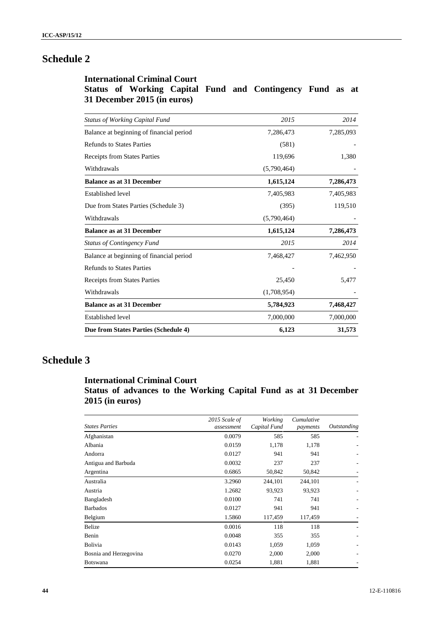# **Schedule 2**

## **International Criminal Court Status of Working Capital Fund and Contingency Fund as at 31 December 2015 (in euros)**

| <b>Status of Working Capital Fund</b>    | 2015        | 2014      |
|------------------------------------------|-------------|-----------|
| Balance at beginning of financial period | 7,286,473   | 7,285,093 |
| <b>Refunds to States Parties</b>         | (581)       |           |
| Receipts from States Parties             | 119,696     | 1,380     |
| Withdrawals                              | (5,790,464) |           |
| <b>Balance as at 31 December</b>         | 1,615,124   | 7,286,473 |
| <b>Established level</b>                 | 7,405,983   | 7,405,983 |
| Due from States Parties (Schedule 3)     | (395)       | 119,510   |
| Withdrawals                              | (5,790,464) |           |
| <b>Balance as at 31 December</b>         | 1,615,124   | 7,286,473 |
| <b>Status of Contingency Fund</b>        | 2015        | 2014      |
| Balance at beginning of financial period | 7,468,427   | 7,462,950 |
| <b>Refunds to States Parties</b>         |             |           |
| Receipts from States Parties             | 25,450      | 5,477     |
| Withdrawals                              | (1,708,954) |           |
| <b>Balance as at 31 December</b>         | 5,784,923   | 7,468,427 |
| <b>Established level</b>                 | 7,000,000   | 7,000,000 |
| Due from States Parties (Schedule 4)     | 6,123       | 31,573    |

# **Schedule 3**

## **International Criminal Court**

## **Status of advances to the Working Capital Fund as at 31 December 2015 (in euros)**

| <b>States Parties</b>  | 2015 Scale of<br>assessment | Working<br>Capital Fund | Cumulative<br>payments | Outstanding |
|------------------------|-----------------------------|-------------------------|------------------------|-------------|
| Afghanistan            | 0.0079                      | 585                     | 585                    |             |
| Albania                | 0.0159                      | 1,178                   | 1,178                  |             |
| Andorra                | 0.0127                      | 941                     | 941                    |             |
| Antigua and Barbuda    | 0.0032                      | 237                     | 237                    |             |
| Argentina              | 0.6865                      | 50,842                  | 50,842                 |             |
| Australia              | 3.2960                      | 244,101                 | 244,101                |             |
| Austria                | 1.2682                      | 93,923                  | 93,923                 |             |
| Bangladesh             | 0.0100                      | 741                     | 741                    |             |
| <b>Barbados</b>        | 0.0127                      | 941                     | 941                    | ۰           |
| Belgium                | 1.5860                      | 117,459                 | 117,459                |             |
| Belize                 | 0.0016                      | 118                     | 118                    |             |
| Benin                  | 0.0048                      | 355                     | 355                    |             |
| Bolivia                | 0.0143                      | 1,059                   | 1,059                  |             |
| Bosnia and Herzegovina | 0.0270                      | 2,000                   | 2,000                  |             |
| <b>Botswana</b>        | 0.0254                      | 1,881                   | 1,881                  |             |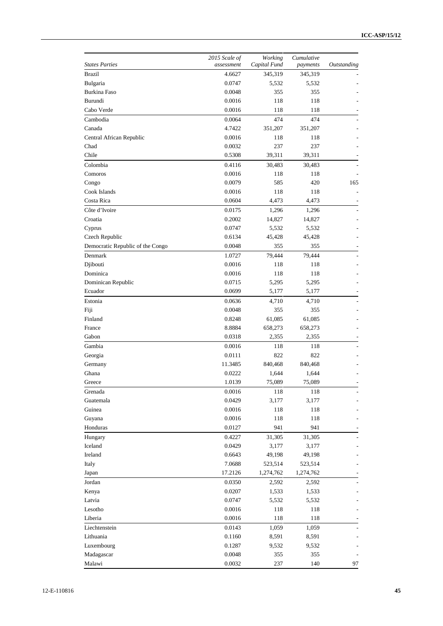| <b>States Parties</b>            | 2015 Scale of<br>assessment | Working<br>Capital Fund | Cumulative<br>payments | Outstanding |
|----------------------------------|-----------------------------|-------------------------|------------------------|-------------|
| <b>Brazil</b>                    | 4.6627                      | 345,319                 | 345,319                |             |
| Bulgaria                         | 0.0747                      | 5,532                   | 5,532                  |             |
| Burkina Faso                     | 0.0048                      | 355                     | 355                    |             |
| Burundi                          | 0.0016                      | 118                     | 118                    |             |
| Cabo Verde                       | 0.0016                      | 118                     | 118                    |             |
| Cambodia                         | 0.0064                      | 474                     | 474                    |             |
| Canada                           | 4.7422                      | 351,207                 | 351,207                |             |
| Central African Republic         | 0.0016                      | 118                     | 118                    |             |
| Chad                             | 0.0032                      | 237                     | 237                    |             |
| Chile                            | 0.5308                      | 39,311                  | 39,311                 |             |
| Colombia                         | 0.4116                      | 30,483                  | 30,483                 |             |
| Comoros                          | 0.0016                      | 118                     | 118                    |             |
| Congo                            | 0.0079                      | 585                     | 420                    | 165         |
| Cook Islands                     | 0.0016                      | 118                     | 118                    |             |
| Costa Rica                       | 0.0604                      | 4,473                   | 4,473                  |             |
| Côte d'Ivoire                    | 0.0175                      | 1,296                   | 1,296                  |             |
| Croatia                          | 0.2002                      | 14,827                  | 14,827                 |             |
| Cyprus                           | 0.0747                      | 5,532                   | 5,532                  |             |
| Czech Republic                   | 0.6134                      | 45,428                  | 45,428                 |             |
| Democratic Republic of the Congo | 0.0048                      | 355                     | 355                    |             |
| Denmark                          | 1.0727                      | 79,444                  | 79,444                 |             |
| Djibouti                         | 0.0016                      | 118                     | 118                    |             |
| Dominica                         | 0.0016                      | 118                     | 118                    |             |
| Dominican Republic               | 0.0715                      | 5,295                   | 5,295                  |             |
| Ecuador                          | 0.0699                      | 5,177                   | 5,177                  |             |
| Estonia                          | 0.0636                      | 4,710                   | 4,710                  |             |
| Fiji                             | 0.0048                      | 355                     | 355                    |             |
| Finland                          | 0.8248                      | 61,085                  | 61,085                 |             |
| France                           | 8.8884                      | 658,273                 | 658,273                |             |
| Gabon                            | 0.0318                      | 2,355                   | 2,355                  |             |
| Gambia                           | 0.0016                      | 118                     | 118                    |             |
| Georgia                          | 0.0111                      | 822                     | 822                    |             |
| Germany                          | 11.3485                     | 840,468                 | 840,468                |             |
| Ghana                            | 0.0222                      | 1,644                   | 1,644                  |             |
| Greece                           | 1.0139                      | 75,089                  | 75,089                 |             |
| Grenada                          | 0.0016                      | 118                     | 118                    |             |
| Guatemala                        | 0.0429                      | 3,177                   | 3,177                  |             |
| Guinea                           | 0.0016                      | 118                     | 118                    |             |
| Guyana                           | 0.0016                      | 118                     | 118                    |             |
| Honduras                         | 0.0127                      | 941                     | 941                    |             |
| Hungary                          | 0.4227                      | 31,305                  | 31,305                 |             |
| Iceland                          | 0.0429                      | 3,177                   | 3,177                  |             |
| Ireland                          | 0.6643                      | 49,198                  | 49,198                 |             |
| Italy                            | 7.0688                      | 523,514                 | 523,514                |             |
| Japan                            | 17.2126                     | 1,274,762               | 1,274,762              |             |
| Jordan                           | 0.0350                      | 2,592                   | 2,592                  |             |
| Kenya                            | 0.0207                      | 1,533                   | 1,533                  |             |
| Latvia                           | 0.0747                      | 5,532                   | 5,532                  |             |
| Lesotho                          | 0.0016                      | 118                     | 118                    |             |
| Liberia                          | 0.0016                      | 118                     | 118                    |             |
| Liechtenstein                    | 0.0143                      | 1,059                   | 1,059                  |             |
| Lithuania                        | 0.1160                      | 8,591                   | 8,591                  |             |
| Luxembourg                       | 0.1287                      | 9,532                   | 9,532                  |             |
| Madagascar                       | 0.0048                      | 355                     | 355                    |             |
| Malawi                           | 0.0032                      | 237                     | 140                    | 97          |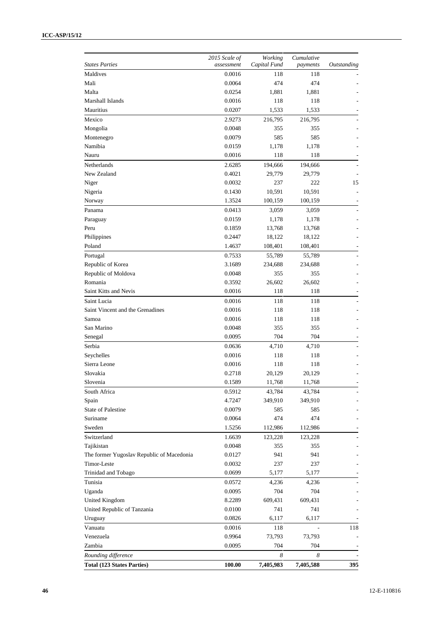| <b>States Parties</b>                     | 2015 Scale of<br>assessment | Working<br>Capital Fund | Cumulative<br>payments | Outstanding |
|-------------------------------------------|-----------------------------|-------------------------|------------------------|-------------|
| Maldives                                  | 0.0016                      | 118                     | 118                    |             |
| Mali                                      | 0.0064                      | 474                     | 474                    |             |
| Malta                                     | 0.0254                      | 1,881                   | 1,881                  |             |
| Marshall Islands                          | 0.0016                      | 118                     | 118                    |             |
| Mauritius                                 | 0.0207                      | 1,533                   | 1,533                  |             |
| Mexico                                    | 2.9273                      | 216,795                 | 216,795                |             |
| Mongolia                                  | 0.0048                      | 355                     | 355                    |             |
| Montenegro                                | 0.0079                      | 585                     | 585                    |             |
| Namibia                                   | 0.0159                      | 1,178                   | 1,178                  |             |
| Nauru                                     | 0.0016                      | 118                     | 118                    |             |
| Netherlands                               | 2.6285                      | 194,666                 | 194,666                |             |
| New Zealand                               | 0.4021                      | 29,779                  | 29,779                 |             |
| Niger                                     | 0.0032                      | 237                     | 222                    | 15          |
| Nigeria                                   | 0.1430                      | 10,591                  | 10,591                 |             |
| Norway                                    | 1.3524                      | 100,159                 | 100,159                |             |
| Panama                                    | 0.0413                      | 3,059                   | 3,059                  |             |
| Paraguay                                  | 0.0159                      | 1,178                   | 1,178                  |             |
| Peru                                      | 0.1859                      | 13,768                  | 13,768                 |             |
| Philippines                               | 0.2447                      | 18,122                  | 18,122                 |             |
| Poland                                    | 1.4637                      | 108,401                 | 108,401                |             |
| Portugal                                  | 0.7533                      | 55,789                  | 55,789                 |             |
| Republic of Korea                         | 3.1689                      | 234,688                 | 234,688                |             |
| Republic of Moldova                       | 0.0048                      | 355                     | 355                    |             |
| Romania                                   | 0.3592                      | 26,602                  | 26,602                 |             |
| Saint Kitts and Nevis                     | 0.0016                      | 118                     | 118                    |             |
| Saint Lucia                               | 0.0016                      | 118                     | 118                    |             |
| Saint Vincent and the Grenadines          | 0.0016                      | 118                     | 118                    |             |
| Samoa                                     | 0.0016                      | 118                     | 118                    |             |
| San Marino                                | 0.0048                      | 355                     | 355                    |             |
| Senegal                                   | 0.0095                      | 704                     | 704                    |             |
| Serbia                                    | 0.0636                      | 4,710                   | 4,710                  |             |
| Seychelles                                | 0.0016                      | 118                     | 118                    |             |
| Sierra Leone                              | 0.0016                      | 118                     | 118                    |             |
| Slovakia                                  | 0.2718                      | 20,129                  | 20,129                 |             |
| Slovenia                                  | 0.1589                      | 11,768                  | 11,768                 |             |
| South Africa                              | 0.5912                      | 43,784                  | 43,784                 |             |
| Spain                                     | 4.7247                      | 349,910                 | 349,910                |             |
| <b>State of Palestine</b>                 | 0.0079                      | 585                     | 585                    |             |
| Suriname                                  | 0.0064                      | 474                     | 474                    |             |
| Sweden                                    | 1.5256                      | 112,986                 | 112,986                |             |
| Switzerland                               | 1.6639                      | 123,228                 | 123,228                |             |
| Tajikistan                                | 0.0048                      | 355                     | 355                    |             |
| The former Yugoslav Republic of Macedonia | 0.0127                      | 941                     | 941                    |             |
| Timor-Leste                               | 0.0032                      | 237                     | 237                    |             |
| Trinidad and Tobago                       | 0.0699                      | 5,177                   | 5,177                  |             |
| Tunisia                                   | 0.0572                      | 4,236                   | 4,236                  |             |
| Uganda                                    | 0.0095                      | 704                     | 704                    |             |
| <b>United Kingdom</b>                     | 8.2289                      | 609,431                 | 609,431                |             |
| United Republic of Tanzania               | 0.0100                      | 741                     | 741                    |             |
| Uruguay                                   | 0.0826                      | 6,117                   | 6,117                  |             |
| Vanuatu                                   | 0.0016                      | 118                     |                        | 118         |
| Venezuela                                 | 0.9964                      | 73,793                  | 73,793                 |             |
| Zambia                                    | 0.0095                      | 704                     | 704                    |             |
| Rounding difference                       |                             | 8                       | 8                      |             |
| <b>Total (123 States Parties)</b>         | 100.00                      | 7,405,983               | 7,405,588              | 395         |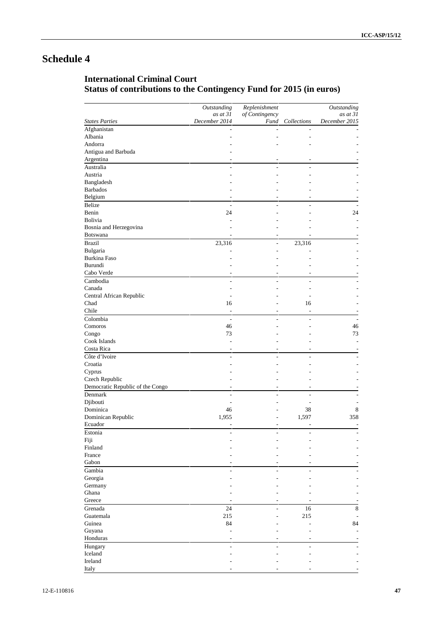# **Schedule 4**

# **International Criminal Court Status of contributions to the Contingency Fund for 2015 (in euros)**

|                                  | <b>Outstanding</b><br>as at 31 | Replenishment<br>of Contingency |                              | Outstanding<br>as at 31 |
|----------------------------------|--------------------------------|---------------------------------|------------------------------|-------------------------|
| <b>States Parties</b>            | December 2014                  | Fund                            | $Collections$                | December 2015           |
| Afghanistan                      | $\overline{a}$                 | $\overline{a}$                  | $\overline{\phantom{a}}$     |                         |
| Albania                          |                                |                                 | L,                           |                         |
| Andorra                          |                                |                                 |                              |                         |
| Antigua and Barbuda              |                                |                                 |                              |                         |
| Argentina                        | $\overline{\phantom{a}}$       |                                 | $\overline{\phantom{a}}$     |                         |
| Australia                        | $\overline{a}$                 | $\overline{a}$                  | $\overline{a}$               |                         |
| Austria                          |                                |                                 |                              |                         |
| Bangladesh                       |                                |                                 |                              |                         |
| <b>Barbados</b>                  |                                |                                 |                              |                         |
| Belgium                          | $\overline{\phantom{a}}$       | $\overline{a}$                  | $\overline{\phantom{a}}$     |                         |
| Belize                           | ÷,                             | ÷,                              | ÷,                           | ÷,                      |
| Benin                            | 24                             |                                 |                              | 24                      |
| <b>Bolivia</b>                   |                                |                                 |                              |                         |
| Bosnia and Herzegovina           |                                |                                 |                              |                         |
| <b>Botswana</b>                  | $\overline{\phantom{a}}$       |                                 | ä,                           |                         |
| <b>Brazil</b>                    | 23,316                         | $\overline{a}$                  | 23,316                       |                         |
| Bulgaria                         |                                |                                 | L,                           |                         |
| <b>Burkina Faso</b>              |                                |                                 |                              |                         |
| Burundi                          |                                |                                 |                              |                         |
| Cabo Verde                       | $\overline{\phantom{a}}$       |                                 | $\overline{\phantom{a}}$     |                         |
| Cambodia                         |                                |                                 | ÷,                           |                         |
| Canada                           | ÷,<br>L,                       | $\overline{\phantom{a}}$        | L,                           |                         |
|                                  |                                |                                 |                              |                         |
| Central African Republic         | ÷                              |                                 | ÷                            |                         |
| Chad                             | 16                             |                                 | 16                           |                         |
| Chile                            | $\overline{\phantom{a}}$       |                                 | ÷,                           |                         |
| Colombia                         | $\overline{a}$                 | $\overline{a}$                  | $\overline{a}$               | ÷,                      |
| Comoros                          | 46                             |                                 |                              | 46                      |
| Congo                            | 73                             |                                 |                              | 73                      |
| Cook Islands                     | ÷                              |                                 | ÷                            |                         |
| Costa Rica                       | $\overline{\phantom{a}}$       | $\qquad \qquad -$               | $\overline{\phantom{a}}$     |                         |
| Côte d'Ivoire                    | ÷.                             |                                 | L.                           |                         |
| Croatia                          |                                |                                 |                              |                         |
| Cyprus                           |                                |                                 |                              |                         |
| Czech Republic                   |                                |                                 |                              |                         |
| Democratic Republic of the Congo | $\overline{\phantom{a}}$       | ٠                               | $\overline{\phantom{a}}$     |                         |
| Denmark                          | $\overline{a}$                 | L.                              | $\overline{a}$               |                         |
| Djibouti                         | ÷                              |                                 | ÷                            | $\overline{a}$          |
| Dominica                         | 46                             |                                 | 38                           | 8                       |
| Dominican Republic               | 1,955                          |                                 | 1,597                        | 358                     |
| Ecuador                          | $\overline{\phantom{a}}$       | $\qquad \qquad -$               | $\qquad \qquad \blacksquare$ |                         |
| Estonia                          | ÷                              | $\overline{a}$                  | ÷.                           |                         |
| Fiji                             |                                |                                 |                              |                         |
| Finland                          |                                |                                 |                              |                         |
| France                           |                                |                                 |                              |                         |
| Gabon                            |                                |                                 |                              |                         |
| Gambia                           | $\overline{a}$                 | $\overline{a}$                  | $\overline{a}$               |                         |
| Georgia                          |                                |                                 |                              |                         |
| Germany                          |                                |                                 |                              |                         |
| Ghana                            |                                |                                 |                              |                         |
| Greece                           |                                |                                 |                              |                         |
| Grenada                          | 24                             | L.                              | 16                           | 8                       |
| Guatemala                        | 215                            |                                 | 215                          | $\overline{a}$          |
| Guinea                           | 84                             |                                 | ÷                            | 84                      |
| Guyana                           | L.                             |                                 |                              |                         |
|                                  |                                |                                 | ÷,                           |                         |
| Honduras                         | ÷,                             |                                 | $\overline{\phantom{a}}$     |                         |
| Hungary                          | $\overline{a}$                 | $\overline{a}$                  | $\overline{a}$               |                         |
| Iceland                          |                                |                                 |                              |                         |
| Ireland                          |                                |                                 |                              |                         |
| Italy                            |                                |                                 |                              |                         |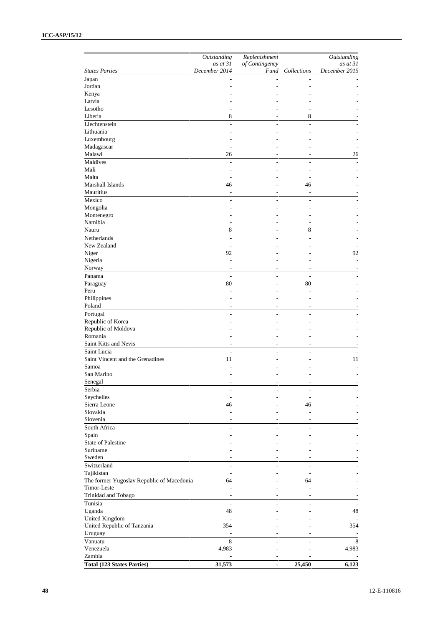#### **ICC-ASP/15/12**

| December 2014<br><b>States Parties</b><br>Fund Collections<br>Japan<br>L,<br>Jordan<br>÷<br>Kenya<br>Latvia<br>Lesotho<br>÷.<br>٠<br>Liberia<br>8<br>8<br>Liechtenstein<br>÷.<br>÷<br>Lithuania<br>Luxembourg<br>Madagascar<br>÷<br>۰<br>Malawi<br>26<br>٠<br>Maldives<br>L.<br>÷.<br>÷<br>Mali<br>÷,<br>٠<br>Malta<br>L,<br>L,<br>Marshall Islands<br>46<br>46<br>Mauritius<br>÷,<br>ä,<br>Mexico<br>÷<br>÷<br>٠<br>Mongolia<br>٠<br>٠<br>Montenegro<br>L,<br>Namibia<br>÷<br>٠<br>8<br>8<br>Nauru<br>Netherlands<br>$\overline{a}$<br>$\overline{a}$<br>÷<br>New Zealand<br>L,<br>92<br>Niger<br>Nigeria<br>$\overline{\phantom{a}}$<br>÷<br>Norway<br>٠<br>٠<br>Panama<br>÷,<br>÷,<br>80<br>80<br>Paraguay<br>Peru<br>L,<br>Ĭ.<br>Philippines<br>Poland<br>٠<br>٠<br>Portugal<br>÷,<br>÷,<br>L.<br>Republic of Korea<br>٠<br>٠<br>Republic of Moldova<br>Romania<br>Saint Kitts and Nevis<br>$\overline{\phantom{a}}$<br>$\overline{\phantom{a}}$<br>Saint Lucia<br>÷,<br>L,<br>Saint Vincent and the Grenadines<br>11<br>÷<br>Samoa<br>L,<br>San Marino<br>Senegal<br>Serbia<br>÷<br>$\overline{\phantom{a}}$<br>Seychelles<br>÷,<br>÷<br>Sierra Leone<br>46<br>46<br>Slovakia<br>$\overline{a}$<br>$\overline{a}$<br>Slovenia<br>٠<br>$\overline{a}$<br>South Africa<br>L,<br>$\overline{\phantom{a}}$<br>Spain<br>٠<br>٠<br>State of Palestine<br>Suriname<br>Sweden<br>٠<br>Switzerland<br>$\frac{1}{2}$<br>$\frac{1}{2}$<br>$\overline{a}$<br>Tajikistan<br>÷,<br>÷,<br>The former Yugoslav Republic of Macedonia<br>64<br>64<br>Timor-Leste<br>$\overline{a}$<br>÷,<br>Trinidad and Tobago<br>٠<br>٠<br>Tunisia<br>÷,<br>L,<br>Uganda<br>48<br>United Kingdom<br>$\overline{a}$<br>United Republic of Tanzania<br>354<br>Uruguay<br>$\overline{a}$<br>Vanuatu<br>8<br>$\overline{a}$<br>$\overline{a}$<br>Venezuela<br>4,983<br>٠<br>Zambia<br>$\overline{\phantom{a}}$<br>$\overline{\phantom{a}}$ | Outstanding<br>$as$ at $31$ | Replenishment<br>of Contingency | Outstanding<br>as at 31  |
|--------------------------------------------------------------------------------------------------------------------------------------------------------------------------------------------------------------------------------------------------------------------------------------------------------------------------------------------------------------------------------------------------------------------------------------------------------------------------------------------------------------------------------------------------------------------------------------------------------------------------------------------------------------------------------------------------------------------------------------------------------------------------------------------------------------------------------------------------------------------------------------------------------------------------------------------------------------------------------------------------------------------------------------------------------------------------------------------------------------------------------------------------------------------------------------------------------------------------------------------------------------------------------------------------------------------------------------------------------------------------------------------------------------------------------------------------------------------------------------------------------------------------------------------------------------------------------------------------------------------------------------------------------------------------------------------------------------------------------------------------------------------------------------------------------------------------------------------------------------------------------------------------------------|-----------------------------|---------------------------------|--------------------------|
|                                                                                                                                                                                                                                                                                                                                                                                                                                                                                                                                                                                                                                                                                                                                                                                                                                                                                                                                                                                                                                                                                                                                                                                                                                                                                                                                                                                                                                                                                                                                                                                                                                                                                                                                                                                                                                                                                                              |                             |                                 | December 2015            |
|                                                                                                                                                                                                                                                                                                                                                                                                                                                                                                                                                                                                                                                                                                                                                                                                                                                                                                                                                                                                                                                                                                                                                                                                                                                                                                                                                                                                                                                                                                                                                                                                                                                                                                                                                                                                                                                                                                              |                             |                                 |                          |
|                                                                                                                                                                                                                                                                                                                                                                                                                                                                                                                                                                                                                                                                                                                                                                                                                                                                                                                                                                                                                                                                                                                                                                                                                                                                                                                                                                                                                                                                                                                                                                                                                                                                                                                                                                                                                                                                                                              |                             |                                 |                          |
|                                                                                                                                                                                                                                                                                                                                                                                                                                                                                                                                                                                                                                                                                                                                                                                                                                                                                                                                                                                                                                                                                                                                                                                                                                                                                                                                                                                                                                                                                                                                                                                                                                                                                                                                                                                                                                                                                                              |                             |                                 |                          |
|                                                                                                                                                                                                                                                                                                                                                                                                                                                                                                                                                                                                                                                                                                                                                                                                                                                                                                                                                                                                                                                                                                                                                                                                                                                                                                                                                                                                                                                                                                                                                                                                                                                                                                                                                                                                                                                                                                              |                             |                                 |                          |
|                                                                                                                                                                                                                                                                                                                                                                                                                                                                                                                                                                                                                                                                                                                                                                                                                                                                                                                                                                                                                                                                                                                                                                                                                                                                                                                                                                                                                                                                                                                                                                                                                                                                                                                                                                                                                                                                                                              |                             |                                 |                          |
|                                                                                                                                                                                                                                                                                                                                                                                                                                                                                                                                                                                                                                                                                                                                                                                                                                                                                                                                                                                                                                                                                                                                                                                                                                                                                                                                                                                                                                                                                                                                                                                                                                                                                                                                                                                                                                                                                                              |                             |                                 |                          |
|                                                                                                                                                                                                                                                                                                                                                                                                                                                                                                                                                                                                                                                                                                                                                                                                                                                                                                                                                                                                                                                                                                                                                                                                                                                                                                                                                                                                                                                                                                                                                                                                                                                                                                                                                                                                                                                                                                              |                             |                                 |                          |
|                                                                                                                                                                                                                                                                                                                                                                                                                                                                                                                                                                                                                                                                                                                                                                                                                                                                                                                                                                                                                                                                                                                                                                                                                                                                                                                                                                                                                                                                                                                                                                                                                                                                                                                                                                                                                                                                                                              |                             |                                 |                          |
|                                                                                                                                                                                                                                                                                                                                                                                                                                                                                                                                                                                                                                                                                                                                                                                                                                                                                                                                                                                                                                                                                                                                                                                                                                                                                                                                                                                                                                                                                                                                                                                                                                                                                                                                                                                                                                                                                                              |                             |                                 |                          |
|                                                                                                                                                                                                                                                                                                                                                                                                                                                                                                                                                                                                                                                                                                                                                                                                                                                                                                                                                                                                                                                                                                                                                                                                                                                                                                                                                                                                                                                                                                                                                                                                                                                                                                                                                                                                                                                                                                              |                             |                                 | ÷                        |
|                                                                                                                                                                                                                                                                                                                                                                                                                                                                                                                                                                                                                                                                                                                                                                                                                                                                                                                                                                                                                                                                                                                                                                                                                                                                                                                                                                                                                                                                                                                                                                                                                                                                                                                                                                                                                                                                                                              |                             |                                 | 26                       |
|                                                                                                                                                                                                                                                                                                                                                                                                                                                                                                                                                                                                                                                                                                                                                                                                                                                                                                                                                                                                                                                                                                                                                                                                                                                                                                                                                                                                                                                                                                                                                                                                                                                                                                                                                                                                                                                                                                              |                             |                                 |                          |
|                                                                                                                                                                                                                                                                                                                                                                                                                                                                                                                                                                                                                                                                                                                                                                                                                                                                                                                                                                                                                                                                                                                                                                                                                                                                                                                                                                                                                                                                                                                                                                                                                                                                                                                                                                                                                                                                                                              |                             |                                 |                          |
|                                                                                                                                                                                                                                                                                                                                                                                                                                                                                                                                                                                                                                                                                                                                                                                                                                                                                                                                                                                                                                                                                                                                                                                                                                                                                                                                                                                                                                                                                                                                                                                                                                                                                                                                                                                                                                                                                                              |                             |                                 |                          |
|                                                                                                                                                                                                                                                                                                                                                                                                                                                                                                                                                                                                                                                                                                                                                                                                                                                                                                                                                                                                                                                                                                                                                                                                                                                                                                                                                                                                                                                                                                                                                                                                                                                                                                                                                                                                                                                                                                              |                             |                                 |                          |
|                                                                                                                                                                                                                                                                                                                                                                                                                                                                                                                                                                                                                                                                                                                                                                                                                                                                                                                                                                                                                                                                                                                                                                                                                                                                                                                                                                                                                                                                                                                                                                                                                                                                                                                                                                                                                                                                                                              |                             |                                 |                          |
|                                                                                                                                                                                                                                                                                                                                                                                                                                                                                                                                                                                                                                                                                                                                                                                                                                                                                                                                                                                                                                                                                                                                                                                                                                                                                                                                                                                                                                                                                                                                                                                                                                                                                                                                                                                                                                                                                                              |                             |                                 |                          |
|                                                                                                                                                                                                                                                                                                                                                                                                                                                                                                                                                                                                                                                                                                                                                                                                                                                                                                                                                                                                                                                                                                                                                                                                                                                                                                                                                                                                                                                                                                                                                                                                                                                                                                                                                                                                                                                                                                              |                             |                                 |                          |
|                                                                                                                                                                                                                                                                                                                                                                                                                                                                                                                                                                                                                                                                                                                                                                                                                                                                                                                                                                                                                                                                                                                                                                                                                                                                                                                                                                                                                                                                                                                                                                                                                                                                                                                                                                                                                                                                                                              |                             |                                 |                          |
|                                                                                                                                                                                                                                                                                                                                                                                                                                                                                                                                                                                                                                                                                                                                                                                                                                                                                                                                                                                                                                                                                                                                                                                                                                                                                                                                                                                                                                                                                                                                                                                                                                                                                                                                                                                                                                                                                                              |                             |                                 |                          |
|                                                                                                                                                                                                                                                                                                                                                                                                                                                                                                                                                                                                                                                                                                                                                                                                                                                                                                                                                                                                                                                                                                                                                                                                                                                                                                                                                                                                                                                                                                                                                                                                                                                                                                                                                                                                                                                                                                              |                             |                                 |                          |
|                                                                                                                                                                                                                                                                                                                                                                                                                                                                                                                                                                                                                                                                                                                                                                                                                                                                                                                                                                                                                                                                                                                                                                                                                                                                                                                                                                                                                                                                                                                                                                                                                                                                                                                                                                                                                                                                                                              |                             |                                 |                          |
|                                                                                                                                                                                                                                                                                                                                                                                                                                                                                                                                                                                                                                                                                                                                                                                                                                                                                                                                                                                                                                                                                                                                                                                                                                                                                                                                                                                                                                                                                                                                                                                                                                                                                                                                                                                                                                                                                                              |                             |                                 | ٠                        |
|                                                                                                                                                                                                                                                                                                                                                                                                                                                                                                                                                                                                                                                                                                                                                                                                                                                                                                                                                                                                                                                                                                                                                                                                                                                                                                                                                                                                                                                                                                                                                                                                                                                                                                                                                                                                                                                                                                              |                             |                                 | 92                       |
|                                                                                                                                                                                                                                                                                                                                                                                                                                                                                                                                                                                                                                                                                                                                                                                                                                                                                                                                                                                                                                                                                                                                                                                                                                                                                                                                                                                                                                                                                                                                                                                                                                                                                                                                                                                                                                                                                                              |                             |                                 |                          |
|                                                                                                                                                                                                                                                                                                                                                                                                                                                                                                                                                                                                                                                                                                                                                                                                                                                                                                                                                                                                                                                                                                                                                                                                                                                                                                                                                                                                                                                                                                                                                                                                                                                                                                                                                                                                                                                                                                              |                             |                                 |                          |
|                                                                                                                                                                                                                                                                                                                                                                                                                                                                                                                                                                                                                                                                                                                                                                                                                                                                                                                                                                                                                                                                                                                                                                                                                                                                                                                                                                                                                                                                                                                                                                                                                                                                                                                                                                                                                                                                                                              |                             |                                 |                          |
|                                                                                                                                                                                                                                                                                                                                                                                                                                                                                                                                                                                                                                                                                                                                                                                                                                                                                                                                                                                                                                                                                                                                                                                                                                                                                                                                                                                                                                                                                                                                                                                                                                                                                                                                                                                                                                                                                                              |                             |                                 |                          |
|                                                                                                                                                                                                                                                                                                                                                                                                                                                                                                                                                                                                                                                                                                                                                                                                                                                                                                                                                                                                                                                                                                                                                                                                                                                                                                                                                                                                                                                                                                                                                                                                                                                                                                                                                                                                                                                                                                              |                             |                                 |                          |
|                                                                                                                                                                                                                                                                                                                                                                                                                                                                                                                                                                                                                                                                                                                                                                                                                                                                                                                                                                                                                                                                                                                                                                                                                                                                                                                                                                                                                                                                                                                                                                                                                                                                                                                                                                                                                                                                                                              |                             |                                 |                          |
|                                                                                                                                                                                                                                                                                                                                                                                                                                                                                                                                                                                                                                                                                                                                                                                                                                                                                                                                                                                                                                                                                                                                                                                                                                                                                                                                                                                                                                                                                                                                                                                                                                                                                                                                                                                                                                                                                                              |                             |                                 |                          |
|                                                                                                                                                                                                                                                                                                                                                                                                                                                                                                                                                                                                                                                                                                                                                                                                                                                                                                                                                                                                                                                                                                                                                                                                                                                                                                                                                                                                                                                                                                                                                                                                                                                                                                                                                                                                                                                                                                              |                             |                                 |                          |
|                                                                                                                                                                                                                                                                                                                                                                                                                                                                                                                                                                                                                                                                                                                                                                                                                                                                                                                                                                                                                                                                                                                                                                                                                                                                                                                                                                                                                                                                                                                                                                                                                                                                                                                                                                                                                                                                                                              |                             |                                 |                          |
|                                                                                                                                                                                                                                                                                                                                                                                                                                                                                                                                                                                                                                                                                                                                                                                                                                                                                                                                                                                                                                                                                                                                                                                                                                                                                                                                                                                                                                                                                                                                                                                                                                                                                                                                                                                                                                                                                                              |                             |                                 |                          |
|                                                                                                                                                                                                                                                                                                                                                                                                                                                                                                                                                                                                                                                                                                                                                                                                                                                                                                                                                                                                                                                                                                                                                                                                                                                                                                                                                                                                                                                                                                                                                                                                                                                                                                                                                                                                                                                                                                              |                             |                                 |                          |
|                                                                                                                                                                                                                                                                                                                                                                                                                                                                                                                                                                                                                                                                                                                                                                                                                                                                                                                                                                                                                                                                                                                                                                                                                                                                                                                                                                                                                                                                                                                                                                                                                                                                                                                                                                                                                                                                                                              |                             |                                 |                          |
|                                                                                                                                                                                                                                                                                                                                                                                                                                                                                                                                                                                                                                                                                                                                                                                                                                                                                                                                                                                                                                                                                                                                                                                                                                                                                                                                                                                                                                                                                                                                                                                                                                                                                                                                                                                                                                                                                                              |                             |                                 |                          |
|                                                                                                                                                                                                                                                                                                                                                                                                                                                                                                                                                                                                                                                                                                                                                                                                                                                                                                                                                                                                                                                                                                                                                                                                                                                                                                                                                                                                                                                                                                                                                                                                                                                                                                                                                                                                                                                                                                              |                             |                                 | 11                       |
|                                                                                                                                                                                                                                                                                                                                                                                                                                                                                                                                                                                                                                                                                                                                                                                                                                                                                                                                                                                                                                                                                                                                                                                                                                                                                                                                                                                                                                                                                                                                                                                                                                                                                                                                                                                                                                                                                                              |                             |                                 |                          |
|                                                                                                                                                                                                                                                                                                                                                                                                                                                                                                                                                                                                                                                                                                                                                                                                                                                                                                                                                                                                                                                                                                                                                                                                                                                                                                                                                                                                                                                                                                                                                                                                                                                                                                                                                                                                                                                                                                              |                             |                                 |                          |
|                                                                                                                                                                                                                                                                                                                                                                                                                                                                                                                                                                                                                                                                                                                                                                                                                                                                                                                                                                                                                                                                                                                                                                                                                                                                                                                                                                                                                                                                                                                                                                                                                                                                                                                                                                                                                                                                                                              |                             |                                 |                          |
|                                                                                                                                                                                                                                                                                                                                                                                                                                                                                                                                                                                                                                                                                                                                                                                                                                                                                                                                                                                                                                                                                                                                                                                                                                                                                                                                                                                                                                                                                                                                                                                                                                                                                                                                                                                                                                                                                                              |                             |                                 |                          |
|                                                                                                                                                                                                                                                                                                                                                                                                                                                                                                                                                                                                                                                                                                                                                                                                                                                                                                                                                                                                                                                                                                                                                                                                                                                                                                                                                                                                                                                                                                                                                                                                                                                                                                                                                                                                                                                                                                              |                             |                                 |                          |
|                                                                                                                                                                                                                                                                                                                                                                                                                                                                                                                                                                                                                                                                                                                                                                                                                                                                                                                                                                                                                                                                                                                                                                                                                                                                                                                                                                                                                                                                                                                                                                                                                                                                                                                                                                                                                                                                                                              |                             |                                 |                          |
|                                                                                                                                                                                                                                                                                                                                                                                                                                                                                                                                                                                                                                                                                                                                                                                                                                                                                                                                                                                                                                                                                                                                                                                                                                                                                                                                                                                                                                                                                                                                                                                                                                                                                                                                                                                                                                                                                                              |                             |                                 |                          |
|                                                                                                                                                                                                                                                                                                                                                                                                                                                                                                                                                                                                                                                                                                                                                                                                                                                                                                                                                                                                                                                                                                                                                                                                                                                                                                                                                                                                                                                                                                                                                                                                                                                                                                                                                                                                                                                                                                              |                             |                                 |                          |
|                                                                                                                                                                                                                                                                                                                                                                                                                                                                                                                                                                                                                                                                                                                                                                                                                                                                                                                                                                                                                                                                                                                                                                                                                                                                                                                                                                                                                                                                                                                                                                                                                                                                                                                                                                                                                                                                                                              |                             |                                 |                          |
|                                                                                                                                                                                                                                                                                                                                                                                                                                                                                                                                                                                                                                                                                                                                                                                                                                                                                                                                                                                                                                                                                                                                                                                                                                                                                                                                                                                                                                                                                                                                                                                                                                                                                                                                                                                                                                                                                                              |                             |                                 |                          |
|                                                                                                                                                                                                                                                                                                                                                                                                                                                                                                                                                                                                                                                                                                                                                                                                                                                                                                                                                                                                                                                                                                                                                                                                                                                                                                                                                                                                                                                                                                                                                                                                                                                                                                                                                                                                                                                                                                              |                             |                                 |                          |
|                                                                                                                                                                                                                                                                                                                                                                                                                                                                                                                                                                                                                                                                                                                                                                                                                                                                                                                                                                                                                                                                                                                                                                                                                                                                                                                                                                                                                                                                                                                                                                                                                                                                                                                                                                                                                                                                                                              |                             |                                 |                          |
|                                                                                                                                                                                                                                                                                                                                                                                                                                                                                                                                                                                                                                                                                                                                                                                                                                                                                                                                                                                                                                                                                                                                                                                                                                                                                                                                                                                                                                                                                                                                                                                                                                                                                                                                                                                                                                                                                                              |                             |                                 |                          |
|                                                                                                                                                                                                                                                                                                                                                                                                                                                                                                                                                                                                                                                                                                                                                                                                                                                                                                                                                                                                                                                                                                                                                                                                                                                                                                                                                                                                                                                                                                                                                                                                                                                                                                                                                                                                                                                                                                              |                             |                                 |                          |
|                                                                                                                                                                                                                                                                                                                                                                                                                                                                                                                                                                                                                                                                                                                                                                                                                                                                                                                                                                                                                                                                                                                                                                                                                                                                                                                                                                                                                                                                                                                                                                                                                                                                                                                                                                                                                                                                                                              |                             |                                 |                          |
|                                                                                                                                                                                                                                                                                                                                                                                                                                                                                                                                                                                                                                                                                                                                                                                                                                                                                                                                                                                                                                                                                                                                                                                                                                                                                                                                                                                                                                                                                                                                                                                                                                                                                                                                                                                                                                                                                                              |                             |                                 |                          |
|                                                                                                                                                                                                                                                                                                                                                                                                                                                                                                                                                                                                                                                                                                                                                                                                                                                                                                                                                                                                                                                                                                                                                                                                                                                                                                                                                                                                                                                                                                                                                                                                                                                                                                                                                                                                                                                                                                              |                             |                                 |                          |
|                                                                                                                                                                                                                                                                                                                                                                                                                                                                                                                                                                                                                                                                                                                                                                                                                                                                                                                                                                                                                                                                                                                                                                                                                                                                                                                                                                                                                                                                                                                                                                                                                                                                                                                                                                                                                                                                                                              |                             |                                 |                          |
|                                                                                                                                                                                                                                                                                                                                                                                                                                                                                                                                                                                                                                                                                                                                                                                                                                                                                                                                                                                                                                                                                                                                                                                                                                                                                                                                                                                                                                                                                                                                                                                                                                                                                                                                                                                                                                                                                                              |                             |                                 |                          |
|                                                                                                                                                                                                                                                                                                                                                                                                                                                                                                                                                                                                                                                                                                                                                                                                                                                                                                                                                                                                                                                                                                                                                                                                                                                                                                                                                                                                                                                                                                                                                                                                                                                                                                                                                                                                                                                                                                              |                             |                                 | 48                       |
|                                                                                                                                                                                                                                                                                                                                                                                                                                                                                                                                                                                                                                                                                                                                                                                                                                                                                                                                                                                                                                                                                                                                                                                                                                                                                                                                                                                                                                                                                                                                                                                                                                                                                                                                                                                                                                                                                                              |                             |                                 | $\overline{\phantom{a}}$ |
|                                                                                                                                                                                                                                                                                                                                                                                                                                                                                                                                                                                                                                                                                                                                                                                                                                                                                                                                                                                                                                                                                                                                                                                                                                                                                                                                                                                                                                                                                                                                                                                                                                                                                                                                                                                                                                                                                                              |                             |                                 | 354                      |
|                                                                                                                                                                                                                                                                                                                                                                                                                                                                                                                                                                                                                                                                                                                                                                                                                                                                                                                                                                                                                                                                                                                                                                                                                                                                                                                                                                                                                                                                                                                                                                                                                                                                                                                                                                                                                                                                                                              |                             |                                 |                          |
|                                                                                                                                                                                                                                                                                                                                                                                                                                                                                                                                                                                                                                                                                                                                                                                                                                                                                                                                                                                                                                                                                                                                                                                                                                                                                                                                                                                                                                                                                                                                                                                                                                                                                                                                                                                                                                                                                                              |                             |                                 | 8                        |
|                                                                                                                                                                                                                                                                                                                                                                                                                                                                                                                                                                                                                                                                                                                                                                                                                                                                                                                                                                                                                                                                                                                                                                                                                                                                                                                                                                                                                                                                                                                                                                                                                                                                                                                                                                                                                                                                                                              |                             |                                 | 4,983                    |
| <b>Total (123 States Parties)</b><br>31,573<br>25,450<br>$\blacksquare$                                                                                                                                                                                                                                                                                                                                                                                                                                                                                                                                                                                                                                                                                                                                                                                                                                                                                                                                                                                                                                                                                                                                                                                                                                                                                                                                                                                                                                                                                                                                                                                                                                                                                                                                                                                                                                      |                             |                                 | 6,123                    |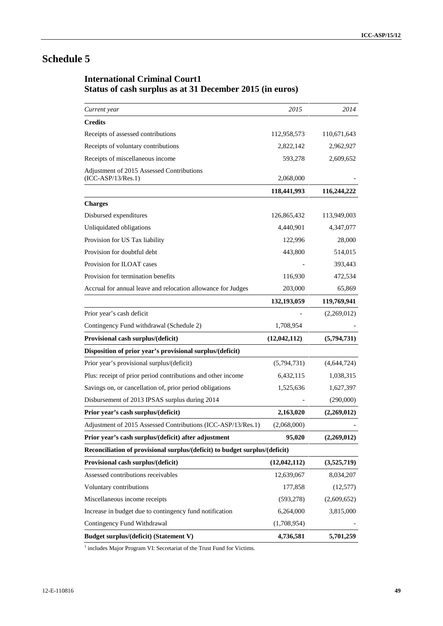# **Schedule 5**

# **International Criminal Court1 Status of cash surplus as at 31 December 2015 (in euros)**

| Current year                                                                | 2015         | 2014        |
|-----------------------------------------------------------------------------|--------------|-------------|
| <b>Credits</b>                                                              |              |             |
| Receipts of assessed contributions                                          | 112,958,573  | 110,671,643 |
| Receipts of voluntary contributions                                         | 2,822,142    | 2,962,927   |
| Receipts of miscellaneous income                                            | 593,278      | 2,609,652   |
| Adjustment of 2015 Assessed Contributions<br>$(ICC-ASP/13/Res.1)$           | 2,068,000    |             |
|                                                                             | 118,441,993  | 116,244,222 |
| <b>Charges</b>                                                              |              |             |
| Disbursed expenditures                                                      | 126,865,432  | 113,949,003 |
| Unliquidated obligations                                                    | 4,440,901    | 4,347,077   |
| Provision for US Tax liability                                              | 122,996      | 28,000      |
| Provision for doubtful debt                                                 | 443,800      | 514,015     |
| Provision for ILOAT cases                                                   |              | 393,443     |
| Provision for termination benefits                                          | 116,930      | 472,534     |
| Accrual for annual leave and relocation allowance for Judges                | 203,000      | 65,869      |
|                                                                             | 132,193,059  | 119,769,941 |
| Prior year's cash deficit                                                   |              | (2,269,012) |
| Contingency Fund withdrawal (Schedule 2)                                    | 1,708,954    |             |
| Provisional cash surplus/(deficit)                                          | (12,042,112) | (5,794,731) |
| Disposition of prior year's provisional surplus/(deficit)                   |              |             |
| Prior year's provisional surplus/(deficit)                                  | (5,794,731)  | (4,644,724) |
| Plus: receipt of prior period contributions and other income                | 6,432,115    | 1,038,315   |
| Savings on, or cancellation of, prior period obligations                    | 1,525,636    | 1,627,397   |
| Disbursement of 2013 IPSAS surplus during 2014                              |              | (290,000)   |
| Prior year's cash surplus/(deficit)                                         | 2,163,020    | (2,269,012) |
| Adjustment of 2015 Assessed Contributions (ICC-ASP/13/Res.1)                | (2,068,000)  |             |
| Prior year's cash surplus/(deficit) after adjustment                        | 95,020       | (2,269,012) |
| Reconciliation of provisional surplus/(deficit) to budget surplus/(deficit) |              |             |
| Provisional cash surplus/(deficit)                                          | (12,042,112) | (3,525,719) |
| Assessed contributions receivables                                          | 12,639,067   | 8,034,207   |
| Voluntary contributions                                                     | 177,858      | (12, 577)   |
| Miscellaneous income receipts                                               | (593, 278)   | (2,609,652) |
| Increase in budget due to contingency fund notification                     | 6,264,000    | 3,815,000   |
| Contingency Fund Withdrawal                                                 | (1,708,954)  |             |
| <b>Budget surplus/(deficit) (Statement V)</b>                               | 4,736,581    | 5,701,259   |

<sup>1</sup> includes Major Program VI: Secretariat of the Trust Fund for Victims.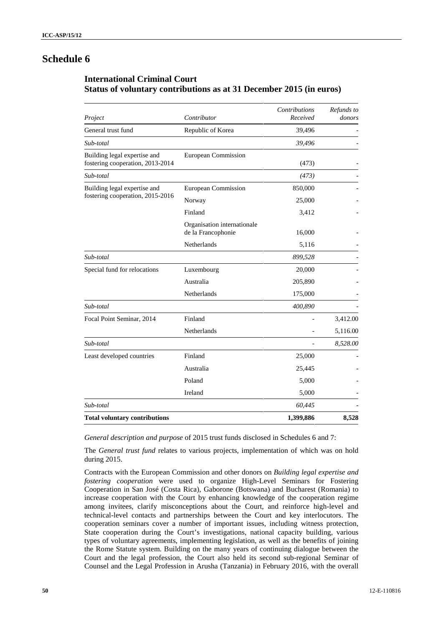# **Schedule 6**

### **International Criminal Court Status of voluntary contributions as at 31 December 2015 (in euros)**

| Project                                                          | Contributor                                       | <b>Contributions</b><br>Received | Refunds to<br>donors |
|------------------------------------------------------------------|---------------------------------------------------|----------------------------------|----------------------|
| General trust fund                                               | Republic of Korea                                 | 39,496                           |                      |
| Sub-total                                                        |                                                   | 39,496                           |                      |
| Building legal expertise and<br>fostering cooperation, 2013-2014 | European Commission                               | (473)                            |                      |
| Sub-total                                                        |                                                   | (473)                            |                      |
| Building legal expertise and                                     | European Commission                               | 850,000                          |                      |
| fostering cooperation, 2015-2016                                 | Norway                                            | 25,000                           |                      |
|                                                                  | Finland                                           | 3,412                            |                      |
|                                                                  | Organisation internationale<br>de la Francophonie | 16,000                           |                      |
|                                                                  | Netherlands                                       | 5,116                            |                      |
| Sub-total                                                        |                                                   | 899,528                          |                      |
| Special fund for relocations                                     | Luxembourg                                        | 20,000                           |                      |
|                                                                  | Australia                                         | 205,890                          |                      |
|                                                                  | Netherlands                                       | 175,000                          |                      |
| Sub-total                                                        |                                                   | 400,890                          |                      |
| Focal Point Seminar, 2014                                        | Finland                                           |                                  | 3,412.00             |
|                                                                  | Netherlands                                       |                                  | 5,116.00             |
| Sub-total                                                        |                                                   |                                  | 8,528.00             |
| Least developed countries                                        | Finland                                           | 25,000                           |                      |
|                                                                  | Australia                                         | 25,445                           |                      |
|                                                                  | Poland                                            | 5,000                            |                      |
|                                                                  | Ireland                                           | 5,000                            |                      |
| Sub-total                                                        |                                                   | 60,445                           |                      |
| <b>Total voluntary contributions</b>                             |                                                   | 1,399,886                        | 8,528                |

*General description and purpose* of 2015 trust funds disclosed in Schedules 6 and 7:

The *General trust fund* relates to various projects, implementation of which was on hold during 2015.

Contracts with the European Commission and other donors on *Building legal expertise and fostering cooperation* were used to organize High-Level Seminars for Fostering Cooperation in San José (Costa Rica), Gaborone (Botswana) and Bucharest (Romania) to increase cooperation with the Court by enhancing knowledge of the cooperation regime among invitees, clarify misconceptions about the Court, and reinforce high-level and technical-level contacts and partnerships between the Court and key interlocutors. The cooperation seminars cover a number of important issues, including witness protection, State cooperation during the Court's investigations, national capacity building, various types of voluntary agreements, implementing legislation, as well as the benefits of joining the Rome Statute system. Building on the many years of continuing dialogue between the Court and the legal profession, the Court also held its second sub-regional Seminar of Counsel and the Legal Profession in Arusha (Tanzania) in February 2016, with the overall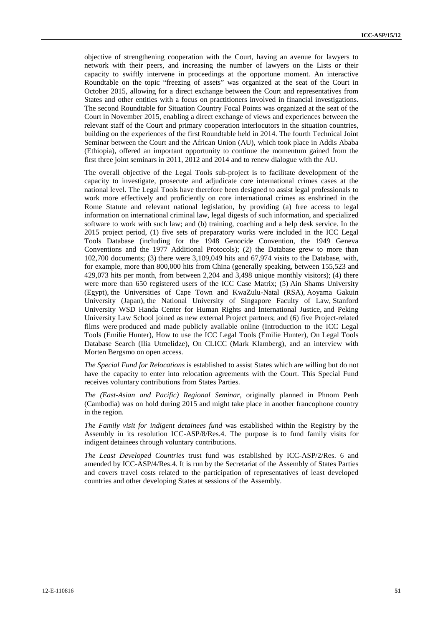objective of strengthening cooperation with the Court, having an avenue for lawyers to network with their peers, and increasing the number of lawyers on the Lists or their capacity to swiftly intervene in proceedings at the opportune moment. An interactive Roundtable on the topic "freezing of assets" was organized at the seat of the Court in October 2015, allowing for a direct exchange between the Court and representatives from States and other entities with a focus on practitioners involved in financial investigations. The second Roundtable for Situation Country Focal Points was organized at the seat of the Court in November 2015, enabling a direct exchange of views and experiences between the relevant staff of the Court and primary cooperation interlocutors in the situation countries, building on the experiences of the first Roundtable held in 2014. The fourth Technical Joint Seminar between the Court and the African Union (AU), which took place in Addis Ababa (Ethiopia), offered an important opportunity to continue the momentum gained from the first three joint seminars in 2011, 2012 and 2014 and to renew dialogue with the AU.

The overall objective of the Legal Tools sub-project is to facilitate development of the capacity to investigate, prosecute and adjudicate core international crimes cases at the national level. The Legal Tools have therefore been designed to assist legal professionals to work more effectively and proficiently on core international crimes as enshrined in the Rome Statute and relevant national legislation, by providing (a) free access to legal information on international criminal law, legal digests of such information, and specialized software to work with such law; and (b) training, coaching and a help desk service. In the 2015 project period, (1) five sets of preparatory works were included in the ICC Legal Tools Database (including for the 1948 Genocide Convention, the 1949 Geneva Conventions and the 1977 Additional Protocols); (2) the Database grew to more than 102,700 documents; (3) there were 3,109,049 hits and 67,974 visits to the Database, with, for example, more than 800,000 hits from China (generally speaking, between 155,523 and 429,073 hits per month, from between 2,204 and 3,498 unique monthly visitors); (4) there were more than 650 registered users of the ICC Case Matrix; (5) Ain Shams University (Egypt), the Universities of Cape Town and KwaZulu-Natal (RSA), Aoyama Gakuin University (Japan), the National University of Singapore Faculty of Law, Stanford University WSD Handa Center for Human Rights and International Justice, and Peking University Law School joined as new external Project partners; and (6) five Project-related films were produced and made publicly available online (Introduction to the ICC Legal Tools (Emilie Hunter), How to use the ICC Legal Tools (Emilie Hunter), On Legal Tools Database Search (Ilia Utmelidze), On CLICC (Mark Klamberg), and an interview with Morten Bergsmo on open access.

*The Special Fund for Relocations* is established to assist States which are willing but do not have the capacity to enter into relocation agreements with the Court. This Special Fund receives voluntary contributions from States Parties.

*The (East-Asian and Pacific) Regional Seminar*, originally planned in Phnom Penh (Cambodia) was on hold during 2015 and might take place in another francophone country in the region.

*The Family visit for indigent detainees fund* was established within the Registry by the Assembly in its resolution ICC-ASP/8/Res.4. The purpose is to fund family visits for indigent detainees through voluntary contributions.

*The Least Developed Countries* trust fund was established by ICC-ASP/2/Res. 6 and amended by ICC-ASP/4/Res.4. It is run by the Secretariat of the Assembly of States Parties and covers travel costs related to the participation of representatives of least developed countries and other developing States at sessions of the Assembly.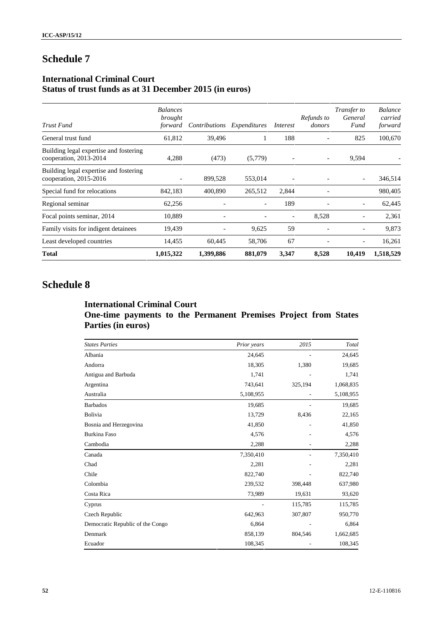# **Schedule 7**

## **International Criminal Court Status of trust funds as at 31 December 2015 (in euros)**

| Trust Fund                                                       | <b>Balances</b><br>brought<br>forward | Contributions            | Expenditures             | Interest | Refunds to<br>donors | Transfer to<br>General<br>Fund | <b>Balance</b><br>carried<br>forward |
|------------------------------------------------------------------|---------------------------------------|--------------------------|--------------------------|----------|----------------------|--------------------------------|--------------------------------------|
| General trust fund                                               | 61,812                                | 39,496                   |                          | 188      |                      | 825                            | 100,670                              |
| Building legal expertise and fostering<br>cooperation, 2013-2014 | 4,288                                 | (473)                    | (5,779)                  |          |                      | 9,594                          |                                      |
| Building legal expertise and fostering<br>cooperation, 2015-2016 | $\overline{\phantom{0}}$              | 899,528                  | 553,014                  |          |                      | $\overline{\phantom{a}}$       | 346,514                              |
| Special fund for relocations                                     | 842,183                               | 400,890                  | 265,512                  | 2,844    |                      |                                | 980,405                              |
| Regional seminar                                                 | 62,256                                | $\overline{\phantom{a}}$ | $\overline{\phantom{a}}$ | 189      |                      |                                | 62,445                               |
| Focal points seminar, 2014                                       | 10,889                                | $\overline{\phantom{a}}$ |                          |          | 8,528                |                                | 2,361                                |
| Family visits for indigent detainees                             | 19,439                                |                          | 9,625                    | 59       |                      |                                | 9,873                                |
| Least developed countries                                        | 14,455                                | 60,445                   | 58,706                   | 67       |                      |                                | 16,261                               |
| <b>Total</b>                                                     | 1,015,322                             | 1,399,886                | 881,079                  | 3,347    | 8,528                | 10,419                         | 1,518,529                            |

# **Schedule 8**

## **International Criminal Court One-time payments to the Permanent Premises Project from States Parties (in euros)**

| <b>States Parties</b>            | Prior years | 2015    | Total     |
|----------------------------------|-------------|---------|-----------|
| Albania                          | 24,645      |         | 24,645    |
| Andorra                          | 18,305      | 1,380   | 19,685    |
| Antigua and Barbuda              | 1,741       |         | 1,741     |
| Argentina                        | 743,641     | 325,194 | 1,068,835 |
| Australia                        | 5,108,955   |         | 5,108,955 |
| <b>Barbados</b>                  | 19,685      |         | 19,685    |
| Bolivia                          | 13,729      | 8,436   | 22,165    |
| Bosnia and Herzegovina           | 41,850      |         | 41,850    |
| Burkina Faso                     | 4,576       |         | 4,576     |
| Cambodia                         | 2,288       |         | 2,288     |
| Canada                           | 7,350,410   |         | 7,350,410 |
| Chad                             | 2,281       |         | 2,281     |
| Chile                            | 822,740     |         | 822,740   |
| Colombia                         | 239,532     | 398,448 | 637,980   |
| Costa Rica                       | 73,989      | 19,631  | 93,620    |
| Cyprus                           |             | 115,785 | 115,785   |
| Czech Republic                   | 642,963     | 307,807 | 950,770   |
| Democratic Republic of the Congo | 6,864       |         | 6,864     |
| Denmark                          | 858,139     | 804,546 | 1,662,685 |
| Ecuador                          | 108,345     |         | 108,345   |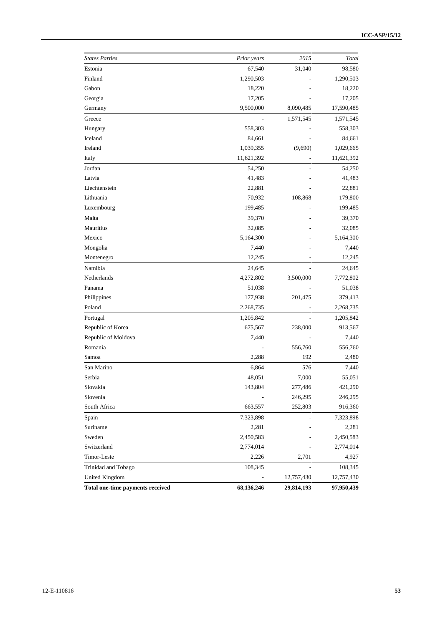| <b>States Parties</b>            | Prior years | 2015           | Total      |
|----------------------------------|-------------|----------------|------------|
| Estonia                          | 67,540      | 31,040         | 98,580     |
| Finland                          | 1,290,503   |                | 1,290,503  |
| Gabon                            | 18,220      |                | 18,220     |
| Georgia                          | 17,205      |                | 17,205     |
| Germany                          | 9,500,000   | 8,090,485      | 17,590,485 |
| Greece                           |             | 1,571,545      | 1,571,545  |
| Hungary                          | 558,303     |                | 558,303    |
| Iceland                          | 84,661      |                | 84,661     |
| Ireland                          | 1,039,355   | (9,690)        | 1,029,665  |
| Italy                            | 11,621,392  |                | 11,621,392 |
| Jordan                           | 54,250      |                | 54,250     |
| Latvia                           | 41,483      |                | 41,483     |
| Liechtenstein                    | 22,881      |                | 22,881     |
| Lithuania                        | 70,932      | 108,868        | 179,800    |
| Luxembourg                       | 199,485     |                | 199,485    |
| Malta                            | 39,370      |                | 39,370     |
| Mauritius                        | 32,085      |                | 32,085     |
| Mexico                           | 5,164,300   |                | 5,164,300  |
| Mongolia                         | 7,440       |                | 7,440      |
| Montenegro                       | 12,245      |                | 12,245     |
| Namibia                          | 24,645      |                | 24,645     |
| Netherlands                      | 4,272,802   | 3,500,000      | 7,772,802  |
| Panama                           | 51,038      |                | 51,038     |
| Philippines                      | 177,938     | 201,475        | 379,413    |
| Poland                           | 2,268,735   |                | 2,268,735  |
| Portugal                         | 1,205,842   | $\overline{a}$ | 1,205,842  |
| Republic of Korea                | 675,567     | 238,000        | 913,567    |
| Republic of Moldova              | 7,440       |                | 7,440      |
| Romania                          |             | 556,760        | 556,760    |
| Samoa                            | 2,288       | 192            | 2,480      |
| San Marino                       | 6,864       | 576            | 7,440      |
| Serbia                           | 48,051      | 7,000          | 55,051     |
| Slovakia                         | 143,804     | 277,486        | 421,290    |
| Slovenia                         |             | 246,295        | 246,295    |
| South Africa                     | 663,557     | 252,803        | 916,360    |
| Spain                            | 7,323,898   |                | 7,323,898  |
| Suriname                         | 2,281       |                | 2,281      |
| Sweden                           | 2,450,583   |                | 2,450,583  |
| Switzerland                      | 2,774,014   |                | 2,774,014  |
| Timor-Leste                      | 2,226       | 2,701          | 4,927      |
| Trinidad and Tobago              | 108,345     |                | 108,345    |
| <b>United Kingdom</b>            |             | 12,757,430     | 12,757,430 |
| Total one-time payments received | 68,136,246  | 29,814,193     | 97,950,439 |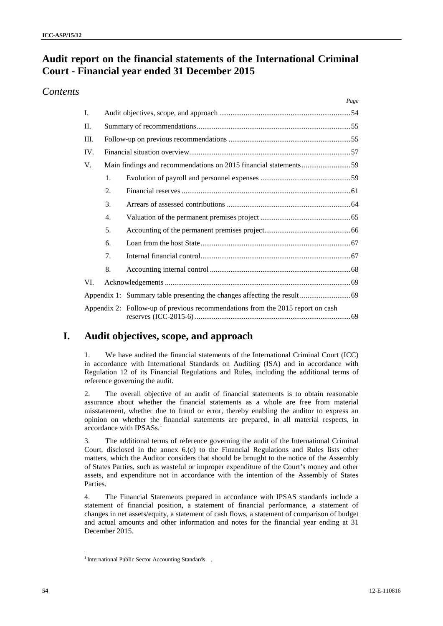# **Audit report on the financial statements of the International Criminal Court - Financial year ended 31 December 2015**

## *Contents*

|      |    | Page                                                                           |
|------|----|--------------------------------------------------------------------------------|
| Ι.   |    |                                                                                |
| II.  |    |                                                                                |
| III. |    |                                                                                |
| IV.  |    |                                                                                |
| V.   |    |                                                                                |
|      | 1. |                                                                                |
|      | 2. |                                                                                |
|      | 3. |                                                                                |
|      | 4. |                                                                                |
|      | 5. |                                                                                |
|      | 6. |                                                                                |
|      | 7. |                                                                                |
|      | 8. |                                                                                |
| VI.  |    |                                                                                |
|      |    |                                                                                |
|      |    | Appendix 2: Follow-up of previous recommendations from the 2015 report on cash |

# **I. Audit objectives, scope, and approach**

1. We have audited the financial statements of the International Criminal Court (ICC) in accordance with International Standards on Auditing (ISA) and in accordance with Regulation 12 of its Financial Regulations and Rules, including the additional terms of reference governing the audit.

2. The overall objective of an audit of financial statements is to obtain reasonable assurance about whether the financial statements as a whole are free from material misstatement, whether due to fraud or error, thereby enabling the auditor to express an opinion on whether the financial statements are prepared, in all material respects, in accordance with  $IPSASs<sup>1</sup>$ 

3. The additional terms of reference governing the audit of the International Criminal Court, disclosed in the annex 6.(c) to the Financial Regulations and Rules lists other matters, which the Auditor considers that should be brought to the notice of the Assembly of States Parties, such as wasteful or improper expenditure of the Court's money and other assets, and expenditure not in accordance with the intention of the Assembly of States Parties.

4. The Financial Statements prepared in accordance with IPSAS standards include a statement of financial position, a statement of financial performance, a statement of changes in net assets/equity, a statement of cash flows, a statement of comparison of budget and actual amounts and other information and notes for the financial year ending at 31 December 2015.

<sup>&</sup>lt;sup>1</sup> International Public Sector Accounting Standards .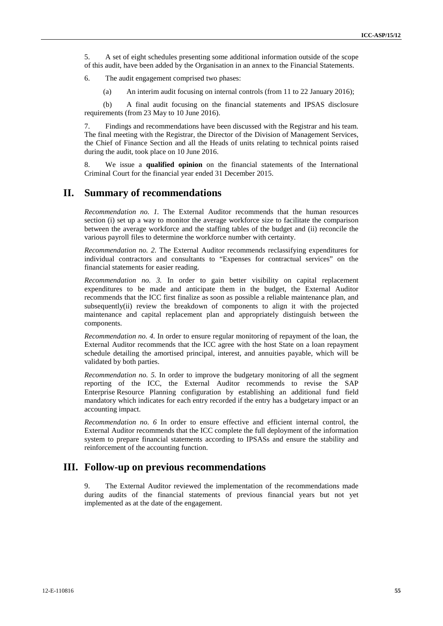5. A set of eight schedules presenting some additional information outside of the scope of this audit, have been added by the Organisation in an annex to the Financial Statements.

6. The audit engagement comprised two phases:

(a) An interim audit focusing on internal controls (from 11 to 22 January 2016);

(b) A final audit focusing on the financial statements and IPSAS disclosure requirements (from 23 May to 10 June 2016).

7. Findings and recommendations have been discussed with the Registrar and his team. The final meeting with the Registrar, the Director of the Division of Management Services, the Chief of Finance Section and all the Heads of units relating to technical points raised during the audit, took place on 10 June 2016.

8. We issue a **qualified opinion** on the financial statements of the International Criminal Court for the financial year ended 31 December 2015.

# **II. Summary of recommendations**

*Recommendation no. 1.* The External Auditor recommends that the human resources section (i) set up a way to monitor the average workforce size to facilitate the comparison between the average workforce and the staffing tables of the budget and (ii) reconcile the various payroll files to determine the workforce number with certainty.

*Recommendation no. 2.* The External Auditor recommends reclassifying expenditures for individual contractors and consultants to "Expenses for contractual services" on the financial statements for easier reading.

*Recommendation no. 3.* In order to gain better visibility on capital replacement expenditures to be made and anticipate them in the budget, the External Auditor recommends that the ICC first finalize as soon as possible a reliable maintenance plan, and subsequently(ii) review the breakdown of components to align it with the projected maintenance and capital replacement plan and appropriately distinguish between the components.

*Recommendation no. 4.* In order to ensure regular monitoring of repayment of the loan, the External Auditor recommends that the ICC agree with the host State on a loan repayment schedule detailing the amortised principal, interest, and annuities payable, which will be validated by both parties.

*Recommendation no. 5.* In order to improve the budgetary monitoring of all the segment reporting of the ICC, the External Auditor recommends to revise the SAP Enterprise Resource Planning configuration by establishing an additional fund field mandatory which indicates for each entry recorded if the entry has a budgetary impact or an accounting impact.

*Recommendation no. 6* In order to ensure effective and efficient internal control, the External Auditor recommends that the ICC complete the full deployment of the information system to prepare financial statements according to IPSASs and ensure the stability and reinforcement of the accounting function.

### **III. Follow-up on previous recommendations**

9. The External Auditor reviewed the implementation of the recommendations made during audits of the financial statements of previous financial years but not yet implemented as at the date of the engagement.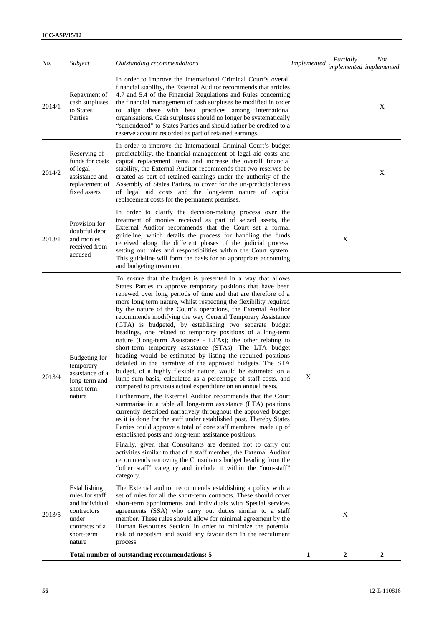| No.    | Subject                                                                                                             | Outstanding recommendations                                                                                                                                                                                                                                                                                                                                                                                                                                                                                                                                                                                                                                                                                                                                                                                                                                                                                                                                                                                                                                                                                                                                                                                                                                                                                                                                                                                                                                                                                                                                                                                                                                           | Implemented implemented implemented | Partially | <b>Not</b>       |
|--------|---------------------------------------------------------------------------------------------------------------------|-----------------------------------------------------------------------------------------------------------------------------------------------------------------------------------------------------------------------------------------------------------------------------------------------------------------------------------------------------------------------------------------------------------------------------------------------------------------------------------------------------------------------------------------------------------------------------------------------------------------------------------------------------------------------------------------------------------------------------------------------------------------------------------------------------------------------------------------------------------------------------------------------------------------------------------------------------------------------------------------------------------------------------------------------------------------------------------------------------------------------------------------------------------------------------------------------------------------------------------------------------------------------------------------------------------------------------------------------------------------------------------------------------------------------------------------------------------------------------------------------------------------------------------------------------------------------------------------------------------------------------------------------------------------------|-------------------------------------|-----------|------------------|
| 2014/1 | Repayment of<br>cash surpluses<br>to States<br>Parties:                                                             | In order to improve the International Criminal Court's overall<br>financial stability, the External Auditor recommends that articles<br>4.7 and 5.4 of the Financial Regulations and Rules concerning<br>the financial management of cash surpluses be modified in order<br>align these with best practices among international<br>to<br>organisations. Cash surpluses should no longer be systematically<br>"surrendered" to States Parties and should rather be credited to a<br>reserve account recorded as part of retained earnings.                                                                                                                                                                                                                                                                                                                                                                                                                                                                                                                                                                                                                                                                                                                                                                                                                                                                                                                                                                                                                                                                                                                             |                                     |           | X                |
| 2014/2 | Reserving of<br>funds for costs<br>of legal<br>assistance and<br>replacement of<br>fixed assets                     | In order to improve the International Criminal Court's budget<br>predictability, the financial management of legal aid costs and<br>capital replacement items and increase the overall financial<br>stability, the External Auditor recommends that two reserves be<br>created as part of retained earnings under the authority of the<br>Assembly of States Parties, to cover for the un-predictableness<br>of legal aid costs and the long-term nature of capital<br>replacement costs for the permanent premises.                                                                                                                                                                                                                                                                                                                                                                                                                                                                                                                                                                                                                                                                                                                                                                                                                                                                                                                                                                                                                                                                                                                                                  |                                     |           | X                |
| 2013/1 | Provision for<br>doubtful debt<br>and monies<br>received from<br>accused                                            | In order to clarify the decision-making process over the<br>treatment of monies received as part of seized assets, the<br>External Auditor recommends that the Court set a formal<br>guideline, which details the process for handling the funds<br>received along the different phases of the judicial process,<br>setting out roles and responsibilities within the Court system.<br>This guideline will form the basis for an appropriate accounting<br>and budgeting treatment.                                                                                                                                                                                                                                                                                                                                                                                                                                                                                                                                                                                                                                                                                                                                                                                                                                                                                                                                                                                                                                                                                                                                                                                   |                                     | X         |                  |
| 2013/4 | <b>Budgeting for</b><br>temporary<br>assistance of a<br>long-term and<br>short term<br>nature                       | To ensure that the budget is presented in a way that allows<br>States Parties to approve temporary positions that have been<br>renewed over long periods of time and that are therefore of a<br>more long term nature, whilst respecting the flexibility required<br>by the nature of the Court's operations, the External Auditor<br>recommends modifying the way General Temporary Assistance<br>(GTA) is budgeted, by establishing two separate budget<br>headings, one related to temporary positions of a long-term<br>nature (Long-term Assistance - LTAs); the other relating to<br>short-term temporary assistance (STAs). The LTA budget<br>heading would be estimated by listing the required positions<br>detailed in the narrative of the approved budgets. The STA<br>budget, of a highly flexible nature, would be estimated on a<br>lump-sum basis, calculated as a percentage of staff costs, and<br>compared to previous actual expenditure on an annual basis.<br>Furthermore, the External Auditor recommends that the Court<br>summarise in a table all long-term assistance (LTA) positions<br>currently described narratively throughout the approved budget<br>as it is done for the staff under established post. Thereby States<br>Parties could approve a total of core staff members, made up of<br>established posts and long-term assistance positions.<br>Finally, given that Consultants are deemed not to carry out<br>activities similar to that of a staff member, the External Auditor<br>recommends removing the Consultants budget heading from the<br>"other staff" category and include it within the "non-staff"<br>category. | X                                   |           |                  |
| 2013/5 | Establishing<br>rules for staff<br>and individual<br>contractors<br>under<br>contracts of a<br>short-term<br>nature | The External auditor recommends establishing a policy with a<br>set of rules for all the short-term contracts. These should cover<br>short-term appointments and individuals with Special services<br>agreements (SSA) who carry out duties similar to a staff<br>member. These rules should allow for minimal agreement by the<br>Human Resources Section, in order to minimize the potential<br>risk of nepotism and avoid any favouritism in the recruitment<br>process.                                                                                                                                                                                                                                                                                                                                                                                                                                                                                                                                                                                                                                                                                                                                                                                                                                                                                                                                                                                                                                                                                                                                                                                           |                                     | X         |                  |
|        |                                                                                                                     | Total number of outstanding recommendations: 5                                                                                                                                                                                                                                                                                                                                                                                                                                                                                                                                                                                                                                                                                                                                                                                                                                                                                                                                                                                                                                                                                                                                                                                                                                                                                                                                                                                                                                                                                                                                                                                                                        | 1                                   | 2         | $\boldsymbol{2}$ |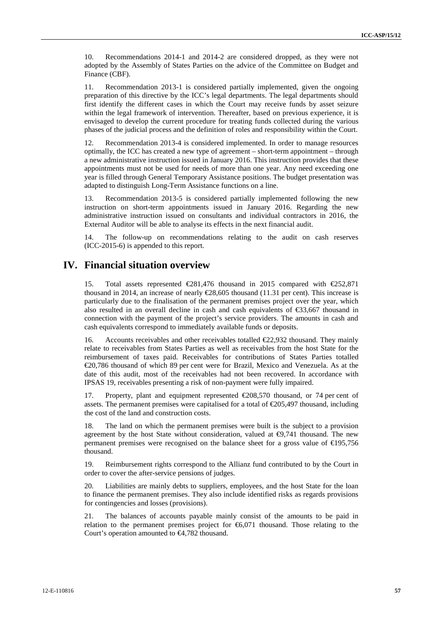10. Recommendations 2014-1 and 2014-2 are considered dropped, as they were not adopted by the Assembly of States Parties on the advice of the Committee on Budget and Finance (CBF).

11. Recommendation 2013-1 is considered partially implemented, given the ongoing preparation of this directive by the ICC's legal departments. The legal departments should first identify the different cases in which the Court may receive funds by asset seizure within the legal framework of intervention. Thereafter, based on previous experience, it is envisaged to develop the current procedure for treating funds collected during the various phases of the judicial process and the definition of roles and responsibility within the Court.

12. Recommendation 2013-4 is considered implemented. In order to manage resources optimally, the ICC has created a new type of agreement – short-term appointment – through a new administrative instruction issued in January 2016. This instruction provides that these appointments must not be used for needs of more than one year. Any need exceeding one year is filled through General Temporary Assistance positions. The budget presentation was adapted to distinguish Long-Term Assistance functions on a line.

13. Recommendation 2013-5 is considered partially implemented following the new instruction on short-term appointments issued in January 2016. Regarding the new administrative instruction issued on consultants and individual contractors in 2016, the External Auditor will be able to analyse its effects in the next financial audit.

14. The follow-up on recommendations relating to the audit on cash reserves (ICC-2015-6) is appended to this report.

### **IV. Financial situation overview**

15. Total assets represented €281,476 thousand in 2015 compared with €252,871 thousand in 2014, an increase of nearly  $E$ 8,605 thousand (11.31 per cent). This increase is particularly due to the finalisation of the permanent premises project over the year, which also resulted in an overall decline in cash and cash equivalents of €33,667 thousand in connection with the payment of the project's service providers. The amounts in cash and cash equivalents correspond to immediately available funds or deposits.

16. Accounts receivables and other receivables totalled €22,932 thousand. They mainly relate to receivables from States Parties as well as receivables from the host State for the reimbursement of taxes paid. Receivables for contributions of States Parties totalled €20,786 thousand of which 89 per cent were for Brazil, Mexico and Venezuela. As at the date of this audit, most of the receivables had not been recovered. In accordance with IPSAS 19, receivables presenting a risk of non-payment were fully impaired.

17. Property, plant and equipment represented €208,570 thousand, or 74 per cent of assets. The permanent premises were capitalised for a total of  $\epsilon$ 205,497 thousand, including the cost of the land and construction costs.

The land on which the permanent premises were built is the subject to a provision agreement by the host State without consideration, valued at  $\Theta$ ,741 thousand. The new permanent premises were recognised on the balance sheet for a gross value of €195,756 thousand.

19. Reimbursement rights correspond to the Allianz fund contributed to by the Court in order to cover the after-service pensions of judges.

20. Liabilities are mainly debts to suppliers, employees, and the host State for the loan to finance the permanent premises. They also include identified risks as regards provisions for contingencies and losses (provisions).

21. The balances of accounts payable mainly consist of the amounts to be paid in relation to the permanent premises project for  $\epsilon$ 6,071 thousand. Those relating to the Court's operation amounted to €4,782 thousand.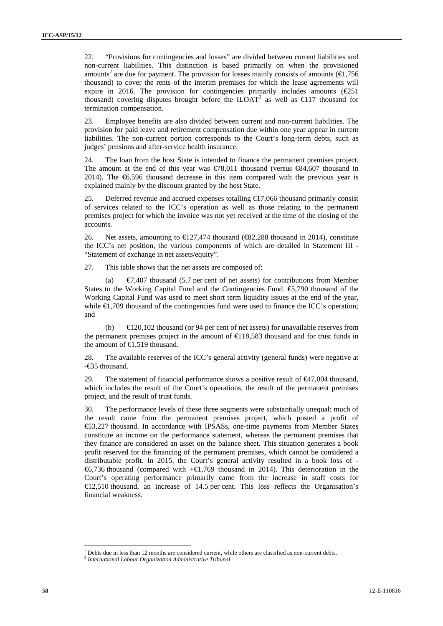22. "Provisions for contingencies and losses" are divided between current liabilities and non-current liabilities. This distinction is based primarily on when the provisioned amounts<sup>2</sup> are due for payment. The provision for losses mainly consists of amounts ( $\epsilon$ ,756 thousand) to cover the rents of the interim premises for which the lease agreements will expire in 2016. The provision for contingencies primarily includes amounts ( $\epsilon$ 251) thousand) covering disputes brought before the  $ILOAT<sup>3</sup>$  as well as  $\in$ 17 thousand for termination compensation.

23. Employee benefits are also divided between current and non-current liabilities. The provision for paid leave and retirement compensation due within one year appear in current liabilities. The non-current portion corresponds to the Court's long-term debts, such as judges' pensions and after-service health insurance.

24. The loan from the host State is intended to finance the permanent premises project. The amount at the end of this year was  $\epsilon$ 78,011 thousand (versus  $\epsilon$ 84,607 thousand in 2014). The  $\epsilon$ 6,596 thousand decrease in this item compared with the previous year is explained mainly by the discount granted by the host State.

25. Deferred revenue and accrued expenses totalling €17,066 thousand primarily consist of services related to the ICC's operation as well as those relating to the permanent premises project for which the invoice was not yet received at the time of the closing of the accounts.

26. Net assets, amounting to  $\text{E}27,474$  thousand ( $\text{E}82,288$  thousand in 2014), constitute the ICC's net position, the various components of which are detailed in Statement III - "Statement of exchange in net assets/equity".

27. This table shows that the net assets are composed of:

(a)  $\epsilon$ 7,407 thousand (5.7 per cent of net assets) for contributions from Member States to the Working Capital Fund and the Contingencies Fund.  $\epsilon$ 5,790 thousand of the Working Capital Fund was used to meet short term liquidity issues at the end of the year, while  $\in$ 1,709 thousand of the contingencies fund were used to finance the ICC's operation; and

(b)  $\bigoplus$  20,102 thousand (or 94 per cent of net assets) for unavailable reserves from the permanent premises project in the amount of  $\in$ 18,583 thousand and for trust funds in the amount of  $\text{ } \infty$ ,519 thousand.

28. The available reserves of the ICC's general activity (general funds) were negative at -€35 thousand.

29. The statement of financial performance shows a positive result of  $C47,004$  thousand, which includes the result of the Court's operations, the result of the permanent premises project, and the result of trust funds.

30. The performance levels of these three segments were substantially unequal: much of the result came from the permanent premises project, which posted a profit of €53,227 thousand. In accordance with IPSASs, one-time payments from Member States constitute an income on the performance statement, whereas the permanent premises that they finance are considered an asset on the balance sheet. This situation generates a book profit reserved for the financing of the permanent premises, which cannot be considered a distributable profit. In 2015, the Court's general activity resulted in a book loss of - €6,736 thousand (compared with +€1,769 thousand in 2014). This deterioration in the Court's operating performance primarily came from the increase in staff costs for €12,510 thousand, an increase of 14.5 per cent. This loss reflects the Organisation's financial weakness.

<sup>2</sup> Debts due in less than 12 months are considered current, while others are classified as non-current debts. <sup>3</sup> *International Labour Organization Administrative Tribunal.*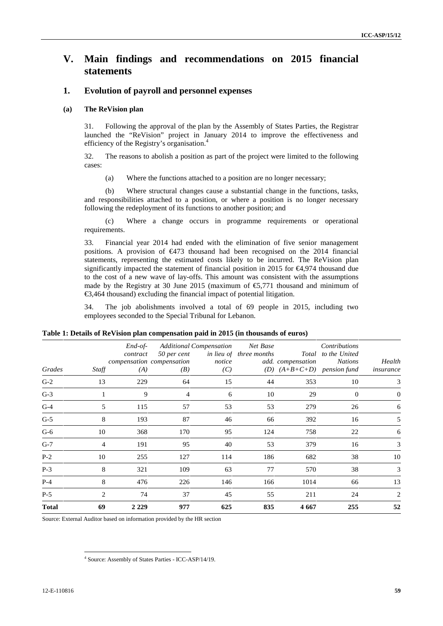# **V. Main findings and recommendations on 2015 financial statements**

#### **1. Evolution of payroll and personnel expenses**

#### **(a) The ReVision plan**

31. Following the approval of the plan by the Assembly of States Parties, the Registrar launched the "ReVision" project in January 2014 to improve the effectiveness and efficiency of the Registry's organisation.<sup>4</sup>

32. The reasons to abolish a position as part of the project were limited to the following cases:

(a) Where the functions attached to a position are no longer necessary;

(b) Where structural changes cause a substantial change in the functions, tasks, and responsibilities attached to a position, or where a position is no longer necessary following the redeployment of its functions to another position; and

(c) Where a change occurs in programme requirements or operational requirements.

33. Financial year 2014 had ended with the elimination of five senior management positions. A provision of €473 thousand had been recognised on the 2014 financial statements, representing the estimated costs likely to be incurred. The ReVision plan significantly impacted the statement of financial position in 2015 for  $\bigoplus$ , 974 thousand due to the cost of a new wave of lay-offs. This amount was consistent with the assumptions made by the Registry at 30 June 2015 (maximum of  $\epsilon$ 5,771 thousand and minimum of €3,464 thousand) excluding the financial impact of potential litigation.

34. The job abolishments involved a total of 69 people in 2015, including two employees seconded to the Special Tribunal for Lebanon.

| Grades       | Staff          | $End-of-$<br>contract<br>(A) | 50 per cent<br>compensation compensation<br>(B) | <b>Additional Compensation</b><br>notice<br>(C) | Net Base<br>in lieu of three months | add. compensation<br>(D) $(A+B+C+D)$ pension fund | Contributions<br>Total to the United<br><i>Nations</i> | Health<br>insurance |
|--------------|----------------|------------------------------|-------------------------------------------------|-------------------------------------------------|-------------------------------------|---------------------------------------------------|--------------------------------------------------------|---------------------|
| $G-2$        | 13             | 229                          | 64                                              | 15                                              | 44                                  | 353                                               | 10                                                     | 3                   |
| $G-3$        |                | 9                            | 4                                               | 6                                               | 10                                  | 29                                                | $\mathbf{0}$                                           | $\theta$            |
| $G-4$        | 5              | 115                          | 57                                              | 53                                              | 53                                  | 279                                               | 26                                                     | 6                   |
| $G-5$        | 8              | 193                          | 87                                              | 46                                              | 66                                  | 392                                               | 16                                                     | 5                   |
| $G-6$        | 10             | 368                          | 170                                             | 95                                              | 124                                 | 758                                               | 22                                                     | 6                   |
| $G-7$        | 4              | 191                          | 95                                              | 40                                              | 53                                  | 379                                               | 16                                                     | 3                   |
| $P-2$        | 10             | 255                          | 127                                             | 114                                             | 186                                 | 682                                               | 38                                                     | 10                  |
| $P-3$        | 8              | 321                          | 109                                             | 63                                              | 77                                  | 570                                               | 38                                                     | 3                   |
| $P-4$        | 8              | 476                          | 226                                             | 146                                             | 166                                 | 1014                                              | 66                                                     | 13                  |
| $P-5$        | $\overline{2}$ | 74                           | 37                                              | 45                                              | 55                                  | 211                                               | 24                                                     | 2                   |
| <b>Total</b> | 69             | 2 2 2 9                      | 977                                             | 625                                             | 835                                 | 4667                                              | 255                                                    | 52                  |

**Table 1: Details of ReVision plan compensation paid in 2015 (in thousands of euros)**

Source: External Auditor based on information provided by the HR section

<sup>4</sup> Source: Assembly of States Parties - ICC-ASP/14/19.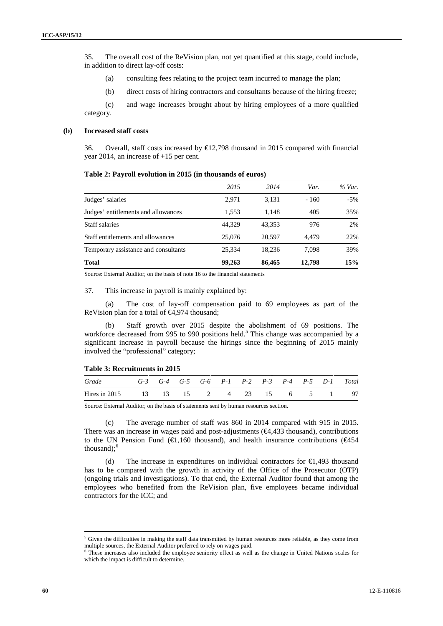35. The overall cost of the ReVision plan, not yet quantified at this stage, could include, in addition to direct lay-off costs:

- (a) consulting fees relating to the project team incurred to manage the plan;
- (b) direct costs of hiring contractors and consultants because of the hiring freeze;

(c) and wage increases brought about by hiring employees of a more qualified category.

#### **(b) Increased staff costs**

36. Overall, staff costs increased by €12,798 thousand in 2015 compared with financial year 2014, an increase of +15 per cent.

#### **Table 2: Payroll evolution in 2015 (in thousands of euros)**

|                                      | 2015   | 2014   | Var.   | % Var. |
|--------------------------------------|--------|--------|--------|--------|
| Judges' salaries                     | 2.971  | 3,131  | $-160$ | $-5\%$ |
| Judges' entitlements and allowances  | 1,553  | 1.148  | 405    | 35%    |
| <b>Staff salaries</b>                | 44.329 | 43.353 | 976    | 2%     |
| Staff entitlements and allowances    | 25,076 | 20.597 | 4.479  | 22%    |
| Temporary assistance and consultants | 25,334 | 18.236 | 7.098  | 39%    |
| <b>Total</b>                         | 99,263 | 86,465 | 12,798 | 15%    |

Source: External Auditor, on the basis of note 16 to the financial statements

37. This increase in payroll is mainly explained by:

(a) The cost of lay-off compensation paid to 69 employees as part of the ReVision plan for a total of €4,974 thousand;

(b) Staff growth over 2015 despite the abolishment of 69 positions. The workforce decreased from 995 to 990 positions held.<sup>5</sup> This change was accompanied by a significant increase in payroll because the hirings since the beginning of 2015 mainly involved the "professional" category;

#### **Table 3: Recruitments in 2015**

| Grade                                  |  |  |  |  |  | G-3 G-4 G-5 G-6 P-1 P-2 P-3 P-4 P-5 D-1 Total |
|----------------------------------------|--|--|--|--|--|-----------------------------------------------|
| Hires in 2015 13 13 15 2 4 23 15 6 5 1 |  |  |  |  |  |                                               |

Source: External Auditor, on the basis of statements sent by human resources section.

(c) The average number of staff was 860 in 2014 compared with 915 in 2015. There was an increase in wages paid and post-adjustments (€4,433 thousand), contributions to the UN Pension Fund ( $\in$ 1,160 thousand), and health insurance contributions ( $\in$ 454 thousand); $<sup>6</sup>$ </sup>

(d) The increase in expenditures on individual contractors for  $\epsilon 1.493$  thousand has to be compared with the growth in activity of the Office of the Prosecutor (OTP) (ongoing trials and investigations). To that end, the External Auditor found that among the employees who benefited from the ReVision plan, five employees became individual contractors for the ICC; and

<sup>&</sup>lt;sup>5</sup> Given the difficulties in making the staff data transmitted by human resources more reliable, as they come from multiple sources, the External Auditor preferred to rely on wages paid.

<sup>6</sup> These increases also included the employee seniority effect as well as the change in United Nations scales for which the impact is difficult to determine.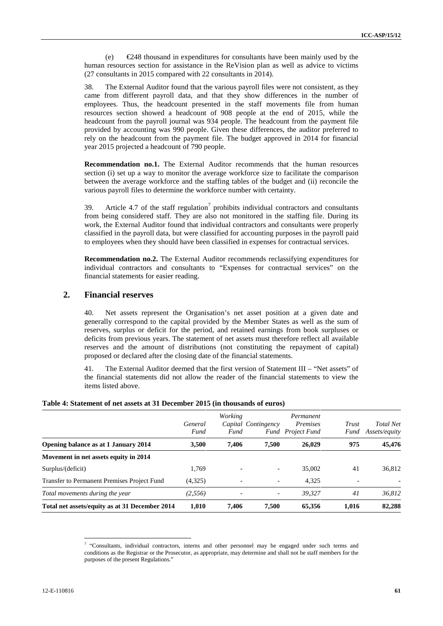(e) €248 thousand in expenditures for consultants have been mainly used by the human resources section for assistance in the ReVision plan as well as advice to victims (27 consultants in 2015 compared with 22 consultants in 2014).

38. The External Auditor found that the various payroll files were not consistent, as they came from different payroll data, and that they show differences in the number of employees. Thus, the headcount presented in the staff movements file from human resources section showed a headcount of 908 people at the end of 2015, while the headcount from the payroll journal was 934 people. The headcount from the payment file provided by accounting was 990 people. Given these differences, the auditor preferred to rely on the headcount from the payment file. The budget approved in 2014 for financial year 2015 projected a headcount of 790 people.

**Recommendation no.1.** The External Auditor recommends that the human resources section (i) set up a way to monitor the average workforce size to facilitate the comparison between the average workforce and the staffing tables of the budget and (ii) reconcile the various payroll files to determine the workforce number with certainty.

39. Article 4.7 of the staff regulation<sup>7</sup> prohibits individual contractors and consultants from being considered staff. They are also not monitored in the staffing file. During its work, the External Auditor found that individual contractors and consultants were properly classified in the payroll data, but were classified for accounting purposes in the payroll paid to employees when they should have been classified in expenses for contractual services.

**Recommendation no.2.** The External Auditor recommends reclassifying expenditures for individual contractors and consultants to "Expenses for contractual services" on the financial statements for easier reading.

#### **2. Financial reserves**

40. Net assets represent the Organisation's net asset position at a given date and generally correspond to the capital provided by the Member States as well as the sum of reserves, surplus or deficit for the period, and retained earnings from book surpluses or deficits from previous years. The statement of net assets must therefore reflect all available reserves and the amount of distributions (not constituting the repayment of capital) proposed or declared after the closing date of the financial statements.

41. The External Auditor deemed that the first version of Statement III – "Net assets" of the financial statements did not allow the reader of the financial statements to view the items listed above.

|                                                | General<br>Fund | Working<br>Fund          | Capital Contingency      | Permanent<br>Premises<br><b>Fund</b> Project Fund | Trust<br>Fund | <b>Total Net</b><br>Assets/equity |
|------------------------------------------------|-----------------|--------------------------|--------------------------|---------------------------------------------------|---------------|-----------------------------------|
| Opening balance as at 1 January 2014           | 3.500           | 7.406                    | 7.500                    | 26,029                                            | 975           | 45,476                            |
| Movement in net assets equity in 2014          |                 |                          |                          |                                                   |               |                                   |
| Surplus/(deficit)                              | 1.769           |                          | $\overline{\phantom{a}}$ | 35,002                                            | 41            | 36,812                            |
| Transfer to Permanent Premises Project Fund    | (4,325)         | $\overline{\phantom{0}}$ | $\overline{\phantom{a}}$ | 4.325                                             |               |                                   |
| Total movements during the year                | (2,556)         |                          | -                        | 39.327                                            | 41            | 36,812                            |
| Total net assets/equity as at 31 December 2014 | 1.010           | 7.406                    | 7.500                    | 65,356                                            | 1.016         | 82,288                            |

#### **Table 4: Statement of net assets at 31 December 2015 (in thousands of euros)**

<sup>7</sup> "Consultants, individual contractors, interns and other personnel may be engaged under such terms and conditions as the Registrar or the Prosecutor, as appropriate, may determine and shall not be staff members for the purposes of the present Regulations."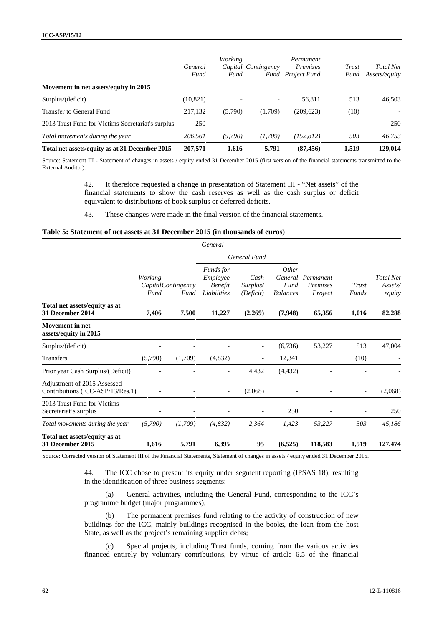|                                                   | General<br>Fund | Working<br>Fund | Capital Contingency      | Permanent<br><i>Premises</i><br><b>Fund</b> Project Fund | Trust<br>Fund | <b>Total Net</b><br>Assets/equity |
|---------------------------------------------------|-----------------|-----------------|--------------------------|----------------------------------------------------------|---------------|-----------------------------------|
| Movement in net assets/equity in 2015             |                 |                 |                          |                                                          |               |                                   |
| Surplus/(deficit)                                 | (10, 821)       |                 | $\overline{\phantom{0}}$ | 56,811                                                   | 513           | 46,503                            |
| Transfer to General Fund                          | 217,132         | (5,790)         | (1,709)                  | (209, 623)                                               | (10)          |                                   |
| 2013 Trust Fund for Victims Secretariat's surplus | 250             |                 |                          |                                                          |               | 250                               |
| Total movements during the year                   | 206,561         | (5,790)         | (1,709)                  | (152, 812)                                               | 503           | 46,753                            |
| Total net assets/equity as at 31 December 2015    | 207,571         | 1,616           | 5,791                    | (87, 456)                                                | 1,519         | 129,014                           |

Source: Statement III - Statement of changes in assets / equity ended 31 December 2015 (first version of the financial statements transmitted to the External Auditor).

> 42. It therefore requested a change in presentation of Statement III - "Net assets" of the financial statements to show the cash reserves as well as the cash surplus or deficit equivalent to distributions of book surplus or deferred deficits.

43. These changes were made in the final version of the financial statements.

#### **Table 5: Statement of net assets at 31 December 2015 (in thousands of euros)**

|                                                                 |                 |                                    | General                                                       |                               |                                             |                                  |                |                                       |
|-----------------------------------------------------------------|-----------------|------------------------------------|---------------------------------------------------------------|-------------------------------|---------------------------------------------|----------------------------------|----------------|---------------------------------------|
|                                                                 |                 |                                    |                                                               | <b>General Fund</b>           |                                             |                                  |                |                                       |
|                                                                 | Working<br>Fund | <i>Capital Contingency</i><br>Fund | <i>Funds for</i><br>Employee<br><b>Benefit</b><br>Liabilities | Cash<br>Surplus/<br>(Deficit) | Other<br>General<br>Fund<br><b>Balances</b> | Permanent<br>Premises<br>Project | Trust<br>Funds | <b>Total Net</b><br>Assets/<br>equity |
| Total net assets/equity as at<br>31 December 2014               | 7,406           | 7,500                              | 11,227                                                        | (2,269)                       | (7,948)                                     | 65,356                           | 1,016          | 82,288                                |
| <b>Movement</b> in net<br>assets/equity in 2015                 |                 |                                    |                                                               |                               |                                             |                                  |                |                                       |
| Surplus/(deficit)                                               |                 |                                    |                                                               |                               | (6,736)                                     | 53,227                           | 513            | 47,004                                |
| <b>Transfers</b>                                                | (5,790)         | (1,709)                            | (4,832)                                                       |                               | 12,341                                      |                                  | (10)           |                                       |
| Prior year Cash Surplus/(Deficit)                               |                 |                                    | ٠                                                             | 4,432                         | (4, 432)                                    |                                  |                |                                       |
| Adjustment of 2015 Assessed<br>Contributions (ICC-ASP/13/Res.1) |                 |                                    | $\overline{\phantom{a}}$                                      | (2,068)                       |                                             |                                  |                | (2,068)                               |
| 2013 Trust Fund for Victims<br>Secretariat's surplus            |                 |                                    |                                                               |                               | 250                                         |                                  |                | 250                                   |
| Total movements during the year                                 | (5,790)         | (1,709)                            | (4,832)                                                       | 2,364                         | 1,423                                       | 53,227                           | 503            | 45,186                                |
| Total net assets/equity as at<br>31 December 2015               | 1,616           | 5,791                              | 6,395                                                         | 95                            | (6,525)                                     | 118,583                          | 1,519          | 127,474                               |

Source: Corrected version of Statement III of the Financial Statements, Statement of changes in assets / equity ended 31 December 2015.

44. The ICC chose to present its equity under segment reporting (IPSAS 18), resulting in the identification of three business segments:

(a) General activities, including the General Fund, corresponding to the ICC's programme budget (major programmes);

(b) The permanent premises fund relating to the activity of construction of new buildings for the ICC, mainly buildings recognised in the books, the loan from the host State, as well as the project's remaining supplier debts;

(c) Special projects, including Trust funds, coming from the various activities financed entirely by voluntary contributions, by virtue of article 6.5 of the financial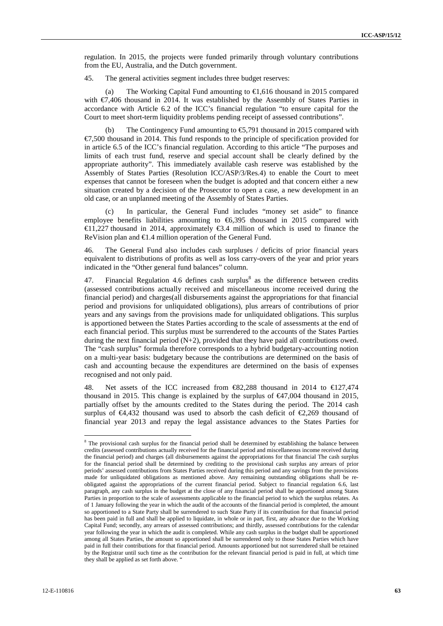regulation. In 2015, the projects were funded primarily through voluntary contributions from the EU, Australia, and the Dutch government.

45. The general activities segment includes three budget reserves:

(a) The Working Capital Fund amounting to  $\epsilon$ , 616 thousand in 2015 compared with  $\epsilon$ ,406 thousand in 2014. It was established by the Assembly of States Parties in accordance with Article 6.2 of the ICC's financial regulation "to ensure capital for the Court to meet short-term liquidity problems pending receipt of assessed contributions".

(b) The Contingency Fund amounting to  $\epsilon$ 5,791 thousand in 2015 compared with €7,500 thousand in 2014. This fund responds to the principle of specification provided for in article 6.5 of the ICC's financial regulation. According to this article "The purposes and limits of each trust fund, reserve and special account shall be clearly defined by the appropriate authority". This immediately available cash reserve was established by the Assembly of States Parties (Resolution ICC/ASP/3/Res.4) to enable the Court to meet expenses that cannot be foreseen when the budget is adopted and that concern either a new situation created by a decision of the Prosecutor to open a case, a new development in an old case, or an unplanned meeting of the Assembly of States Parties.

(c) In particular, the General Fund includes "money set aside" to finance employee benefits liabilities amounting to  $\epsilon$ 6,395 thousand in 2015 compared with €11,227 thousand in 2014, approximately €3.4 million of which is used to finance the ReVision plan and €1.4 million operation of the General Fund.

46. The General Fund also includes cash surpluses / deficits of prior financial years equivalent to distributions of profits as well as loss carry-overs of the year and prior years indicated in the "Other general fund balances" column.

47. Financial Regulation 4.6 defines cash surplus<sup>8</sup> as the difference between credits (assessed contributions actually received and miscellaneous income received during the financial period) and charges(all disbursements against the appropriations for that financial period and provisions for unliquidated obligations), plus arrears of contributions of prior years and any savings from the provisions made for unliquidated obligations. This surplus is apportioned between the States Parties according to the scale of assessments at the end of each financial period. This surplus must be surrendered to the accounts of the States Parties during the next financial period  $(N+2)$ , provided that they have paid all contributions owed. The "cash surplus" formula therefore corresponds to a hybrid budgetary-accounting notion on a multi-year basis: budgetary because the contributions are determined on the basis of cash and accounting because the expenditures are determined on the basis of expenses recognised and not only paid.

48. Net assets of the ICC increased from €82,288 thousand in 2014 to €127,474 thousand in 2015. This change is explained by the surplus of  $\epsilon$ 47,004 thousand in 2015, partially offset by the amounts credited to the States during the period. The 2014 cash surplus of  $\epsilon$ 4,432 thousand was used to absorb the cash deficit of  $\epsilon$ 2,269 thousand of financial year 2013 and repay the legal assistance advances to the States Parties for

<sup>&</sup>lt;sup>8</sup> The provisional cash surplus for the financial period shall be determined by establishing the balance between credits (assessed contributions actually received for the financial period and miscellaneous income received during the financial period) and charges (all disbursements against the appropriations for that financial The cash surplus for the financial period shall be determined by crediting to the provisional cash surplus any arrears of prior periods' assessed contributions from States Parties received during this period and any savings from the provisions made for unliquidated obligations as mentioned above. Any remaining outstanding obligations shall be re obligated against the appropriations of the current financial period. Subject to financial regulation 6.6, last paragraph, any cash surplus in the budget at the close of any financial period shall be apportioned among States Parties in proportion to the scale of assessments applicable to the financial period to which the surplus relates. As of 1 January following the year in which the audit of the accounts of the financial period is completed, the amount so apportioned to a State Party shall be surrendered to such State Party if its contribution for that financial period has been paid in full and shall be applied to liquidate, in whole or in part, first, any advance due to the Working Capital Fund; secondly, any arrears of assessed contributions; and thirdly, assessed contributions for the calendar year following the year in which the audit is completed. While any cash surplus in the budget shall be apportioned among all States Parties, the amount so apportioned shall be surrendered only to those States Parties which have paid in full their contributions for that financial period. Amounts apportioned but not surrendered shall be retained by the Registrar until such time as the contribution for the relevant financial period is paid in full, at which time they shall be applied as set forth above. "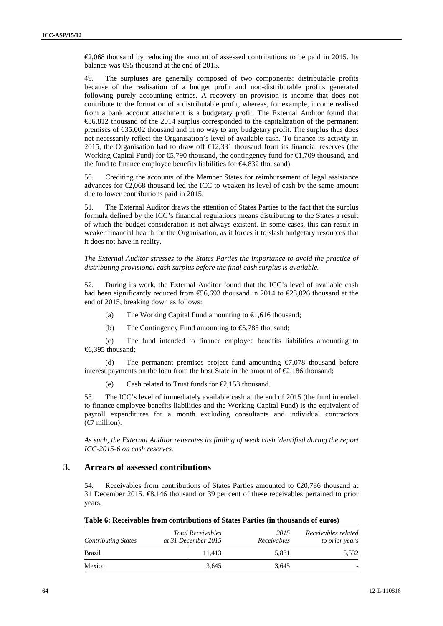€2,068 thousand by reducing the amount of assessed contributions to be paid in 2015. Its balance was  $\bigoplus$ 5 thousand at the end of 2015.

49. The surpluses are generally composed of two components: distributable profits because of the realisation of a budget profit and non-distributable profits generated following purely accounting entries. A recovery on provision is income that does not contribute to the formation of a distributable profit, whereas, for example, income realised from a bank account attachment is a budgetary profit. The External Auditor found that €36,812 thousand of the 2014 surplus corresponded to the capitalization of the permanent premises of €35,002 thousand and in no way to any budgetary profit. The surplus thus does not necessarily reflect the Organisation's level of available cash. To finance its activity in 2015, the Organisation had to draw off  $\epsilon$ 12,331 thousand from its financial reserves (the Working Capital Fund) for €5,790 thousand, the contingency fund for €1,709 thousand, and the fund to finance employee benefits liabilities for €4,832 thousand).

50. Crediting the accounts of the Member States for reimbursement of legal assistance advances for €2,068 thousand led the ICC to weaken its level of cash by the same amount due to lower contributions paid in 2015.

51. The External Auditor draws the attention of States Parties to the fact that the surplus formula defined by the ICC's financial regulations means distributing to the States a result of which the budget consideration is not always existent. In some cases, this can result in weaker financial health for the Organisation, as it forces it to slash budgetary resources that it does not have in reality.

*The External Auditor stresses to the States Parties the importance to avoid the practice of distributing provisional cash surplus before the final cash surplus is available.*

52. During its work, the External Auditor found that the ICC's level of available cash had been significantly reduced from  $\mathfrak{S}6,693$  thousand in 2014 to  $\mathfrak{C}3,026$  thousand at the end of 2015, breaking down as follows:

- (a) The Working Capital Fund amounting to  $\epsilon$ 1,616 thousand;
- (b) The Contingency Fund amounting to  $\epsilon$ 5,785 thousand;

(c) The fund intended to finance employee benefits liabilities amounting to €6,395 thousand;

(d) The permanent premises project fund amounting  $\epsilon$ ,078 thousand before interest payments on the loan from the host State in the amount of  $\epsilon$ , 186 thousand;

(e) Cash related to Trust funds for  $\epsilon$ 2.153 thousand.

53. The ICC's level of immediately available cash at the end of 2015 (the fund intended to finance employee benefits liabilities and the Working Capital Fund) is the equivalent of payroll expenditures for a month excluding consultants and individual contractors (€7 million).

*As such, the External Auditor reiterates its finding of weak cash identified during the report ICC-2015-6 on cash reserves.*

#### **3. Arrears of assessed contributions**

54. Receivables from contributions of States Parties amounted to  $\epsilon$ 20,786 thousand at 31 December 2015. €8,146 thousand or 39 per cent of these receivables pertained to prior years.

| Table 6: Receivables from contributions of States Parties (in thousands of euros) |  |
|-----------------------------------------------------------------------------------|--|
|-----------------------------------------------------------------------------------|--|

| <b>Contributing States</b> | <b>Total Receivables</b><br>at 31 December 2015 | 2015<br>Receivables | Receivables related<br>to prior years |  |
|----------------------------|-------------------------------------------------|---------------------|---------------------------------------|--|
| Brazil                     | 11.413                                          | 5.881               | 5,532                                 |  |
| Mexico                     | 3,645                                           | 3,645               | -                                     |  |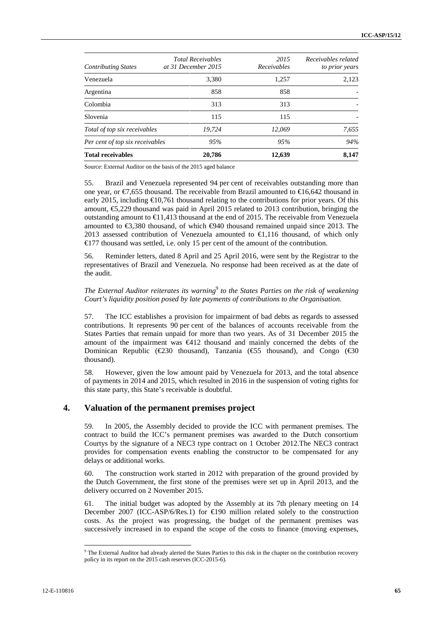| 3,380<br>1,257<br>2,123<br>Venezuela<br>858<br>858        |
|-----------------------------------------------------------|
| Argentina                                                 |
|                                                           |
| Colombia<br>313<br>313                                    |
| Slovenia<br>115<br>115                                    |
| 12.069<br>Total of top six receivables<br>19.724<br>7.655 |
| 95%<br>95%<br>94%<br>Per cent of top six receivables      |
| <b>Total receivables</b><br>20,786<br>12,639<br>8,147     |

Source: External Auditor on the basis of the 2015 aged balance

55. Brazil and Venezuela represented 94 per cent of receivables outstanding more than one year, or  $\epsilon$ 7,655 thousand. The receivable from Brazil amounted to  $\epsilon$ 16,642 thousand in early 2015, including  $\bigoplus$  0.761 thousand relating to the contributions for prior years. Of this amount, €5,229 thousand was paid in April 2015 related to 2013 contribution, bringing the outstanding amount to  $\bigoplus$  1.413 thousand at the end of 2015. The receivable from Venezuela amounted to  $\text{\textsterling}380$  thousand, of which  $\text{\textsterling}40$  thousand remained unpaid since 2013. The 2013 assessed contribution of Venezuela amounted to  $\bigoplus$ , 116 thousand, of which only €177 thousand was settled, i.e. only 15 per cent of the amount of the contribution.

56. Reminder letters, dated 8 April and 25 April 2016, were sent by the Registrar to the representatives of Brazil and Venezuela. No response had been received as at the date of the audit.

The External Auditor reiterates its warning<sup>9</sup> to the States Parties on the risk of weakening *Court's liquidity position posed by late payments of contributions to the Organisation.*

57. The ICC establishes a provision for impairment of bad debts as regards to assessed contributions. It represents 90 per cent of the balances of accounts receivable from the States Parties that remain unpaid for more than two years. As of 31 December 2015 the amount of the impairment was €412 thousand and mainly concerned the debts of the Dominican Republic ( $\textcircled{230}$  thousand), Tanzania ( $\textcircled{55}$  thousand), and Congo ( $\textcircled{80}$ thousand).

58. However, given the low amount paid by Venezuela for 2013, and the total absence of payments in 2014 and 2015, which resulted in 2016 in the suspension of voting rights for this state party, this State's receivable is doubtful.

#### **4. Valuation of the permanent premises project**

59. In 2005, the Assembly decided to provide the ICC with permanent premises. The contract to build the ICC's permanent premises was awarded to the Dutch consortium Courtys by the signature of a NEC3 type contract on 1 October 2012.The NEC3 contract provides for compensation events enabling the constructor to be compensated for any delays or additional works.

60. The construction work started in 2012 with preparation of the ground provided by the Dutch Government, the first stone of the premises were set up in April 2013, and the delivery occurred on 2 November 2015.

61. The initial budget was adopted by the Assembly at its 7th plenary meeting on 14 December 2007 (ICC-ASP/6/Res.1) for  $\bigoplus$  90 million related solely to the construction costs. As the project was progressing, the budget of the permanent premises was successively increased in to expand the scope of the costs to finance (moving expenses,

<sup>9</sup> The External Auditor had already alerted the States Parties to this risk in the chapter on the contribution recovery policy in its report on the 2015 cash reserves (ICC-2015-6).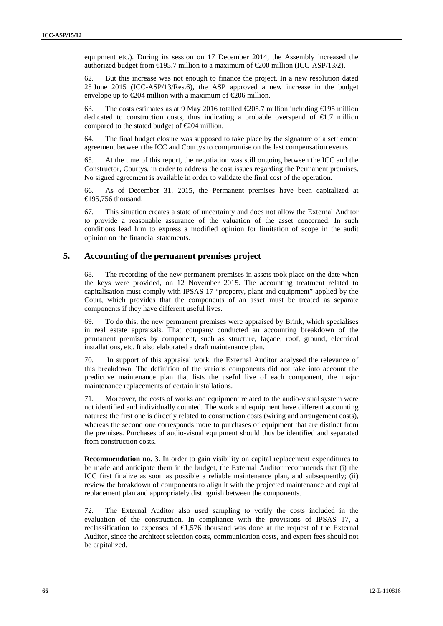equipment etc.). During its session on 17 December 2014, the Assembly increased the authorized budget from  $\text{E}$ 95.7 million to a maximum of  $\text{E}$ 00 million (ICC-ASP/13/2).

62. But this increase was not enough to finance the project. In a new resolution dated 25 June 2015 (ICC-ASP/13/Res.6), the ASP approved a new increase in the budget envelope up to  $\epsilon 204$  million with a maximum of  $\epsilon 206$  million.

63. The costs estimates as at 9 May 2016 totalled  $\text{\textsterling}05.7$  million including  $\text{\textsterling}195$  million dedicated to construction costs, thus indicating a probable overspend of  $\epsilon 1.7$  million compared to the stated budget of  $E$ 04 million.

64. The final budget closure was supposed to take place by the signature of a settlement agreement between the ICC and Courtys to compromise on the last compensation events.

65. At the time of this report, the negotiation was still ongoing between the ICC and the Constructor, Courtys, in order to address the cost issues regarding the Permanent premises. No signed agreement is available in order to validate the final cost of the operation.

66. As of December 31, 2015, the Permanent premises have been capitalized at  $\bigoplus$  95.756 thousand.

67. This situation creates a state of uncertainty and does not allow the External Auditor to provide a reasonable assurance of the valuation of the asset concerned. In such conditions lead him to express a modified opinion for limitation of scope in the audit opinion on the financial statements.

#### **5. Accounting of the permanent premises project**

68. The recording of the new permanent premises in assets took place on the date when the keys were provided, on 12 November 2015. The accounting treatment related to capitalisation must comply with IPSAS 17 "property, plant and equipment" applied by the Court, which provides that the components of an asset must be treated as separate components if they have different useful lives.

69. To do this, the new permanent premises were appraised by Brink, which specialises in real estate appraisals. That company conducted an accounting breakdown of the permanent premises by component, such as structure, façade, roof, ground, electrical installations, etc. It also elaborated a draft maintenance plan.

70. In support of this appraisal work, the External Auditor analysed the relevance of this breakdown. The definition of the various components did not take into account the predictive maintenance plan that lists the useful live of each component, the major maintenance replacements of certain installations.

71. Moreover, the costs of works and equipment related to the audio-visual system were not identified and individually counted. The work and equipment have different accounting natures: the first one is directly related to construction costs (wiring and arrangement costs), whereas the second one corresponds more to purchases of equipment that are distinct from the premises. Purchases of audio-visual equipment should thus be identified and separated from construction costs.

**Recommendation no. 3.** In order to gain visibility on capital replacement expenditures to be made and anticipate them in the budget, the External Auditor recommends that (i) the ICC first finalize as soon as possible a reliable maintenance plan, and subsequently; (ii) review the breakdown of components to align it with the projected maintenance and capital replacement plan and appropriately distinguish between the components.

72. The External Auditor also used sampling to verify the costs included in the evaluation of the construction. In compliance with the provisions of IPSAS 17, a reclassification to expenses of  $\epsilon$ 1,576 thousand was done at the request of the External Auditor, since the architect selection costs, communication costs, and expert fees should not be capitalized.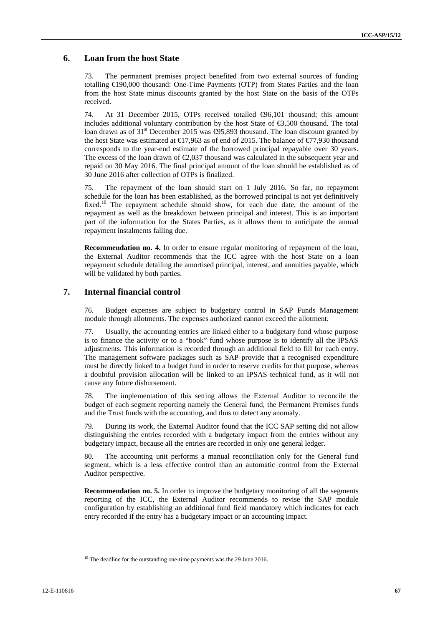#### **6. Loan from the host State**

73. The permanent premises project benefited from two external sources of funding totalling €190,000 thousand: One-Time Payments (OTP) from States Parties and the loan from the host State minus discounts granted by the host State on the basis of the OTPs received.

74. At 31 December 2015, OTPs received totalled €96,101 thousand; this amount includes additional voluntary contribution by the host State of  $\epsilon$ 3,500 thousand. The total loan drawn as of 31<sup>st</sup> December 2015 was  $\bigoplus$ 5,893 thousand. The loan discount granted by the host State was estimated at  $\bigoplus$  7,963 as of end of 2015. The balance of  $\bigoplus$  7,930 thousand corresponds to the year-end estimate of the borrowed principal repayable over 30 years. The excess of the loan drawn of  $\epsilon$ 2,037 thousand was calculated in the subsequent year and repaid on 30 May 2016. The final principal amount of the loan should be established as of 30 June 2016 after collection of OTPs is finalized.

75. The repayment of the loan should start on 1 July 2016. So far, no repayment schedule for the loan has been established, as the borrowed principal is not yet definitively fixed.<sup>10</sup> The repayment schedule should show, for each due date, the amount of the repayment as well as the breakdown between principal and interest. This is an important part of the information for the States Parties, as it allows them to anticipate the annual repayment instalments falling due.

**Recommendation no. 4.** In order to ensure regular monitoring of repayment of the loan, the External Auditor recommends that the ICC agree with the host State on a loan repayment schedule detailing the amortised principal, interest, and annuities payable, which will be validated by both parties.

### **7. Internal financial control**

76. Budget expenses are subject to budgetary control in SAP Funds Management module through allotments. The expenses authorized cannot exceed the allotment.

77. Usually, the accounting entries are linked either to a budgetary fund whose purpose is to finance the activity or to a "book" fund whose purpose is to identify all the IPSAS adjustments. This information is recorded through an additional field to fill for each entry. The management software packages such as SAP provide that a recognised expenditure must be directly linked to a budget fund in order to reserve credits for that purpose, whereas a doubtful provision allocation will be linked to an IPSAS technical fund, as it will not cause any future disbursement.

78. The implementation of this setting allows the External Auditor to reconcile the budget of each segment reporting namely the General fund, the Permanent Premises funds and the Trust funds with the accounting, and thus to detect any anomaly.

79. During its work, the External Auditor found that the ICC SAP setting did not allow distinguishing the entries recorded with a budgetary impact from the entries without any budgetary impact, because all the entries are recorded in only one general ledger.

80. The accounting unit performs a manual reconciliation only for the General fund segment, which is a less effective control than an automatic control from the External Auditor perspective.

**Recommendation no. 5.** In order to improve the budgetary monitoring of all the segments reporting of the ICC, the External Auditor recommends to revise the SAP module configuration by establishing an additional fund field mandatory which indicates for each entry recorded if the entry has a budgetary impact or an accounting impact.

 $10$  The deadline for the outstanding one-time payments was the 29 June 2016.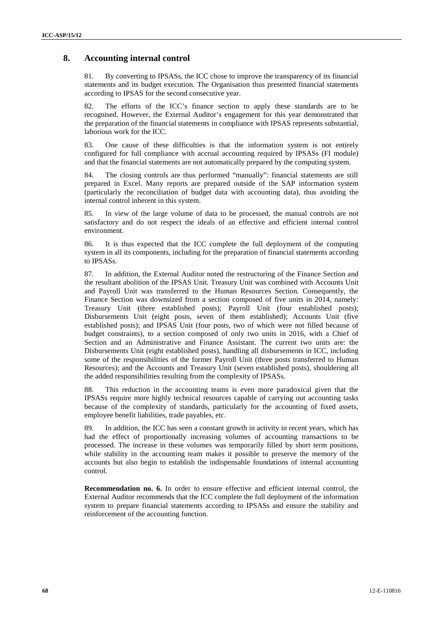#### **8. Accounting internal control**

81. By converting to IPSASs, the ICC chose to improve the transparency of its financial statements and its budget execution. The Organisation thus presented financial statements according to IPSAS for the second consecutive year.

82. The efforts of the ICC's finance section to apply these standards are to be recognised. However, the External Auditor's engagement for this year demonstrated that the preparation of the financial statements in compliance with IPSAS represents substantial, laborious work for the ICC.

83. One cause of these difficulties is that the information system is not entirely configured for full compliance with accrual accounting required by IPSASs (FI module) and that the financial statements are not automatically prepared by the computing system.

84. The closing controls are thus performed "manually": financial statements are still prepared in Excel. Many reports are prepared outside of the SAP information system (particularly the reconciliation of budget data with accounting data), thus avoiding the internal control inherent in this system.

85. In view of the large volume of data to be processed, the manual controls are not satisfactory and do not respect the ideals of an effective and efficient internal control environment.

86. It is thus expected that the ICC complete the full deployment of the computing system in all its components, including for the preparation of financial statements according to IPSASs.

87. In addition, the External Auditor noted the restructuring of the Finance Section and the resultant abolition of the IPSAS Unit. Treasury Unit was combined with Accounts Unit and Payroll Unit was transferred to the Human Resources Section. Consequently, the Finance Section was downsized from a section composed of five units in 2014, namely: Treasury Unit (three established posts); Payroll Unit (four established posts); Disbursements Unit (eight posts, seven of them established); Accounts Unit (five established posts); and IPSAS Unit (four posts, two of which were not filled because of budget constraints), to a section composed of only two units in 2016, with a Chief of Section and an Administrative and Finance Assistant. The current two units are: the Disbursements Unit (eight established posts), handling all disbursements in ICC, including some of the responsibilities of the former Payroll Unit (three posts transferred to Human Resources); and the Accounts and Treasury Unit (seven established posts), shouldering all the added responsibilities resulting from the complexity of IPSASs.

88. This reduction in the accounting teams is even more paradoxical given that the IPSASs require more highly technical resources capable of carrying out accounting tasks because of the complexity of standards, particularly for the accounting of fixed assets, employee benefit liabilities, trade payables, etc.

89. In addition, the ICC has seen a constant growth in activity in recent years, which has had the effect of proportionally increasing volumes of accounting transactions to be processed. The increase in these volumes was temporarily filled by short term positions, while stability in the accounting team makes it possible to preserve the memory of the accounts but also begin to establish the indispensable foundations of internal accounting control.

**Recommendation no. 6.** In order to ensure effective and efficient internal control, the External Auditor recommends that the ICC complete the full deployment of the information system to prepare financial statements according to IPSASs and ensure the stability and reinforcement of the accounting function.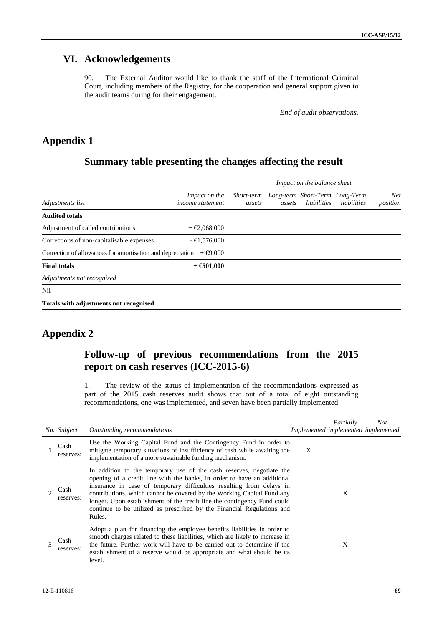# **VI. Acknowledgements**

90. The External Auditor would like to thank the staff of the International Criminal Court, including members of the Registry, for the cooperation and general support given to the audit teams during for their engagement.

*End of audit observations.*

# **Appendix 1**

# **Summary table presenting the changes affecting the result**

|                                                            |                                              | Impact on the balance sheet |        |                                                          |             |                        |  |
|------------------------------------------------------------|----------------------------------------------|-----------------------------|--------|----------------------------------------------------------|-------------|------------------------|--|
| Adjustments list                                           | Impact on the<br><i>income statement</i>     | assets                      | assets | Short-term Long-term Short-Term Long-Term<br>liabilities | liabilities | <b>Net</b><br>position |  |
| <b>Audited totals</b>                                      |                                              |                             |        |                                                          |             |                        |  |
| Adjustment of called contributions                         | $+$ $\epsilon$ 2,068,000                     |                             |        |                                                          |             |                        |  |
| Corrections of non-capitalisable expenses                  | $-$ <b><math>\bigoplus</math></b> , 576, 000 |                             |        |                                                          |             |                        |  |
| Correction of allowances for amortisation and depreciation | $+$ $\bigoplus$ 000                          |                             |        |                                                          |             |                        |  |
| <b>Final totals</b>                                        | $+$ $\epsilon$ 501,000                       |                             |        |                                                          |             |                        |  |
| Adjustments not recognised                                 |                                              |                             |        |                                                          |             |                        |  |
| Nil                                                        |                                              |                             |        |                                                          |             |                        |  |
| Totals with adjustments not recognised                     |                                              |                             |        |                                                          |             |                        |  |

# **Appendix 2**

# **Follow-up of previous recommendations from the 2015 report on cash reserves (ICC-2015-6)**

1. The review of the status of implementation of the recommendations expressed as part of the 2015 cash reserves audit shows that out of a total of eight outstanding recommendations, one was implemented, and seven have been partially implemented.

|   | No. Subject       | Outstanding recommendations                                                                                                                                                                                                                                                                                                                                                                                                                                       |   | Partially<br>Implemented implemented implemented | <b>Not</b> |
|---|-------------------|-------------------------------------------------------------------------------------------------------------------------------------------------------------------------------------------------------------------------------------------------------------------------------------------------------------------------------------------------------------------------------------------------------------------------------------------------------------------|---|--------------------------------------------------|------------|
|   | Cash<br>reserves: | Use the Working Capital Fund and the Contingency Fund in order to<br>mitigate temporary situations of insufficiency of cash while awaiting the<br>implementation of a more sustainable funding mechanism.                                                                                                                                                                                                                                                         | X |                                                  |            |
|   | Cash<br>reserves: | In addition to the temporary use of the cash reserves, negotiate the<br>opening of a credit line with the banks, in order to have an additional<br>insurance in case of temporary difficulties resulting from delays in<br>contributions, which cannot be covered by the Working Capital Fund any<br>longer. Upon establishment of the credit line the contingency Fund could<br>continue to be utilized as prescribed by the Financial Regulations and<br>Rules. |   | X                                                |            |
| 3 | Cash<br>reserves: | Adopt a plan for financing the employee benefits liabilities in order to<br>smooth charges related to these liabilities, which are likely to increase in<br>the future. Further work will have to be carried out to determine if the<br>establishment of a reserve would be appropriate and what should be its<br>level.                                                                                                                                          |   | X                                                |            |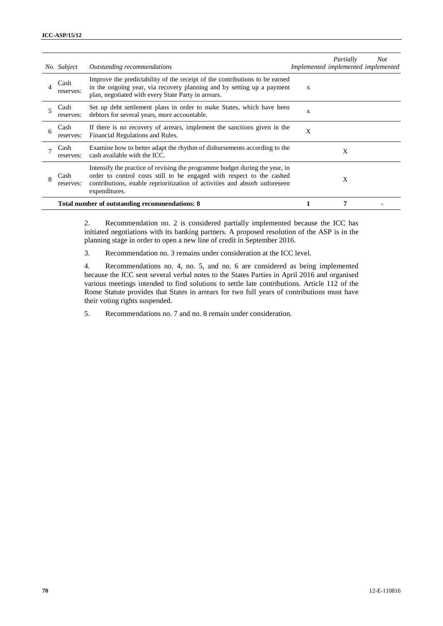|   | No. Subject       | Outstanding recommendations                                                                                                                                                                                                                         | Implemented implemented implemented | Partially | <b>Not</b> |
|---|-------------------|-----------------------------------------------------------------------------------------------------------------------------------------------------------------------------------------------------------------------------------------------------|-------------------------------------|-----------|------------|
|   | Cash<br>reserves: | Improve the predictability of the receipt of the contributions to be earned<br>in the ongoing year, via recovery planning and by setting up a payment<br>plan, negotiated with every State Party in arrears.                                        | X                                   |           |            |
|   | Cash<br>reserves: | Set up debt settlement plans in order to make States, which have been<br>debtors for several years, more accountable.                                                                                                                               | X                                   |           |            |
|   | Cash<br>reserves: | If there is no recovery of arrears, implement the sanctions given in the<br>Financial Regulations and Rules.                                                                                                                                        | X                                   |           |            |
|   | Cash<br>reserves: | Examine how to better adapt the rhythm of disbursements according to the<br>cash available with the ICC.                                                                                                                                            |                                     | X         |            |
| 8 | Cash<br>reserves: | Intensify the practice of revising the programme budget during the year, in<br>order to control costs still to be engaged with respect to the cashed<br>contributions, enable reprioritization of activities and absorb unforeseen<br>expenditures. |                                     | X         |            |
|   |                   | Total number of outstanding recommendations: 8                                                                                                                                                                                                      |                                     | 7         |            |

2. Recommendation no. 2 is considered partially implemented because the ICC has initiated negotiations with its banking partners. A proposed resolution of the ASP is in the planning stage in order to open a new line of credit in September 2016.

3. Recommendation no. 3 remains under consideration at the ICC level.

4. Recommendations no. 4, no. 5, and no. 6 are considered as being implemented because the ICC sent several verbal notes to the States Parties in April 2016 and organised various meetings intended to find solutions to settle late contributions. Article 112 of the Rome Statute provides that States in arrears for two full years of contributions must have their voting rights suspended.

5. Recommendations no. 7 and no. 8 remain under consideration.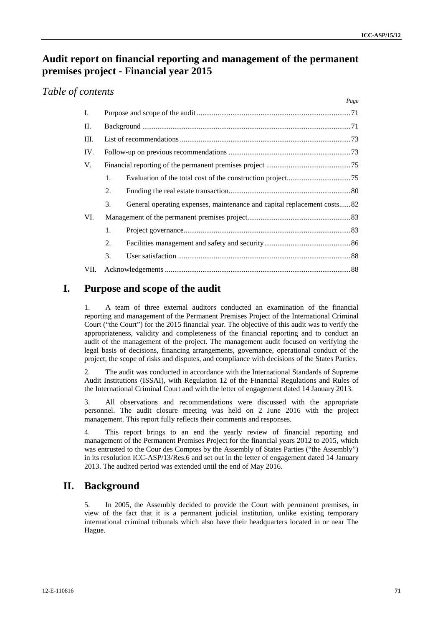*Page*

# **Audit report on financial reporting and management of the permanent premises project - Financial year 2015**

### *Table of contents*

| I.   |    |                                                                         |  |  |  |  |  |
|------|----|-------------------------------------------------------------------------|--|--|--|--|--|
| II.  |    |                                                                         |  |  |  |  |  |
| III. |    |                                                                         |  |  |  |  |  |
| IV.  |    |                                                                         |  |  |  |  |  |
| V.   |    |                                                                         |  |  |  |  |  |
|      | 1. |                                                                         |  |  |  |  |  |
|      | 2. |                                                                         |  |  |  |  |  |
|      | 3. | General operating expenses, maintenance and capital replacement costs82 |  |  |  |  |  |
| VI.  |    |                                                                         |  |  |  |  |  |
|      | 1. |                                                                         |  |  |  |  |  |
|      | 2. |                                                                         |  |  |  |  |  |
|      | 3. |                                                                         |  |  |  |  |  |
| VII. |    |                                                                         |  |  |  |  |  |

## **I. Purpose and scope of the audit**

1. A team of three external auditors conducted an examination of the financial reporting and management of the Permanent Premises Project of the International Criminal Court ("the Court") for the 2015 financial year. The objective of this audit was to verify the appropriateness, validity and completeness of the financial reporting and to conduct an audit of the management of the project. The management audit focused on verifying the legal basis of decisions, financing arrangements, governance, operational conduct of the project, the scope of risks and disputes, and compliance with decisions of the States Parties.

2. The audit was conducted in accordance with the International Standards of Supreme Audit Institutions (ISSAI), with Regulation 12 of the Financial Regulations and Rules of the International Criminal Court and with the letter of engagement dated 14 January 2013.

3. All observations and recommendations were discussed with the appropriate personnel. The audit closure meeting was held on 2 June 2016 with the project management. This report fully reflects their comments and responses.

4. This report brings to an end the yearly review of financial reporting and management of the Permanent Premises Project for the financial years 2012 to 2015, which was entrusted to the Cour des Comptes by the Assembly of States Parties ("the Assembly") in its resolution ICC-ASP/13/Res.6 and set out in the letter of engagement dated 14 January 2013. The audited period was extended until the end of May 2016.

# **II. Background**

5. In 2005, the Assembly decided to provide the Court with permanent premises, in view of the fact that it is a permanent judicial institution, unlike existing temporary international criminal tribunals which also have their headquarters located in or near The Hague.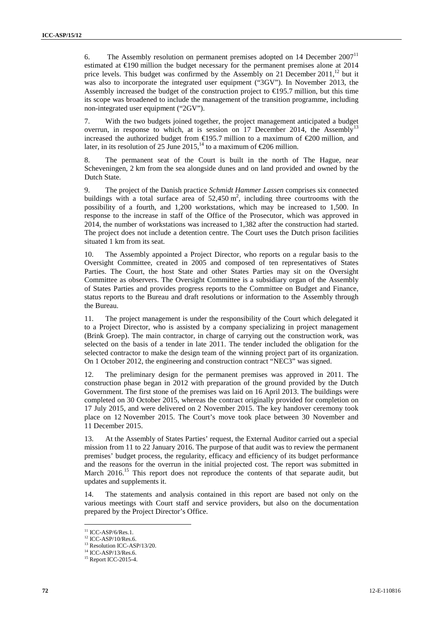6. The Assembly resolution on permanent premises adopted on  $14$  December  $2007<sup>11</sup>$ estimated at  $\epsilon$ 190 million the budget necessary for the permanent premises alone at 2014 price levels. This budget was confirmed by the Assembly on 21 December  $2011<sup>12</sup>$  but it was also to incorporate the integrated user equipment ("3GV"). In November 2013, the Assembly increased the budget of the construction project to  $\epsilon$ 195.7 million, but this time its scope was broadened to include the management of the transition programme, including non-integrated user equipment ("2GV").

7. With the two budgets joined together, the project management anticipated a budget overrun, in response to which, at is session on 17 December 2014, the Assembly<sup>13</sup> increased the authorized budget from €195.7 million to a maximum of €200 million, and later, in its resolution of 25 June 2015,<sup>14</sup> to a maximum of  $\epsilon$ 206 million.

8. The permanent seat of the Court is built in the north of The Hague, near Scheveningen, 2 km from the sea alongside dunes and on land provided and owned by the Dutch State.

9. The project of the Danish practice *Schmidt Hammer Lassen* comprises six connected buildings with a total surface area of  $52,450 \text{ m}^2$ , including three courtrooms with the possibility of a fourth, and 1,200 workstations, which may be increased to 1,500. In response to the increase in staff of the Office of the Prosecutor, which was approved in 2014, the number of workstations was increased to 1,382 after the construction had started. The project does not include a detention centre. The Court uses the Dutch prison facilities situated 1 km from its seat.

10. The Assembly appointed a Project Director, who reports on a regular basis to the Oversight Committee, created in 2005 and composed of ten representatives of States Parties. The Court, the host State and other States Parties may sit on the Oversight Committee as observers. The Oversight Committee is a subsidiary organ of the Assembly of States Parties and provides progress reports to the Committee on Budget and Finance, status reports to the Bureau and draft resolutions or information to the Assembly through the Bureau.

11. The project management is under the responsibility of the Court which delegated it to a Project Director, who is assisted by a company specializing in project management (Brink Groep). The main contractor, in charge of carrying out the construction work, was selected on the basis of a tender in late 2011. The tender included the obligation for the selected contractor to make the design team of the winning project part of its organization. On 1 October 2012, the engineering and construction contract "NEC3" was signed.

12. The preliminary design for the permanent premises was approved in 2011. The construction phase began in 2012 with preparation of the ground provided by the Dutch Government. The first stone of the premises was laid on 16 April 2013. The buildings were completed on 30 October 2015, whereas the contract originally provided for completion on 17 July 2015, and were delivered on 2 November 2015. The key handover ceremony took place on 12 November 2015. The Court's move took place between 30 November and 11 December 2015.

13. At the Assembly of States Parties' request, the External Auditor carried out a special mission from 11 to 22 January 2016. The purpose of that audit was to review the permanent premises' budget process, the regularity, efficacy and efficiency of its budget performance and the reasons for the overrun in the initial projected cost. The report was submitted in March 2016.<sup>15</sup> This report does not reproduce the contents of that separate audit, but updates and supplements it.

The statements and analysis contained in this report are based not only on the various meetings with Court staff and service providers, but also on the documentation prepared by the Project Director's Office.

 $^{11}$  ICC-ASP/6/Res.1.<br> $^{12}$  ICC-ASP/10/Res.6.

<sup>&</sup>lt;sup>13</sup> Resolution ICC-ASP/13/20.

 $14$  ICC-ASP/13/Res.6.<br> $15$  Report ICC-2015-4.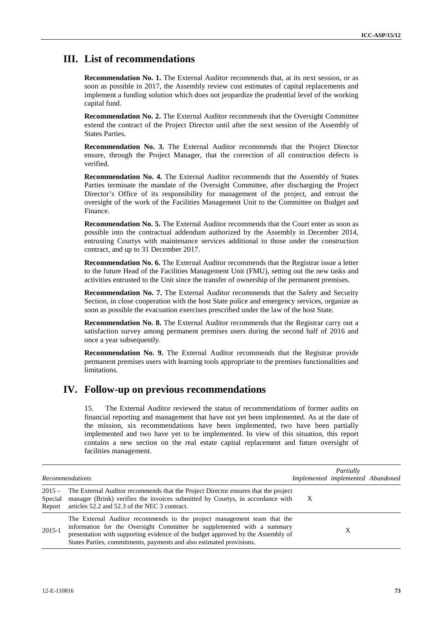# **III. List of recommendations**

**Recommendation No. 1.** The External Auditor recommends that, at its next session, or as soon as possible in 2017, the Assembly review cost estimates of capital replacements and implement a funding solution which does not jeopardize the prudential level of the working capital fund.

**Recommendation No. 2.** The External Auditor recommends that the Oversight Committee extend the contract of the Project Director until after the next session of the Assembly of States Parties.

**Recommendation No. 3.** The External Auditor recommends that the Project Director ensure, through the Project Manager, that the correction of all construction defects is verified.

**Recommendation No. 4.** The External Auditor recommends that the Assembly of States Parties terminate the mandate of the Oversight Committee, after discharging the Project Director's Office of its responsibility for management of the project, and entrust the oversight of the work of the Facilities Management Unit to the Committee on Budget and Finance.

**Recommendation No. 5.** The External Auditor recommends that the Court enter as soon as possible into the contractual addendum authorized by the Assembly in December 2014, entrusting Courtys with maintenance services additional to those under the construction contract, and up to 31 December 2017.

**Recommendation No. 6.** The External Auditor recommends that the Registrar issue a letter to the future Head of the Facilities Management Unit (FMU), setting out the new tasks and activities entrusted to the Unit since the transfer of ownership of the permanent premises.

**Recommendation No. 7.** The External Auditor recommends that the Safety and Security Section, in close cooperation with the host State police and emergency services, organize as soon as possible the evacuation exercises prescribed under the law of the host State.

**Recommendation No. 8.** The External Auditor recommends that the Registrar carry out a satisfaction survey among permanent premises users during the second half of 2016 and once a year subsequently.

**Recommendation No. 9.** The External Auditor recommends that the Registrar provide permanent premises users with learning tools appropriate to the premises functionalities and limitations.

# **IV. Follow-up on previous recommendations**

15. The External Auditor reviewed the status of recommendations of former audits on financial reporting and management that have not yet been implemented. As at the date of the mission, six recommendations have been implemented, two have been partially implemented and two have yet to be implemented. In view of this situation, this report contains a new section on the real estate capital replacement and future oversight of facilities management.

|                               | <b>Recommendations</b>                                                                                                                                                                                                                                                                                       | Partially<br>Implemented implemented Abandoned |   |  |
|-------------------------------|--------------------------------------------------------------------------------------------------------------------------------------------------------------------------------------------------------------------------------------------------------------------------------------------------------------|------------------------------------------------|---|--|
| $2015 -$<br>Special<br>Report | The External Auditor recommends that the Project Director ensures that the project<br>manager (Brink) verifies the invoices submitted by Courtys, in accordance with<br>articles 52.2 and 52.3 of the NEC 3 contract.                                                                                        | X                                              |   |  |
| 2015-1                        | The External Auditor recommends to the project management team that the<br>information for the Oversight Committee be supplemented with a summary<br>presentation with supporting evidence of the budget approved by the Assembly of<br>States Parties, commitments, payments and also estimated provisions. |                                                | X |  |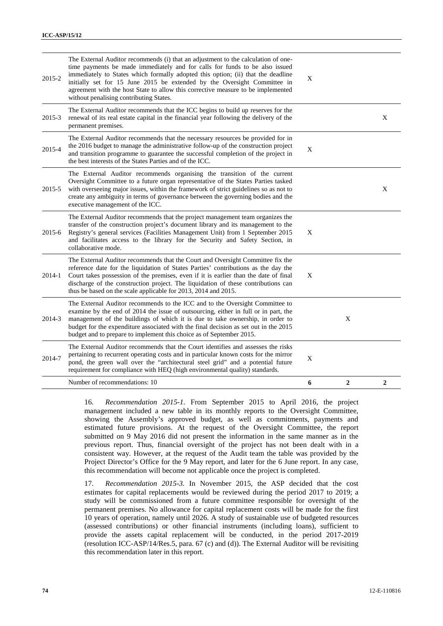| The External Auditor recommends (i) that an adjustment to the calculation of one-<br>time payments be made immediately and for calls for funds to be also issued                                                                                                                                                                                                                                                               |             |                |                |
|--------------------------------------------------------------------------------------------------------------------------------------------------------------------------------------------------------------------------------------------------------------------------------------------------------------------------------------------------------------------------------------------------------------------------------|-------------|----------------|----------------|
| immediately to States which formally adopted this option; (ii) that the deadline<br>2015-2<br>initially set for 15 June 2015 be extended by the Oversight Committee in<br>agreement with the host State to allow this corrective measure to be implemented<br>without penalising contributing States.                                                                                                                          | X           |                |                |
| The External Auditor recommends that the ICC begins to build up reserves for the<br>renewal of its real estate capital in the financial year following the delivery of the<br>2015-3<br>permanent premises.                                                                                                                                                                                                                    |             |                | X              |
| The External Auditor recommends that the necessary resources be provided for in<br>the 2016 budget to manage the administrative follow-up of the construction project<br>2015-4<br>and transition programme to guarantee the successful completion of the project in<br>the best interests of the States Parties and of the ICC.                                                                                               | $\mathbf X$ |                |                |
| The External Auditor recommends organising the transition of the current<br>Oversight Committee to a future organ representative of the States Parties tasked<br>with overseeing major issues, within the framework of strict guidelines so as not to<br>2015-5<br>create any ambiguity in terms of governance between the governing bodies and the<br>executive management of the ICC.                                        |             |                | X              |
| The External Auditor recommends that the project management team organizes the<br>transfer of the construction project's document library and its management to the<br>Registry's general services (Facilities Management Unit) from 1 September 2015<br>2015-6<br>and facilitates access to the library for the Security and Safety Section, in<br>collaborative mode.                                                        | X           |                |                |
| The External Auditor recommends that the Court and Oversight Committee fix the<br>reference date for the liquidation of States Parties' contributions as the day the<br>Court takes possession of the premises, even if it is earlier than the date of final<br>2014-1<br>discharge of the construction project. The liquidation of these contributions can<br>thus be based on the scale applicable for 2013, 2014 and 2015.  | X           |                |                |
| The External Auditor recommends to the ICC and to the Oversight Committee to<br>examine by the end of 2014 the issue of outsourcing, either in full or in part, the<br>management of the buildings of which it is due to take ownership, in order to<br>2014-3<br>budget for the expenditure associated with the final decision as set out in the 2015<br>budget and to prepare to implement this choice as of September 2015. |             | X              |                |
| The External Auditor recommends that the Court identifies and assesses the risks<br>pertaining to recurrent operating costs and in particular known costs for the mirror<br>2014-7<br>pond, the green wall over the "architectural steel grid" and a potential future<br>requirement for compliance with HEQ (high environmental quality) standards.                                                                           | X           |                |                |
| Number of recommendations: 10                                                                                                                                                                                                                                                                                                                                                                                                  | 6           | $\overline{2}$ | $\overline{2}$ |

16. *Recommendation 2015-1.* From September 2015 to April 2016, the project management included a new table in its monthly reports to the Oversight Committee, showing the Assembly's approved budget, as well as commitments, payments and estimated future provisions. At the request of the Oversight Committee, the report submitted on 9 May 2016 did not present the information in the same manner as in the previous report. Thus, financial oversight of the project has not been dealt with in a consistent way. However, at the request of the Audit team the table was provided by the Project Director's Office for the 9 May report, and later for the 6 June report. In any case, this recommendation will become not applicable once the project is completed.

17. *Recommendation 2015-3.* In November 2015, the ASP decided that the cost estimates for capital replacements would be reviewed during the period 2017 to 2019; a study will be commissioned from a future committee responsible for oversight of the permanent premises. No allowance for capital replacement costs will be made for the first 10 years of operation, namely until 2026. A study of sustainable use of budgeted resources (assessed contributions) or other financial instruments (including loans), sufficient to provide the assets capital replacement will be conducted, in the period 2017-2019 (resolution ICC-ASP/14/Res.5, para. 67 (c) and (d)). The External Auditor will be revisiting this recommendation later in this report.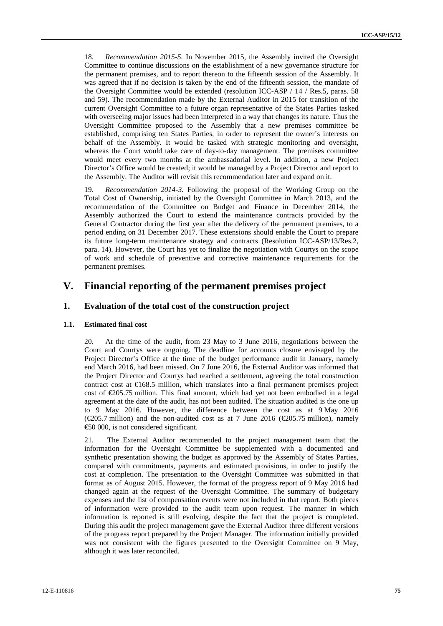18. *Recommendation 2015-5.* In November 2015, the Assembly invited the Oversight Committee to continue discussions on the establishment of a new governance structure for the permanent premises, and to report thereon to the fifteenth session of the Assembly. It was agreed that if no decision is taken by the end of the fifteenth session, the mandate of the Oversight Committee would be extended (resolution ICC-ASP / 14 / Res.5, paras. 58 and 59). The recommendation made by the External Auditor in 2015 for transition of the current Oversight Committee to a future organ representative of the States Parties tasked with overseeing major issues had been interpreted in a way that changes its nature. Thus the Oversight Committee proposed to the Assembly that a new premises committee be established, comprising ten States Parties, in order to represent the owner's interests on behalf of the Assembly. It would be tasked with strategic monitoring and oversight, whereas the Court would take care of day-to-day management. The premises committee would meet every two months at the ambassadorial level. In addition, a new Project Director's Office would be created; it would be managed by a Project Director and report to the Assembly. The Auditor will revisit this recommendation later and expand on it.

19. *Recommendation 2014-3.* Following the proposal of the Working Group on the Total Cost of Ownership, initiated by the Oversight Committee in March 2013, and the recommendation of the Committee on Budget and Finance in December 2014, the Assembly authorized the Court to extend the maintenance contracts provided by the General Contractor during the first year after the delivery of the permanent premises, to a period ending on 31 December 2017. These extensions should enable the Court to prepare its future long-term maintenance strategy and contracts (Resolution ICC-ASP/13/Res.2, para. 14). However, the Court has yet to finalize the negotiation with Courtys on the scope of work and schedule of preventive and corrective maintenance requirements for the permanent premises.

## **V. Financial reporting of the permanent premises project**

## **1. Evaluation of the total cost of the construction project**

### **1.1. Estimated final cost**

20. At the time of the audit, from 23 May to 3 June 2016, negotiations between the Court and Courtys were ongoing. The deadline for accounts closure envisaged by the Project Director's Office at the time of the budget performance audit in January, namely end March 2016, had been missed. On 7 June 2016, the External Auditor was informed that the Project Director and Courtys had reached a settlement, agreeing the total construction contract cost at €168.5 million, which translates into a final permanent premises project cost of €205.75 million. This final amount, which had yet not been embodied in a legal agreement at the date of the audit, has not been audited. The situation audited is the one up to 9 May 2016. However, the difference between the cost as at 9 May 2016 ( $\text{\textcircled{e}05.7}$  million) and the non-audited cost as at 7 June 2016 ( $\text{\textcircled{e}05.75}$  million), namely €50 000, is not considered significant.

21. The External Auditor recommended to the project management team that the information for the Oversight Committee be supplemented with a documented and synthetic presentation showing the budget as approved by the Assembly of States Parties, compared with commitments, payments and estimated provisions, in order to justify the cost at completion. The presentation to the Oversight Committee was submitted in that format as of August 2015. However, the format of the progress report of 9 May 2016 had changed again at the request of the Oversight Committee. The summary of budgetary expenses and the list of compensation events were not included in that report. Both pieces of information were provided to the audit team upon request. The manner in which information is reported is still evolving, despite the fact that the project is completed. During this audit the project management gave the External Auditor three different versions of the progress report prepared by the Project Manager. The information initially provided was not consistent with the figures presented to the Oversight Committee on 9 May, although it was later reconciled.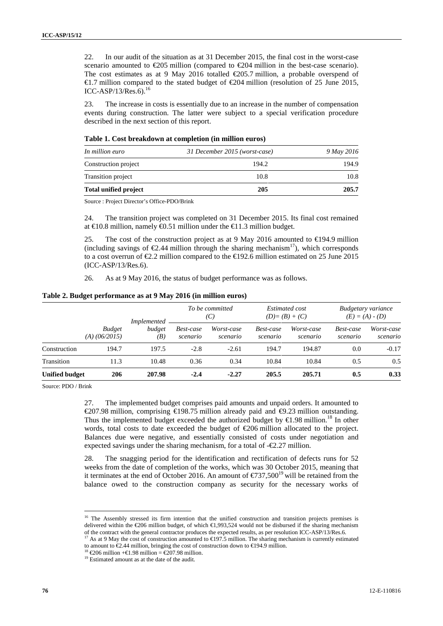22. In our audit of the situation as at 31 December 2015, the final cost in the worst-case scenario amounted to  $\epsilon$ 205 million (compared to  $\epsilon$ 204 million in the best-case scenario). The cost estimates as at 9 May 2016 totalled  $\epsilon$ 205.7 million, a probable overspend of €1.7 million compared to the stated budget of €204 million (resolution of 25 June 2015, ICC-ASP/13/Res.6). $^{16}$ 

23. The increase in costs is essentially due to an increase in the number of compensation events during construction. The latter were subject to a special verification procedure described in the next section of this report.

#### **Table 1. Cost breakdown at completion (in million euros)**

| In million euro              | 31 December 2015 (worst-case) | 9 May 2016 |  |
|------------------------------|-------------------------------|------------|--|
| Construction project         | 194.2                         | 194.9      |  |
| Transition project           | 10.8                          | 10.8       |  |
| <b>Total unified project</b> | 205                           | 205.7      |  |

Source : Project Director's Office-PDO/Brink

24. The transition project was completed on 31 December 2015. Its final cost remained at  $\in$  0.8 million, namely  $\in$  0.51 million under the  $\in$  1.3 million budget.

25. The cost of the construction project as at 9 May 2016 amounted to  $\in$  94.9 million (including savings of  $\epsilon$ 2.44 million through the sharing mechanism<sup>17</sup>), which corresponds to a cost overrun of  $\epsilon 2.2$  million compared to the  $\epsilon 192.6$  million estimated on 25 June 2015 (ICC-ASP/13/Res.6).

26. As at 9 May 2016, the status of budget performance was as follows.

|                       |                 | <b>Implemented</b><br>budget<br><b>Budget</b><br>(B) | To be committed<br>(C) |                        | <i>Estimated cost</i><br>$(D) = (B) + (C)$ |                        | Budgetary variance<br>$(E) = (A) - (D)$ |                        |
|-----------------------|-----------------|------------------------------------------------------|------------------------|------------------------|--------------------------------------------|------------------------|-----------------------------------------|------------------------|
|                       | $(A)$ (06/2015) |                                                      | Best-case<br>scenario  | Worst-case<br>scenario | Best-case<br>scenario                      | Worst-case<br>scenario | Best-case<br>scenario                   | Worst-case<br>scenario |
| Construction          | 194.7           | 197.5                                                | $-2.8$                 | $-2.61$                | 194.7                                      | 194.87                 | 0.0                                     | $-0.17$                |
| Transition            | 11.3            | 10.48                                                | 0.36                   | 0.34                   | 10.84                                      | 10.84                  | 0.5                                     | 0.5                    |
| <b>Unified budget</b> | 206             | 207.98                                               | $-2.4$                 | $-2.27$                | 205.5                                      | 205.71                 | 0.5                                     | 0.33                   |

Source: PDO / Brink

27. The implemented budget comprises paid amounts and unpaid orders. It amounted to €207.98 million, comprising €198.75 million already paid and €9.23 million outstanding. Thus the implemented budget exceeded the authorized budget by  $\epsilon$ 1.98 million.<sup>18</sup> In other words, total costs to date exceeded the budget of €206 million allocated to the project. Balances due were negative, and essentially consisted of costs under negotiation and expected savings under the sharing mechanism, for a total of  $-\epsilon 2.27$  million.

28. The snagging period for the identification and rectification of defects runs for 52 weeks from the date of completion of the works, which was 30 October 2015, meaning that it terminates at the end of October 2016. An amount of  $\epsilon$ 737,500<sup>19</sup> will be retained from the balance owed to the construction company as security for the necessary works of

<sup>&</sup>lt;sup>16</sup> The Assembly stressed its firm intention that the unified construction and transition projects premises is delivered within the  $\text{\textsterling}06$  million budget, of which  $\text{\textsterling}1,993,524$  would not be disbursed if the sharing mechanism of the contract with the general contractor produces the expected results, as per resolution ICC

<sup>&</sup>lt;sup>17</sup> As at 9 May the cost of construction amounted to  $\bigoplus$  97.5 million. The sharing mechanism is currently estimated to amount to  $€2.44$  million, bringing the cost of construction down to €194.9 million.<br><sup>18</sup> €206 million +€1.98 million = €207.98 million.<br><sup>19</sup> Estimated amount as at the date of the audit.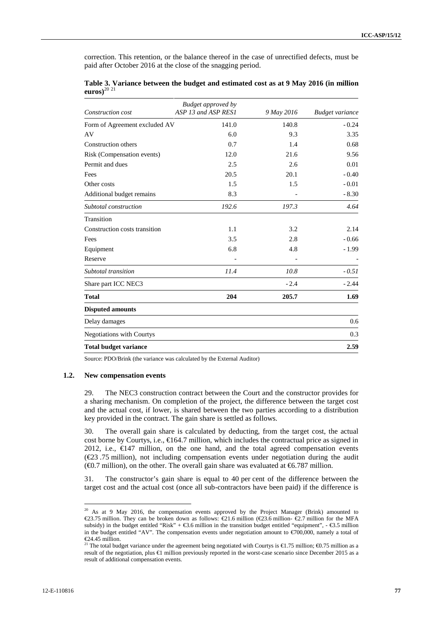correction. This retention, or the balance thereof in the case of unrectified defects, must be paid after October 2016 at the close of the snagging period.

| Construction cost             | <b>Budget approved by</b><br>ASP 13 and ASP RESI | 9 May 2016 | <b>Budget variance</b> |
|-------------------------------|--------------------------------------------------|------------|------------------------|
| Form of Agreement excluded AV | 141.0                                            | 140.8      | $-0.24$                |
| AV                            | 6.0                                              | 9.3        | 3.35                   |
| Construction others           | 0.7                                              | 1.4        | 0.68                   |
| Risk (Compensation events)    | 12.0                                             | 21.6       | 9.56                   |
| Permit and dues               | 2.5                                              | 2.6        | 0.01                   |
| Fees                          | 20.5                                             | 20.1       | $-0.40$                |
| Other costs                   | 1.5                                              | 1.5        | $-0.01$                |
| Additional budget remains     | 8.3                                              |            | $-8.30$                |
| Subtotal construction         | 192.6                                            | 197.3      | 4.64                   |
| Transition                    |                                                  |            |                        |
| Construction costs transition | 1.1                                              | 3.2        | 2.14                   |
| Fees                          | 3.5                                              | 2.8        | $-0.66$                |
| Equipment                     | 6.8                                              | 4.8        | $-1.99$                |
| Reserve                       |                                                  |            |                        |
| Subtotal transition           | 11.4                                             | 10.8       | $-0.51$                |
| Share part ICC NEC3           |                                                  | $-2.4$     | $-2.44$                |
| <b>Total</b>                  | 204                                              | 205.7      | 1.69                   |
| <b>Disputed amounts</b>       |                                                  |            |                        |
| Delay damages                 |                                                  |            | 0.6                    |
| Negotiations with Courtys     |                                                  |            | 0.3                    |
| <b>Total budget variance</b>  |                                                  |            | 2.59                   |

**Table 3. Variance between the budget and estimated cost as at 9 May 2016 (in million euros)**<sup>20</sup> <sup>21</sup>

Source: PDO/Brink (the variance was calculated by the External Auditor)

### **1.2. New compensation events**

29. The NEC3 construction contract between the Court and the constructor provides for a sharing mechanism. On completion of the project, the difference between the target cost and the actual cost, if lower, is shared between the two parties according to a distribution key provided in the contract. The gain share is settled as follows.

30. The overall gain share is calculated by deducting, from the target cost, the actual cost borne by Courtys, i.e.,  $\in$  64.7 million, which includes the contractual price as signed in 2012, i.e.,  $\bigoplus$  47 million, on the one hand, and the total agreed compensation events  $(\text{\textcircled{e}3.75}$  million), not including compensation events under negotiation during the audit ( $\epsilon$ 0.7 million), on the other. The overall gain share was evaluated at  $\epsilon$ 6.787 million.

31. The constructor's gain share is equal to 40 per cent of the difference between the target cost and the actual cost (once all sub-contractors have been paid) if the difference is

<sup>&</sup>lt;sup>20</sup> As at 9 May 2016, the compensation events approved by the Project Manager (Brink) amounted to €23.75 million. They can be broken down as follows: €21.6 million (€23.6 million- €2.7 million for the MFA subsidy) in the budget entitled "Risk" +  $\text{\textsterling}3.6$  million in the transition budget entitled "equipment", -  $\text{\textsterling}3.5$  million in the budget entitled "AV". The compensation events under negotiation amount to  $\epsilon \vec{v}$ 00,000, namely a total of

 $€24.45$  million.<br><sup>21</sup> The total budget variance under the agreement being negotiated with Courtys is €1.75 million; €0.75 million as a result of the negotiation, plus €1 million previously reported in the worst-case scenario since December 2015 as a result of additional compensation events.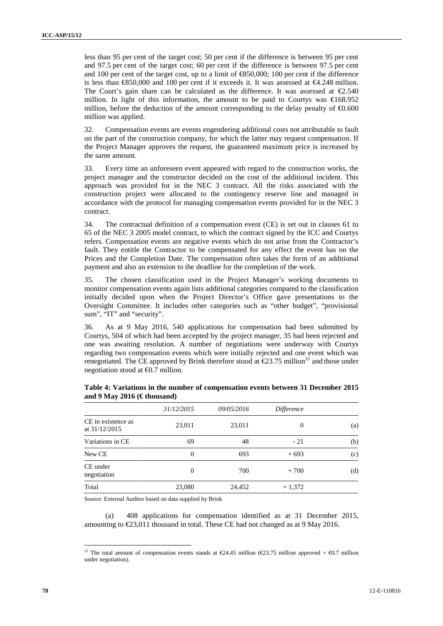less than 95 per cent of the target cost; 50 per cent if the difference is between 95 per cent and 97.5 per cent of the target cost; 60 per cent if the difference is between 97.5 per cent and 100 per cent of the target cost, up to a limit of  $\mathcal{C}$ 850,000; 100 per cent if the difference is less than €850,000 and 100 per cent if it exceeds it. It was assessed at €4.248 million. The Court's gain share can be calculated as the difference. It was assessed at  $\epsilon$ 2.540 million. In light of this information, the amount to be paid to Courtys was  $\epsilon$ 68.952 million, before the deduction of the amount corresponding to the delay penalty of  $\epsilon 0.600$ million was applied.

32. Compensation events are events engendering additional costs not attributable to fault on the part of the construction company, for which the latter may request compensation. If the Project Manager approves the request, the guaranteed maximum price is increased by the same amount.

33. Every time an unforeseen event appeared with regard to the construction works, the project manager and the constructor decided on the cost of the additional incident. This approach was provided for in the NEC 3 contract. All the risks associated with the construction project were allocated to the contingency reserve line and managed in accordance with the protocol for managing compensation events provided for in the NEC 3 contract.

34. The contractual definition of a compensation event (CE) is set out in clauses 61 to 65 of the NEC 3 2005 model contract, to which the contract signed by the ICC and Courtys refers. Compensation events are negative events which do not arise from the Contractor's fault. They entitle the Contractor to be compensated for any effect the event has on the Prices and the Completion Date. The compensation often takes the form of an additional payment and also an extension to the deadline for the completion of the work.

35. The chosen classification used in the Project Manager's working documents to monitor compensation events again lists additional categories compared to the classification initially decided upon when the Project Director's Office gave presentations to the Oversight Committee. It includes other categories such as "other budget", "provisional sum", "IT" and "security".

36. As at 9 May 2016, 540 applications for compensation had been submitted by Courtys, 504 of which had been accepted by the project manager, 35 had been rejected and one was awaiting resolution. A number of negotiations were underway with Courtys regarding two compensation events which were initially rejected and one event which was renegotiated. The CE approved by Brink therefore stood at  $\epsilon$ 23.75 million<sup>22</sup> and those under negotiation stood at  $\bigoplus$ .7 million.

|                                       | 31/12/2015     | 09/05/2016 | Difference |                            |
|---------------------------------------|----------------|------------|------------|----------------------------|
| CE in existence as<br>at $31/12/2015$ | 23,011         | 23,011     | 0          | (a)                        |
| Variations in CE                      | 69             | 48         | $-21$      | (b)                        |
| New CE                                | $\overline{0}$ | 693        | $+693$     | $\left( \mathrm{c}\right)$ |
| CE under<br>negotiation               | $\Omega$       | 700        | $+700$     | (d)                        |
| Total                                 | 23,080         | 24,452     | $+1,372$   |                            |

**Table 4: Variations in the number of compensation events between 31 December 2015 and 9 May 2016 (€ thousand)**

Source: External Auditor based on data supplied by Brink

(a) 408 applications for compensation identified as at 31 December 2015, amounting to €23,011 thousand in total. These CE had not changed as at 9 May 2016.

<sup>&</sup>lt;sup>22</sup> The total amount of compensation events stands at  $\epsilon$ 24.45 million ( $\epsilon$ 23.75 million approved +  $\epsilon$ 0.7 million under negotiation).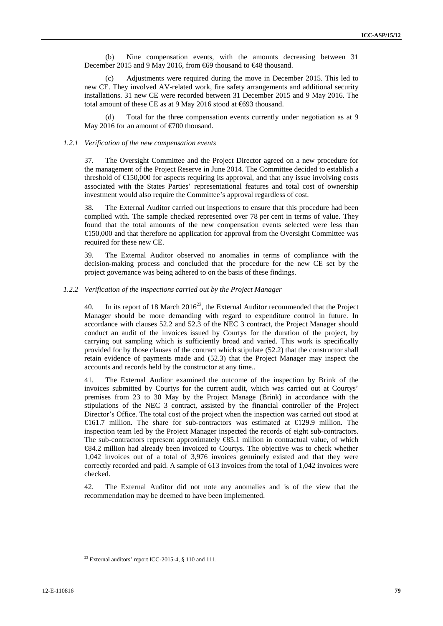(b) Nine compensation events, with the amounts decreasing between 31 December 2015 and 9 May 2016, from €69 thousand to €48 thousand.

Adjustments were required during the move in December 2015. This led to new CE. They involved AV-related work, fire safety arrangements and additional security installations. 31 new CE were recorded between 31 December 2015 and 9 May 2016. The total amount of these CE as at 9 May 2016 stood at €693 thousand.

(d) Total for the three compensation events currently under negotiation as at 9 May 2016 for an amount of  $\epsilon$ 700 thousand.

#### *1.2.1 Verification of the new compensation events*

37. The Oversight Committee and the Project Director agreed on a new procedure for the management of the Project Reserve in June 2014. The Committee decided to establish a threshold of  $\bigoplus$  50,000 for aspects requiring its approval, and that any issue involving costs associated with the States Parties' representational features and total cost of ownership investment would also require the Committee's approval regardless of cost.

38. The External Auditor carried out inspections to ensure that this procedure had been complied with. The sample checked represented over 78 per cent in terms of value. They found that the total amounts of the new compensation events selected were less than €150,000 and that therefore no application for approval from the Oversight Committee was required for these new CE.

39. The External Auditor observed no anomalies in terms of compliance with the decision-making process and concluded that the procedure for the new CE set by the project governance was being adhered to on the basis of these findings.

### *1.2.2 Verification of the inspections carried out by the Project Manager*

40. In its report of 18 March  $2016^{23}$ , the External Auditor recommended that the Project Manager should be more demanding with regard to expenditure control in future. In accordance with clauses 52.2 and 52.3 of the NEC 3 contract, the Project Manager should conduct an audit of the invoices issued by Courtys for the duration of the project, by carrying out sampling which is sufficiently broad and varied. This work is specifically provided for by those clauses of the contract which stipulate (52.2) that the constructor shall retain evidence of payments made and (52.3) that the Project Manager may inspect the accounts and records held by the constructor at any time..

41. The External Auditor examined the outcome of the inspection by Brink of the invoices submitted by Courtys for the current audit, which was carried out at Courtys' premises from 23 to 30 May by the Project Manage (Brink) in accordance with the stipulations of the NEC 3 contract, assisted by the financial controller of the Project Director's Office. The total cost of the project when the inspection was carried out stood at €161.7 million. The share for sub-contractors was estimated at €129.9 million. The inspection team led by the Project Manager inspected the records of eight sub-contractors. The sub-contractors represent approximately €85.1 million in contractual value, of which €84.2 million had already been invoiced to Courtys. The objective was to check whether 1,042 invoices out of a total of 3,976 invoices genuinely existed and that they were correctly recorded and paid. A sample of 613 invoices from the total of 1,042 invoices were checked.

42. The External Auditor did not note any anomalies and is of the view that the recommendation may be deemed to have been implemented.

<sup>&</sup>lt;sup>23</sup> External auditors' report ICC-2015-4,  $§$  110 and 111.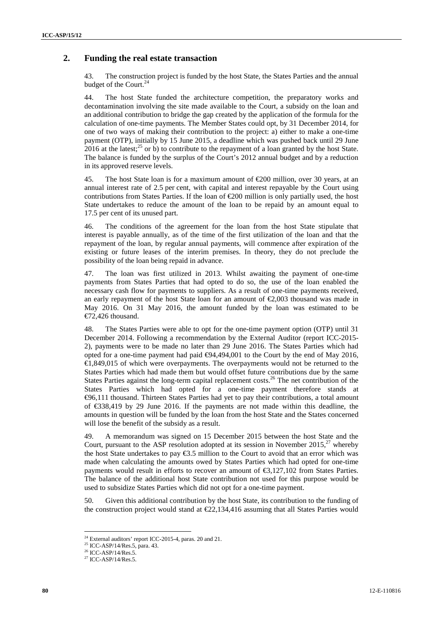## **2. Funding the real estate transaction**

43. The construction project is funded by the host State, the States Parties and the annual budget of the Court. $^{24}$ 

44. The host State funded the architecture competition, the preparatory works and decontamination involving the site made available to the Court, a subsidy on the loan and an additional contribution to bridge the gap created by the application of the formula for the calculation of one-time payments. The Member States could opt, by 31 December 2014, for one of two ways of making their contribution to the project: a) either to make a one-time payment (OTP), initially by 15 June 2015, a deadline which was pushed back until 29 June 2016 at the latest;<sup>25</sup> or b) to contribute to the repayment of a loan granted by the host State. The balance is funded by the surplus of the Court's 2012 annual budget and by a reduction in its approved reserve levels.

45. The host State loan is for a maximum amount of  $\epsilon$ 200 million, over 30 years, at an annual interest rate of 2.5 per cent, with capital and interest repayable by the Court using contributions from States Parties. If the loan of  $E$  200 million is only partially used, the host State undertakes to reduce the amount of the loan to be repaid by an amount equal to 17.5 per cent of its unused part.

46. The conditions of the agreement for the loan from the host State stipulate that interest is payable annually, as of the time of the first utilization of the loan and that the repayment of the loan, by regular annual payments, will commence after expiration of the existing or future leases of the interim premises. In theory, they do not preclude the possibility of the loan being repaid in advance.

47. The loan was first utilized in 2013. Whilst awaiting the payment of one-time payments from States Parties that had opted to do so, the use of the loan enabled the necessary cash flow for payments to suppliers. As a result of one-time payments received, an early repayment of the host State loan for an amount of €2,003 thousand was made in May 2016. On 31 May 2016, the amount funded by the loan was estimated to be €72,426 thousand.

48. The States Parties were able to opt for the one-time payment option (OTP) until 31 December 2014. Following a recommendation by the External Auditor (report ICC-2015- 2), payments were to be made no later than 29 June 2016. The States Parties which had opted for a one-time payment had paid €94,494,001 to the Court by the end of May 2016, €1,849,015 of which were overpayments. The overpayments would not be returned to the States Parties which had made them but would offset future contributions due by the same States Parties against the long-term capital replacement costs.<sup>26</sup> The net contribution of the States Parties which had opted for a one-time payment therefore stands at €96,111 thousand. Thirteen States Parties had yet to pay their contributions, a total amount of €338,419 by 29 June 2016. If the payments are not made within this deadline, the amounts in question will be funded by the loan from the host State and the States concerned will lose the benefit of the subsidy as a result.

49. A memorandum was signed on 15 December 2015 between the host State and the Court, pursuant to the ASP resolution adopted at its session in November 2015,<sup>27</sup> whereby the host State undertakes to pay  $\epsilon$ 3.5 million to the Court to avoid that an error which was made when calculating the amounts owed by States Parties which had opted for one-time payments would result in efforts to recover an amount of €3,127,102 from States Parties. The balance of the additional host State contribution not used for this purpose would be used to subsidize States Parties which did not opt for a one-time payment.

50. Given this additional contribution by the host State, its contribution to the funding of the construction project would stand at  $\epsilon$ 22,134,416 assuming that all States Parties would

 $^{24}$  External auditors' report ICC-2015-4, paras. 20 and 21.  $^{25}$  ICC-ASP/14/Res.5, para. 43.

 $^{26}$  ICC-ASP/14/Res.5.<br><sup>27</sup> ICC-ASP/14/Res.5.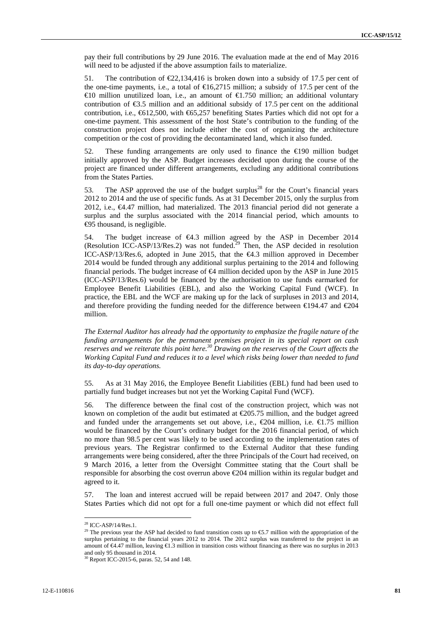pay their full contributions by 29 June 2016. The evaluation made at the end of May 2016 will need to be adjusted if the above assumption fails to materialize.

51. The contribution of  $\epsilon$ 2.134,416 is broken down into a subsidy of 17.5 per cent of the one-time payments, i.e., a total of  $\epsilon$ 16,2715 million; a subsidy of 17.5 per cent of the €10 million unutilized loan, i.e., an amount of €1.750 million; an additional voluntary contribution of  $\epsilon$ 3.5 million and an additional subsidy of 17.5 per cent on the additional contribution, i.e.,  $612,500$ , with  $65,257$  benefiting States Parties which did not opt for a one-time payment. This assessment of the host State's contribution to the funding of the construction project does not include either the cost of organizing the architecture competition or the cost of providing the decontaminated land, which it also funded.

52. These funding arrangements are only used to finance the €190 million budget initially approved by the ASP. Budget increases decided upon during the course of the project are financed under different arrangements, excluding any additional contributions from the States Parties.

53. The ASP approved the use of the budget surplus<sup>28</sup> for the Court's financial years 2012 to 2014 and the use of specific funds. As at 31 December 2015, only the surplus from 2012, i.e., €4.47 million, had materialized. The 2013 financial period did not generate a surplus and the surplus associated with the 2014 financial period, which amounts to €95 thousand, is negligible.

54. The budget increase of  $\epsilon 4.3$  million agreed by the ASP in December 2014 (Resolution ICC-ASP/13/Res.2) was not funded.<sup>29</sup> Then, the ASP decided in resolution ICC-ASP/13/Res.6, adopted in June 2015, that the €4.3 million approved in December 2014 would be funded through any additional surplus pertaining to the 2014 and following financial periods. The budget increase of  $\bigoplus$  million decided upon by the ASP in June 2015 (ICC-ASP/13/Res.6) would be financed by the authorisation to use funds earmarked for Employee Benefit Liabilities (EBL), and also the Working Capital Fund (WCF). In practice, the EBL and the WCF are making up for the lack of surpluses in 2013 and 2014, and therefore providing the funding needed for the difference between  $\in$ 194.47 and  $\in$ 204 million.

*The External Auditor has already had the opportunity to emphasize the fragile nature of the funding arrangements for the permanent premises project in its special report on cash reserves and we reiterate this point here.<sup>30</sup> Drawing on the reserves of the Court affects the Working Capital Fund and reduces it to a level which risks being lower than needed to fund its day-to-day operations.*

55. As at 31 May 2016, the Employee Benefit Liabilities (EBL) fund had been used to partially fund budget increases but not yet the Working Capital Fund (WCF).

56. The difference between the final cost of the construction project, which was not known on completion of the audit but estimated at  $\epsilon$ 205.75 million, and the budget agreed and funded under the arrangements set out above, i.e.,  $\epsilon$  204 million, i.e.  $\epsilon$  1.75 million would be financed by the Court's ordinary budget for the 2016 financial period, of which no more than 98.5 per cent was likely to be used according to the implementation rates of previous years. The Registrar confirmed to the External Auditor that these funding arrangements were being considered, after the three Principals of the Court had received, on 9 March 2016, a letter from the Oversight Committee stating that the Court shall be responsible for absorbing the cost overrun above  $\epsilon$  204 million within its regular budget and agreed to it.

57. The loan and interest accrued will be repaid between 2017 and 2047. Only those States Parties which did not opt for a full one-time payment or which did not effect full

<sup>28</sup> ICC-ASP/14/Res.1.

<sup>&</sup>lt;sup>29</sup> The previous year the ASP had decided to fund transition costs up to  $\epsilon$ 5.7 million with the appropriation of the surplus pertaining to the financial years 2012 to 2014. The 2012 surplus was transferred to the project in an amount of  $\infty$ 4.47 million, leaving  $\infty$ 1.3 million in transition costs without financing as there was no surplus in 2013 and only 95 thousand in 2014.

 $30$  Report ICC-2015-6, paras. 52, 54 and 148.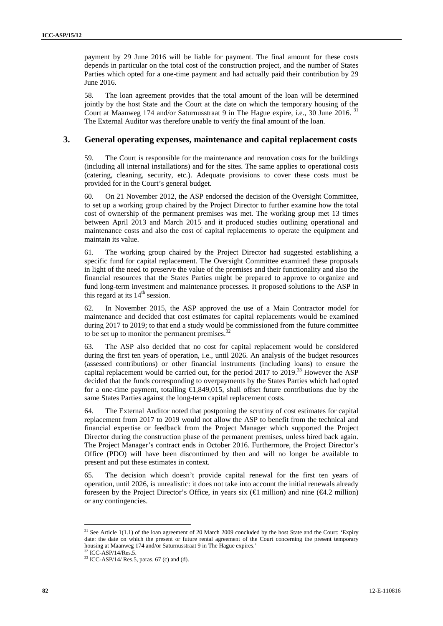payment by 29 June 2016 will be liable for payment. The final amount for these costs depends in particular on the total cost of the construction project, and the number of States Parties which opted for a one-time payment and had actually paid their contribution by 29 June 2016.

58. The loan agreement provides that the total amount of the loan will be determined jointly by the host State and the Court at the date on which the temporary housing of the Court at Maanweg 174 and/or Saturnusstraat 9 in The Hague expire, i.e., 30 June 2016. <sup>31</sup> The External Auditor was therefore unable to verify the final amount of the loan.

## **3. General operating expenses, maintenance and capital replacement costs**

59. The Court is responsible for the maintenance and renovation costs for the buildings (including all internal installations) and for the sites. The same applies to operational costs (catering, cleaning, security, etc.). Adequate provisions to cover these costs must be provided for in the Court's general budget.

60. On 21 November 2012, the ASP endorsed the decision of the Oversight Committee, to set up a working group chaired by the Project Director to further examine how the total cost of ownership of the permanent premises was met. The working group met 13 times between April 2013 and March 2015 and it produced studies outlining operational and maintenance costs and also the cost of capital replacements to operate the equipment and maintain its value.

61. The working group chaired by the Project Director had suggested establishing a specific fund for capital replacement. The Oversight Committee examined these proposals in light of the need to preserve the value of the premises and their functionality and also the financial resources that the States Parties might be prepared to approve to organize and fund long-term investment and maintenance processes. It proposed solutions to the ASP in this regard at its  $14<sup>th</sup>$  session.

62. In November 2015, the ASP approved the use of a Main Contractor model for maintenance and decided that cost estimates for capital replacements would be examined during 2017 to 2019; to that end a study would be commissioned from the future committee to be set up to monitor the permanent premises. $32$ 

63. The ASP also decided that no cost for capital replacement would be considered during the first ten years of operation, i.e., until 2026. An analysis of the budget resources (assessed contributions) or other financial instruments (including loans) to ensure the capital replacement would be carried out, for the period 2017 to 2019.<sup>33</sup> However the ASP decided that the funds corresponding to overpayments by the States Parties which had opted for a one-time payment, totalling  $\bigoplus$ , 849,015, shall offset future contributions due by the same States Parties against the long-term capital replacement costs.

64. The External Auditor noted that postponing the scrutiny of cost estimates for capital replacement from 2017 to 2019 would not allow the ASP to benefit from the technical and financial expertise or feedback from the Project Manager which supported the Project Director during the construction phase of the permanent premises, unless hired back again. The Project Manager's contract ends in October 2016. Furthermore, the Project Director's Office (PDO) will have been discontinued by then and will no longer be available to present and put these estimates in context.

65. The decision which doesn't provide capital renewal for the first ten years of operation, until 2026, is unrealistic: it does not take into account the initial renewals already foreseen by the Project Director's Office, in years six ( $\bigoplus$  million) and nine ( $\bigoplus$ 4.2 million) or any contingencies.

<sup>&</sup>lt;sup>31</sup> See Article 1(1.1) of the loan agreement of 20 March 2009 concluded by the host State and the Court: 'Expiry date: the date on which the present or future rental agreement of the Court concerning the present temporary housing at Maanweg 174 and/or Saturnusstraat 9 in The Hague expires.<sup>32</sup> ICC-ASP/14/Res.5.

 $33$  ICC-ASP/14/ Res.5, paras. 67 (c) and (d).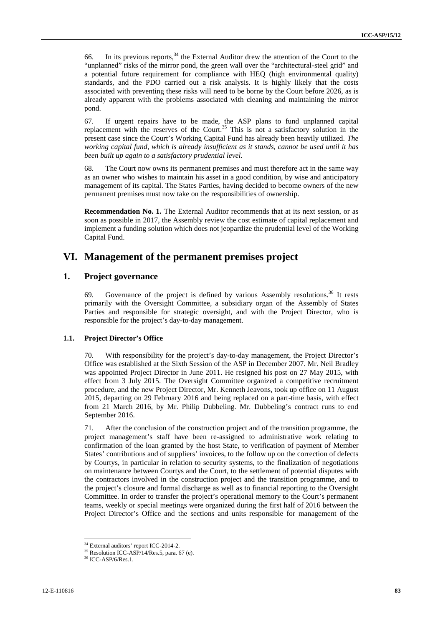66. In its previous reports,  $34$  the External Auditor drew the attention of the Court to the "unplanned" risks of the mirror pond, the green wall over the "architectural-steel grid" and a potential future requirement for compliance with HEQ (high environmental quality) standards, and the PDO carried out a risk analysis. It is highly likely that the costs associated with preventing these risks will need to be borne by the Court before 2026, as is already apparent with the problems associated with cleaning and maintaining the mirror pond.

67. If urgent repairs have to be made, the ASP plans to fund unplanned capital replacement with the reserves of the Court.<sup>35</sup> This is not a satisfactory solution in the present case since the Court's Working Capital Fund has already been heavily utilized. *The working capital fund, which is already insufficient as it stands, cannot be used until it has been built up again to a satisfactory prudential level.*

68. The Court now owns its permanent premises and must therefore act in the same way as an owner who wishes to maintain his asset in a good condition, by wise and anticipatory management of its capital. The States Parties, having decided to become owners of the new permanent premises must now take on the responsibilities of ownership.

**Recommendation No. 1.** The External Auditor recommends that at its next session, or as soon as possible in 2017, the Assembly review the cost estimate of capital replacement and implement a funding solution which does not jeopardize the prudential level of the Working Capital Fund.

## **VI. Management of the permanent premises project**

## **1. Project governance**

69. Governance of the project is defined by various Assembly resolutions.<sup>36</sup> It rests primarily with the Oversight Committee, a subsidiary organ of the Assembly of States Parties and responsible for strategic oversight, and with the Project Director, who is responsible for the project's day-to-day management.

## **1.1. Project Director's Office**

70. With responsibility for the project's day-to-day management, the Project Director's Office was established at the Sixth Session of the ASP in December 2007. Mr. Neil Bradley was appointed Project Director in June 2011. He resigned his post on 27 May 2015, with effect from 3 July 2015. The Oversight Committee organized a competitive recruitment procedure, and the new Project Director, Mr. Kenneth Jeavons, took up office on 11 August 2015, departing on 29 February 2016 and being replaced on a part-time basis, with effect from 21 March 2016, by Mr. Philip Dubbeling. Mr. Dubbeling's contract runs to end September 2016.

71. After the conclusion of the construction project and of the transition programme, the project management's staff have been re-assigned to administrative work relating to confirmation of the loan granted by the host State, to verification of payment of Member States' contributions and of suppliers' invoices, to the follow up on the correction of defects by Courtys, in particular in relation to security systems, to the finalization of negotiations on maintenance between Courtys and the Court, to the settlement of potential disputes with the contractors involved in the construction project and the transition programme, and to the project's closure and formal discharge as well as to financial reporting to the Oversight Committee. In order to transfer the project's operational memory to the Court's permanent teams, weekly or special meetings were organized during the first half of 2016 between the Project Director's Office and the sections and units responsible for management of the

<sup>&</sup>lt;sup>34</sup> External auditors' report ICC-2014-2.<br><sup>35</sup> Resolution ICC-ASP/14/Res.5, para. 67 (e).<br><sup>36</sup> ICC-ASP/6/Res.1.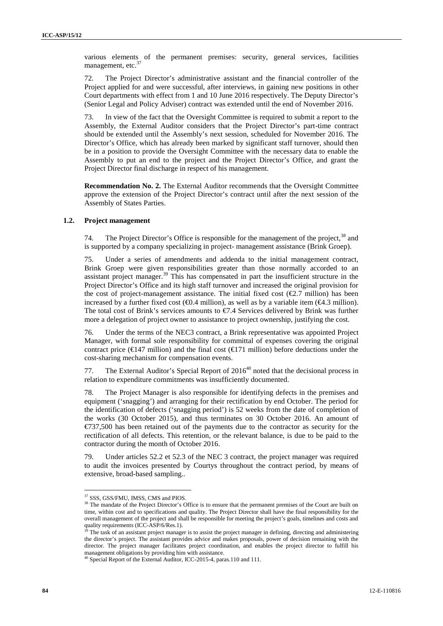various elements of the permanent premises: security, general services, facilities management, etc.<sup>37</sup>

72. The Project Director's administrative assistant and the financial controller of the Project applied for and were successful, after interviews, in gaining new positions in other Court departments with effect from 1 and 10 June 2016 respectively. The Deputy Director's (Senior Legal and Policy Adviser) contract was extended until the end of November 2016.

73. In view of the fact that the Oversight Committee is required to submit a report to the Assembly, the External Auditor considers that the Project Director's part-time contract should be extended until the Assembly's next session, scheduled for November 2016. The Director's Office, which has already been marked by significant staff turnover, should then be in a position to provide the Oversight Committee with the necessary data to enable the Assembly to put an end to the project and the Project Director's Office, and grant the Project Director final discharge in respect of his management.

**Recommendation No. 2.** The External Auditor recommends that the Oversight Committee approve the extension of the Project Director's contract until after the next session of the Assembly of States Parties.

### **1.2. Project management**

74. The Project Director's Office is responsible for the management of the project.<sup>38</sup> and is supported by a company specializing in project- management assistance (Brink Groep).

75. Under a series of amendments and addenda to the initial management contract, Brink Groep were given responsibilities greater than those normally accorded to an assistant project manager.<sup>39</sup> This has compensated in part the insufficient structure in the Project Director's Office and its high staff turnover and increased the original provision for the cost of project-management assistance. The initial fixed cost  $(\mathcal{Q} \mathcal{Z}, \mathcal{T})$  million) has been increased by a further fixed cost ( $\Theta$ .4 million), as well as by a variable item ( $\Theta$ 4.3 million). The total cost of Brink's services amounts to  $\epsilon/4$ . Services delivered by Brink was further more a delegation of project owner to assistance to project ownership, justifying the cost.

76. Under the terms of the NEC3 contract, a Brink representative was appointed Project Manager, with formal sole responsibility for committal of expenses covering the original contract price ( $\in$ 147 million) and the final cost ( $\in$ 171 million) before deductions under the cost-sharing mechanism for compensation events.

77. The External Auditor's Special Report of  $2016^{40}$  noted that the decisional process in relation to expenditure commitments was insufficiently documented.

78. The Project Manager is also responsible for identifying defects in the premises and equipment ('snagging') and arranging for their rectification by end October. The period for the identification of defects ('snagging period') is 52 weeks from the date of completion of the works (30 October 2015), and thus terminates on 30 October 2016. An amount of €737,500 has been retained out of the payments due to the contractor as security for the rectification of all defects. This retention, or the relevant balance, is due to be paid to the contractor during the month of October 2016.

79. Under articles 52.2 et 52.3 of the NEC 3 contract, the project manager was required to audit the invoices presented by Courtys throughout the contract period, by means of extensive, broad-based sampling..

<sup>37</sup> SSS, GSS/FMU, IMSS, CMS and PIOS.

<sup>&</sup>lt;sup>38</sup> The mandate of the Project Director's Office is to ensure that the permanent premises of the Court are built on time, within cost and to specifications and quality. The Project Director shall have the final responsibility for the overall management of the project and shall be responsible for meeting the project's goals, timelines and costs and quality requirements (ICC-ASP/6/Res.1).

The task of an assistant project manager is to assist the project manager in defining, directing and administering the director's project. The assistant provides advice and makes proposals, power of decision remaining with the director. The project manager facilitates project coordination, and enables the project director to fulfill his management obligations by providing him with assistance.

 $^{\circ}$  Special Report of the External Auditor, ICC-2015-4, paras.110 and 111.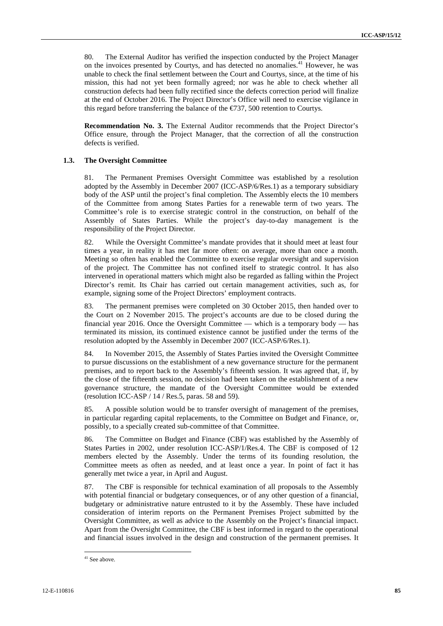80. The External Auditor has verified the inspection conducted by the Project Manager on the invoices presented by Courtys, and has detected no anomalies.<sup>41</sup> However, he was unable to check the final settlement between the Court and Courtys, since, at the time of his mission, this had not yet been formally agreed; nor was he able to check whether all construction defects had been fully rectified since the defects correction period will finalize at the end of October 2016. The Project Director's Office will need to exercise vigilance in this regard before transferring the balance of the  $\epsilon$ 737, 500 retention to Courtys.

**Recommendation No. 3.** The External Auditor recommends that the Project Director's Office ensure, through the Project Manager, that the correction of all the construction defects is verified.

### **1.3. The Oversight Committee**

81. The Permanent Premises Oversight Committee was established by a resolution adopted by the Assembly in December 2007 (ICC-ASP/6/Res.1) as a temporary subsidiary body of the ASP until the project's final completion. The Assembly elects the 10 members of the Committee from among States Parties for a renewable term of two years. The Committee's role is to exercise strategic control in the construction, on behalf of the Assembly of States Parties. While the project's day-to-day management is the responsibility of the Project Director.

82. While the Oversight Committee's mandate provides that it should meet at least four times a year, in reality it has met far more often: on average, more than once a month. Meeting so often has enabled the Committee to exercise regular oversight and supervision of the project. The Committee has not confined itself to strategic control. It has also intervened in operational matters which might also be regarded as falling within the Project Director's remit. Its Chair has carried out certain management activities, such as, for example, signing some of the Project Directors' employment contracts.

83. The permanent premises were completed on 30 October 2015, then handed over to the Court on 2 November 2015. The project's accounts are due to be closed during the financial year 2016. Once the Oversight Committee — which is a temporary body — has terminated its mission, its continued existence cannot be justified under the terms of the resolution adopted by the Assembly in December 2007 (ICC-ASP/6/Res.1).

84. In November 2015, the Assembly of States Parties invited the Oversight Committee to pursue discussions on the establishment of a new governance structure for the permanent premises, and to report back to the Assembly's fifteenth session. It was agreed that, if, by the close of the fifteenth session, no decision had been taken on the establishment of a new governance structure, the mandate of the Oversight Committee would be extended (resolution ICC-ASP  $/$  14  $/$  Res. 5, paras. 58 and 59).

85. A possible solution would be to transfer oversight of management of the premises, in particular regarding capital replacements, to the Committee on Budget and Finance, or, possibly, to a specially created sub-committee of that Committee.

86. The Committee on Budget and Finance (CBF) was established by the Assembly of States Parties in 2002, under resolution ICC-ASP/1/Res.4. The CBF is composed of 12 members elected by the Assembly. Under the terms of its founding resolution, the Committee meets as often as needed, and at least once a year. In point of fact it has generally met twice a year, in April and August.

87. The CBF is responsible for technical examination of all proposals to the Assembly with potential financial or budgetary consequences, or of any other question of a financial, budgetary or administrative nature entrusted to it by the Assembly. These have included consideration of interim reports on the Permanent Premises Project submitted by the Oversight Committee, as well as advice to the Assembly on the Project's financial impact. Apart from the Oversight Committee, the CBF is best informed in regard to the operational and financial issues involved in the design and construction of the permanent premises. It

<sup>&</sup>lt;sup>41</sup> See above.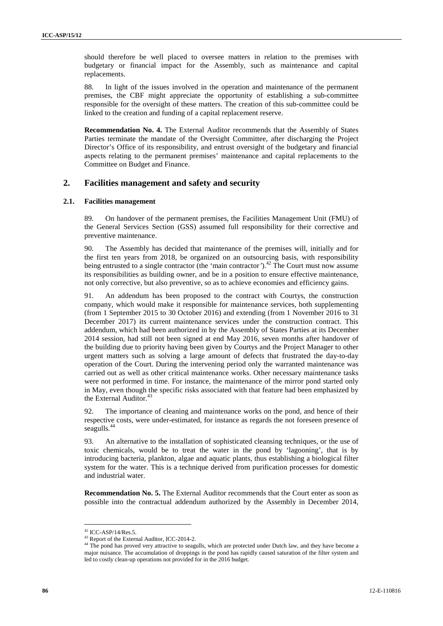should therefore be well placed to oversee matters in relation to the premises with budgetary or financial impact for the Assembly, such as maintenance and capital replacements.

88. In light of the issues involved in the operation and maintenance of the permanent premises, the CBF might appreciate the opportunity of establishing a sub-committee responsible for the oversight of these matters. The creation of this sub-committee could be linked to the creation and funding of a capital replacement reserve.

**Recommendation No. 4.** The External Auditor recommends that the Assembly of States Parties terminate the mandate of the Oversight Committee, after discharging the Project Director's Office of its responsibility, and entrust oversight of the budgetary and financial aspects relating to the permanent premises' maintenance and capital replacements to the Committee on Budget and Finance.

## **2. Facilities management and safety and security**

### **2.1. Facilities management**

89. On handover of the permanent premises, the Facilities Management Unit (FMU) of the General Services Section (GSS) assumed full responsibility for their corrective and preventive maintenance.

90. The Assembly has decided that maintenance of the premises will, initially and for the first ten years from 2018, be organized on an outsourcing basis, with responsibility being entrusted to a single contractor (the 'main contractor').<sup>42</sup> The Court must now assume its responsibilities as building owner, and be in a position to ensure effective maintenance, not only corrective, but also preventive, so as to achieve economies and efficiency gains.

91. An addendum has been proposed to the contract with Courtys, the construction company, which would make it responsible for maintenance services, both supplementing (from 1 September 2015 to 30 October 2016) and extending (from 1 November 2016 to 31 December 2017) its current maintenance services under the construction contract. This addendum, which had been authorized in by the Assembly of States Parties at its December 2014 session, had still not been signed at end May 2016, seven months after handover of the building due to priority having been given by Courtys and the Project Manager to other urgent matters such as solving a large amount of defects that frustrated the day-to-day operation of the Court. During the intervening period only the warranted maintenance was carried out as well as other critical maintenance works. Other necessary maintenance tasks were not performed in time. For instance, the maintenance of the mirror pond started only in May, even though the specific risks associated with that feature had been emphasized by the External Auditor.<sup>43</sup>

92. The importance of cleaning and maintenance works on the pond, and hence of their respective costs, were under-estimated, for instance as regards the not foreseen presence of seagulls.<sup>44</sup>

93. An alternative to the installation of sophisticated cleansing techniques, or the use of toxic chemicals, would be to treat the water in the pond by 'lagooning', that is by introducing bacteria, plankton, algae and aquatic plants, thus establishing a biological filter system for the water. This is a technique derived from purification processes for domestic and industrial water.

**Recommendation No. 5.** The External Auditor recommends that the Court enter as soon as possible into the contractual addendum authorized by the Assembly in December 2014,

<sup>&</sup>lt;sup>42</sup> ICC-ASP/14/Res.5.<br><sup>43</sup> Report of the External Auditor, ICC-2014-2.

<sup>&</sup>lt;sup>44</sup> The pond has proved very attractive to seagulls, which are protected under Dutch law, and they have become a major nuisance. The accumulation of droppings in the pond has rapidly caused saturation of the filter system and led to costly clean-up operations not provided for in the 2016 budget.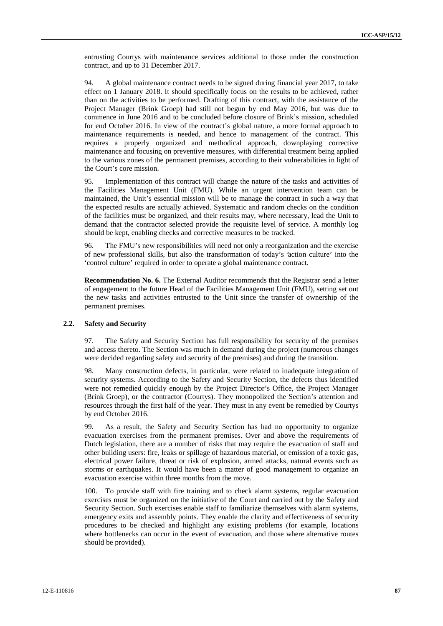entrusting Courtys with maintenance services additional to those under the construction contract, and up to 31 December 2017.

94. A global maintenance contract needs to be signed during financial year 2017, to take effect on 1 January 2018. It should specifically focus on the results to be achieved, rather than on the activities to be performed. Drafting of this contract, with the assistance of the Project Manager (Brink Groep) had still not begun by end May 2016, but was due to commence in June 2016 and to be concluded before closure of Brink's mission, scheduled for end October 2016. In view of the contract's global nature, a more formal approach to maintenance requirements is needed, and hence to management of the contract. This requires a properly organized and methodical approach, downplaying corrective maintenance and focusing on preventive measures, with differential treatment being applied to the various zones of the permanent premises, according to their vulnerabilities in light of the Court's core mission.

95. Implementation of this contract will change the nature of the tasks and activities of the Facilities Management Unit (FMU). While an urgent intervention team can be maintained, the Unit's essential mission will be to manage the contract in such a way that the expected results are actually achieved. Systematic and random checks on the condition of the facilities must be organized, and their results may, where necessary, lead the Unit to demand that the contractor selected provide the requisite level of service. A monthly log should be kept, enabling checks and corrective measures to be tracked.

96. The FMU's new responsibilities will need not only a reorganization and the exercise of new professional skills, but also the transformation of today's 'action culture' into the 'control culture' required in order to operate a global maintenance contract.

**Recommendation No. 6.** The External Auditor recommends that the Registrar send a letter of engagement to the future Head of the Facilities Management Unit (FMU), setting set out the new tasks and activities entrusted to the Unit since the transfer of ownership of the permanent premises.

### **2.2. Safety and Security**

97. The Safety and Security Section has full responsibility for security of the premises and access thereto. The Section was much in demand during the project (numerous changes were decided regarding safety and security of the premises) and during the transition.

98. Many construction defects, in particular, were related to inadequate integration of security systems. According to the Safety and Security Section, the defects thus identified were not remedied quickly enough by the Project Director's Office, the Project Manager (Brink Groep), or the contractor (Courtys). They monopolized the Section's attention and resources through the first half of the year. They must in any event be remedied by Courtys by end October 2016.

99. As a result, the Safety and Security Section has had no opportunity to organize evacuation exercises from the permanent premises. Over and above the requirements of Dutch legislation, there are a number of risks that may require the evacuation of staff and other building users: fire, leaks or spillage of hazardous material, or emission of a toxic gas, electrical power failure, threat or risk of explosion, armed attacks, natural events such as storms or earthquakes. It would have been a matter of good management to organize an evacuation exercise within three months from the move.

100. To provide staff with fire training and to check alarm systems, regular evacuation exercises must be organized on the initiative of the Court and carried out by the Safety and Security Section. Such exercises enable staff to familiarize themselves with alarm systems, emergency exits and assembly points. They enable the clarity and effectiveness of security procedures to be checked and highlight any existing problems (for example, locations where bottlenecks can occur in the event of evacuation, and those where alternative routes should be provided).